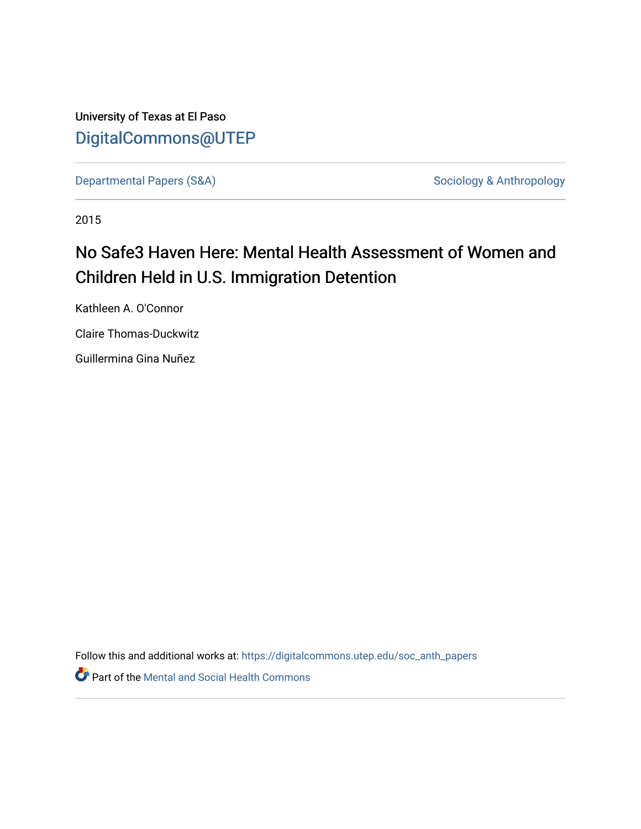University of Texas at El Paso [DigitalCommons@UTEP](https://digitalcommons.utep.edu/)

[Departmental Papers \(S&A\)](https://digitalcommons.utep.edu/soc_anth_papers) [Sociology & Anthropology](https://digitalcommons.utep.edu/soc_anth) & Anthropology

2015

# No Safe3 Haven Here: Mental Health Assessment of Women and Children Held in U.S. Immigration Detention

Kathleen A. O'Connor Claire Thomas-Duckwitz Guillermina Gina Nuñez

Follow this and additional works at: [https://digitalcommons.utep.edu/soc\\_anth\\_papers](https://digitalcommons.utep.edu/soc_anth_papers?utm_source=digitalcommons.utep.edu%2Fsoc_anth_papers%2F54&utm_medium=PDF&utm_campaign=PDFCoverPages) **Part of the Mental and Social Health Commons**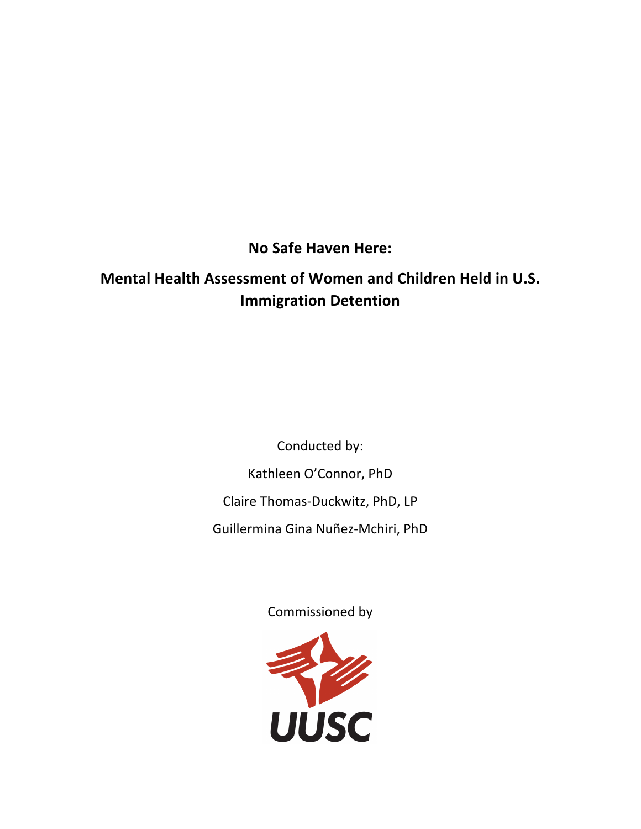**No Safe Haven Here:** 

# **Mental Health Assessment of Women and Children Held in U.S. Immigration Detention**

Conducted by: Kathleen O'Connor, PhD Claire Thomas-Duckwitz, PhD, LP Guillermina Gina Nuñez-Mchiri, PhD

Commissioned by

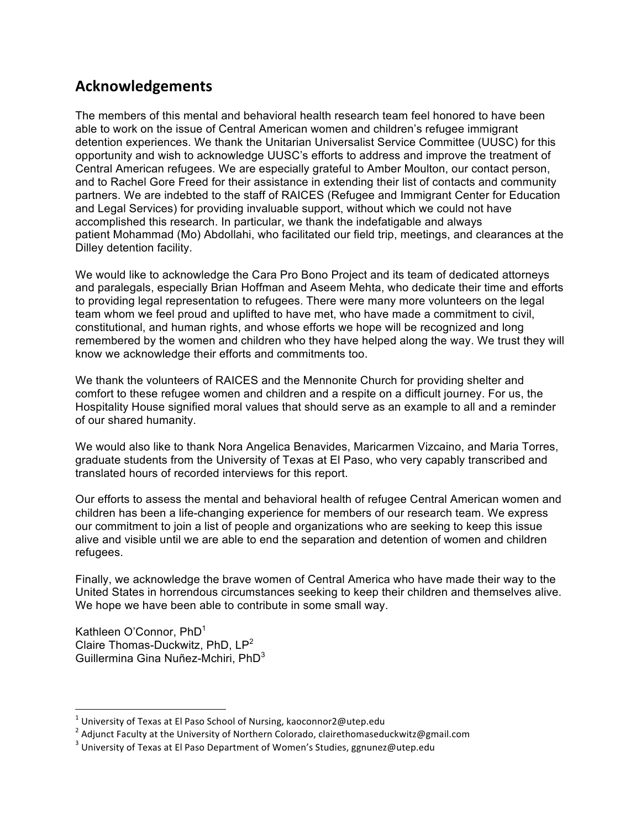## **Acknowledgements**

The members of this mental and behavioral health research team feel honored to have been able to work on the issue of Central American women and children's refugee immigrant detention experiences. We thank the Unitarian Universalist Service Committee (UUSC) for this opportunity and wish to acknowledge UUSC's efforts to address and improve the treatment of Central American refugees. We are especially grateful to Amber Moulton, our contact person, and to Rachel Gore Freed for their assistance in extending their list of contacts and community partners. We are indebted to the staff of RAICES (Refugee and Immigrant Center for Education and Legal Services) for providing invaluable support, without which we could not have accomplished this research. In particular, we thank the indefatigable and always patient Mohammad (Mo) Abdollahi, who facilitated our field trip, meetings, and clearances at the Dilley detention facility.

We would like to acknowledge the Cara Pro Bono Project and its team of dedicated attorneys and paralegals, especially Brian Hoffman and Aseem Mehta, who dedicate their time and efforts to providing legal representation to refugees. There were many more volunteers on the legal team whom we feel proud and uplifted to have met, who have made a commitment to civil, constitutional, and human rights, and whose efforts we hope will be recognized and long remembered by the women and children who they have helped along the way. We trust they will know we acknowledge their efforts and commitments too.

We thank the volunteers of RAICES and the Mennonite Church for providing shelter and comfort to these refugee women and children and a respite on a difficult journey. For us, the Hospitality House signified moral values that should serve as an example to all and a reminder of our shared humanity.

We would also like to thank Nora Angelica Benavides, Maricarmen Vizcaino, and Maria Torres, graduate students from the University of Texas at El Paso, who very capably transcribed and translated hours of recorded interviews for this report.

Our efforts to assess the mental and behavioral health of refugee Central American women and children has been a life-changing experience for members of our research team. We express our commitment to join a list of people and organizations who are seeking to keep this issue alive and visible until we are able to end the separation and detention of women and children refugees.

Finally, we acknowledge the brave women of Central America who have made their way to the United States in horrendous circumstances seeking to keep their children and themselves alive. We hope we have been able to contribute in some small way.

Kathleen O'Connor, PhD<sup>1</sup> Claire Thomas-Duckwitz, PhD,  $LP<sup>2</sup>$ Guillermina Gina Nuñez-Mchiri, PhD<sup>3</sup>

 

 $1$  University of Texas at El Paso School of Nursing, kaoconnor2@utep.edu

<sup>2</sup> Adjunct Faculty at the University of Northern Colorado, clairethomaseduckwitz@gmail.com

 $3$  University of Texas at El Paso Department of Women's Studies, ggnunez@utep.edu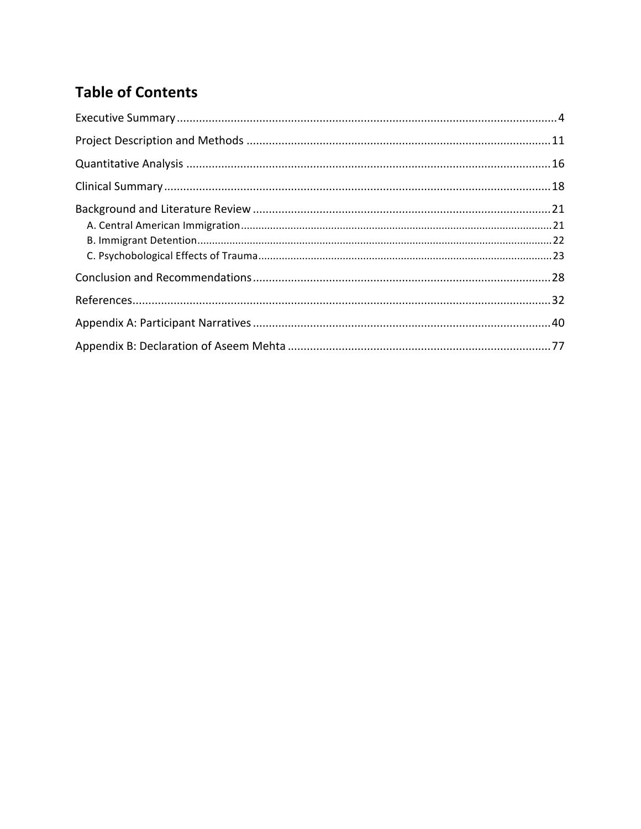# **Table of Contents**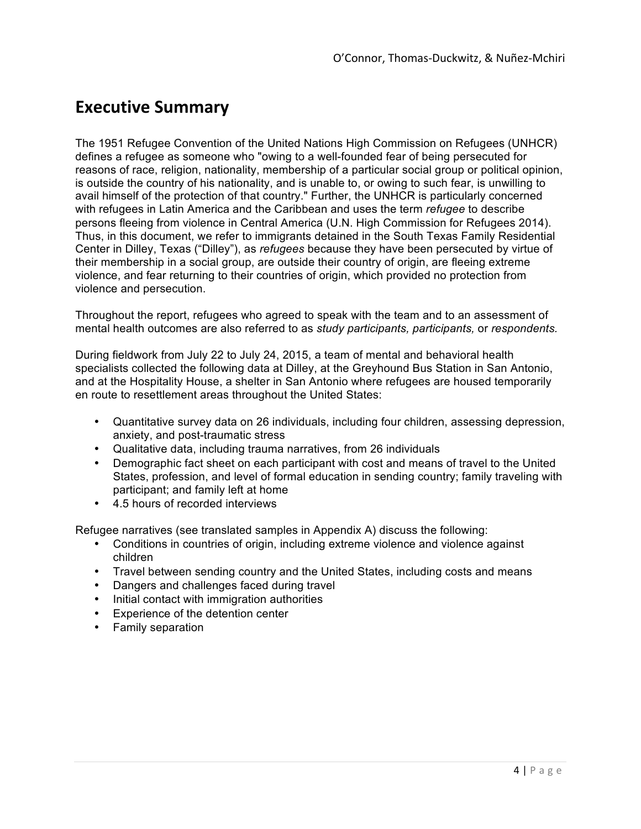## **Executive Summary**

The 1951 Refugee Convention of the United Nations High Commission on Refugees (UNHCR) defines a refugee as someone who "owing to a well-founded fear of being persecuted for reasons of race, religion, nationality, membership of a particular social group or political opinion, is outside the country of his nationality, and is unable to, or owing to such fear, is unwilling to avail himself of the protection of that country." Further, the UNHCR is particularly concerned with refugees in Latin America and the Caribbean and uses the term *refugee* to describe persons fleeing from violence in Central America (U.N. High Commission for Refugees 2014). Thus, in this document, we refer to immigrants detained in the South Texas Family Residential Center in Dilley, Texas ("Dilley"), as *refugees* because they have been persecuted by virtue of their membership in a social group, are outside their country of origin, are fleeing extreme violence, and fear returning to their countries of origin, which provided no protection from violence and persecution.

Throughout the report, refugees who agreed to speak with the team and to an assessment of mental health outcomes are also referred to as *study participants, participants,* or *respondents.*

During fieldwork from July 22 to July 24, 2015, a team of mental and behavioral health specialists collected the following data at Dilley, at the Greyhound Bus Station in San Antonio, and at the Hospitality House, a shelter in San Antonio where refugees are housed temporarily en route to resettlement areas throughout the United States:

- Quantitative survey data on 26 individuals, including four children, assessing depression, anxiety, and post-traumatic stress
- Qualitative data, including trauma narratives, from 26 individuals
- Demographic fact sheet on each participant with cost and means of travel to the United States, profession, and level of formal education in sending country; family traveling with participant; and family left at home
- 4.5 hours of recorded interviews

Refugee narratives (see translated samples in Appendix A) discuss the following:

- Conditions in countries of origin, including extreme violence and violence against children
- Travel between sending country and the United States, including costs and means
- Dangers and challenges faced during travel
- Initial contact with immigration authorities
- Experience of the detention center
- Family separation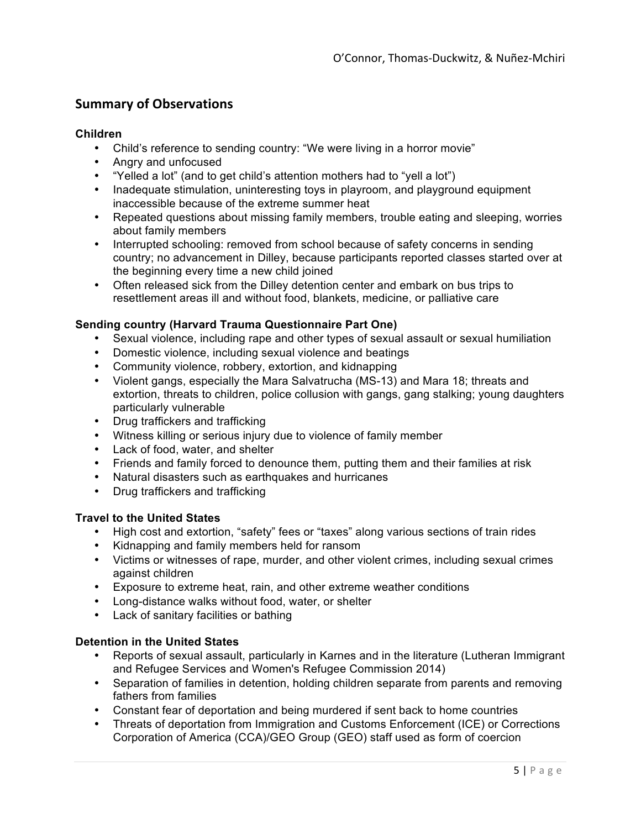### **Summary of Observations**

#### **Children**

- Child's reference to sending country: "We were living in a horror movie"
- Angry and unfocused
- "Yelled a lot" (and to get child's attention mothers had to "yell a lot")
- Inadequate stimulation, uninteresting toys in playroom, and playground equipment inaccessible because of the extreme summer heat
- Repeated questions about missing family members, trouble eating and sleeping, worries about family members
- Interrupted schooling: removed from school because of safety concerns in sending country; no advancement in Dilley, because participants reported classes started over at the beginning every time a new child joined
- Often released sick from the Dilley detention center and embark on bus trips to resettlement areas ill and without food, blankets, medicine, or palliative care

#### **Sending country (Harvard Trauma Questionnaire Part One)**

- Sexual violence, including rape and other types of sexual assault or sexual humiliation
- Domestic violence, including sexual violence and beatings
- Community violence, robbery, extortion, and kidnapping
- Violent gangs, especially the Mara Salvatrucha (MS-13) and Mara 18; threats and extortion, threats to children, police collusion with gangs, gang stalking; young daughters particularly vulnerable
- Drug traffickers and trafficking
- Witness killing or serious injury due to violence of family member
- Lack of food, water, and shelter
- Friends and family forced to denounce them, putting them and their families at risk
- Natural disasters such as earthquakes and hurricanes
- Drug traffickers and trafficking

#### **Travel to the United States**

- High cost and extortion, "safety" fees or "taxes" along various sections of train rides
- Kidnapping and family members held for ransom
- Victims or witnesses of rape, murder, and other violent crimes, including sexual crimes against children
- Exposure to extreme heat, rain, and other extreme weather conditions
- Long-distance walks without food, water, or shelter
- Lack of sanitary facilities or bathing

#### **Detention in the United States**

- Reports of sexual assault, particularly in Karnes and in the literature (Lutheran Immigrant and Refugee Services and Women's Refugee Commission 2014)
- Separation of families in detention, holding children separate from parents and removing fathers from families
- Constant fear of deportation and being murdered if sent back to home countries
- Threats of deportation from Immigration and Customs Enforcement (ICE) or Corrections Corporation of America (CCA)/GEO Group (GEO) staff used as form of coercion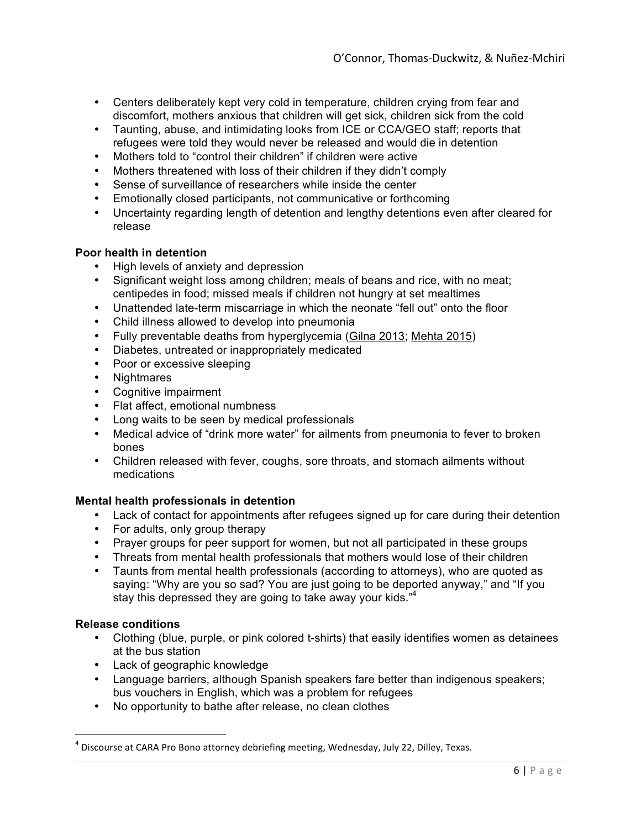- Centers deliberately kept very cold in temperature, children crying from fear and discomfort, mothers anxious that children will get sick, children sick from the cold
- Taunting, abuse, and intimidating looks from ICE or CCA/GEO staff; reports that refugees were told they would never be released and would die in detention
- Mothers told to "control their children" if children were active
- Mothers threatened with loss of their children if they didn't comply
- Sense of surveillance of researchers while inside the center
- Emotionally closed participants, not communicative or forthcoming
- Uncertainty regarding length of detention and lengthy detentions even after cleared for release

#### **Poor health in detention**

- High levels of anxiety and depression
- Significant weight loss among children; meals of beans and rice, with no meat; centipedes in food; missed meals if children not hungry at set mealtimes
- Unattended late-term miscarriage in which the neonate "fell out" onto the floor
- Child illness allowed to develop into pneumonia
- Fully preventable deaths from hyperglycemia (Gilna 2013; Mehta 2015)
- Diabetes, untreated or inappropriately medicated
- Poor or excessive sleeping
- Nightmares
- Cognitive impairment
- Flat affect, emotional numbness
- Long waits to be seen by medical professionals
- Medical advice of "drink more water" for ailments from pneumonia to fever to broken bones
- Children released with fever, coughs, sore throats, and stomach ailments without medications

#### **Mental health professionals in detention**

- Lack of contact for appointments after refugees signed up for care during their detention
- For adults, only group therapy
- Prayer groups for peer support for women, but not all participated in these groups
- Threats from mental health professionals that mothers would lose of their children
- Taunts from mental health professionals (according to attorneys), who are quoted as saying: "Why are you so sad? You are just going to be deported anyway," and "If you stay this depressed they are going to take away your kids."<sup>4</sup>

#### **Release conditions**

 

- Clothing (blue, purple, or pink colored t-shirts) that easily identifies women as detainees at the bus station
- Lack of geographic knowledge
- Language barriers, although Spanish speakers fare better than indigenous speakers; bus vouchers in English, which was a problem for refugees
- No opportunity to bathe after release, no clean clothes

 $^4$  Discourse at CARA Pro Bono attorney debriefing meeting, Wednesday, July 22, Dilley, Texas.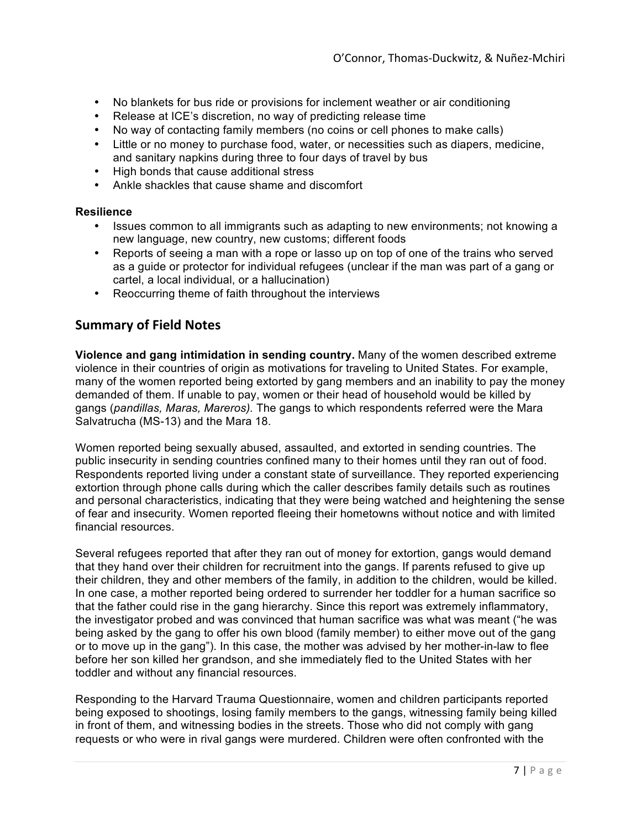- No blankets for bus ride or provisions for inclement weather or air conditioning
- Release at ICE's discretion, no way of predicting release time
- No way of contacting family members (no coins or cell phones to make calls)
- Little or no money to purchase food, water, or necessities such as diapers, medicine, and sanitary napkins during three to four days of travel by bus
- High bonds that cause additional stress
- Ankle shackles that cause shame and discomfort

#### **Resilience**

- Issues common to all immigrants such as adapting to new environments; not knowing a new language, new country, new customs; different foods
- Reports of seeing a man with a rope or lasso up on top of one of the trains who served as a guide or protector for individual refugees (unclear if the man was part of a gang or cartel, a local individual, or a hallucination)
- Reoccurring theme of faith throughout the interviews

#### **Summary of Field Notes**

**Violence and gang intimidation in sending country.** Many of the women described extreme violence in their countries of origin as motivations for traveling to United States. For example, many of the women reported being extorted by gang members and an inability to pay the money demanded of them. If unable to pay, women or their head of household would be killed by gangs (*pandillas, Maras, Mareros).* The gangs to which respondents referred were the Mara Salvatrucha (MS-13) and the Mara 18.

Women reported being sexually abused, assaulted, and extorted in sending countries. The public insecurity in sending countries confined many to their homes until they ran out of food. Respondents reported living under a constant state of surveillance. They reported experiencing extortion through phone calls during which the caller describes family details such as routines and personal characteristics, indicating that they were being watched and heightening the sense of fear and insecurity. Women reported fleeing their hometowns without notice and with limited financial resources.

Several refugees reported that after they ran out of money for extortion, gangs would demand that they hand over their children for recruitment into the gangs. If parents refused to give up their children, they and other members of the family, in addition to the children, would be killed. In one case, a mother reported being ordered to surrender her toddler for a human sacrifice so that the father could rise in the gang hierarchy. Since this report was extremely inflammatory, the investigator probed and was convinced that human sacrifice was what was meant ("he was being asked by the gang to offer his own blood (family member) to either move out of the gang or to move up in the gang"). In this case, the mother was advised by her mother-in-law to flee before her son killed her grandson, and she immediately fled to the United States with her toddler and without any financial resources.

Responding to the Harvard Trauma Questionnaire, women and children participants reported being exposed to shootings, losing family members to the gangs, witnessing family being killed in front of them, and witnessing bodies in the streets. Those who did not comply with gang requests or who were in rival gangs were murdered. Children were often confronted with the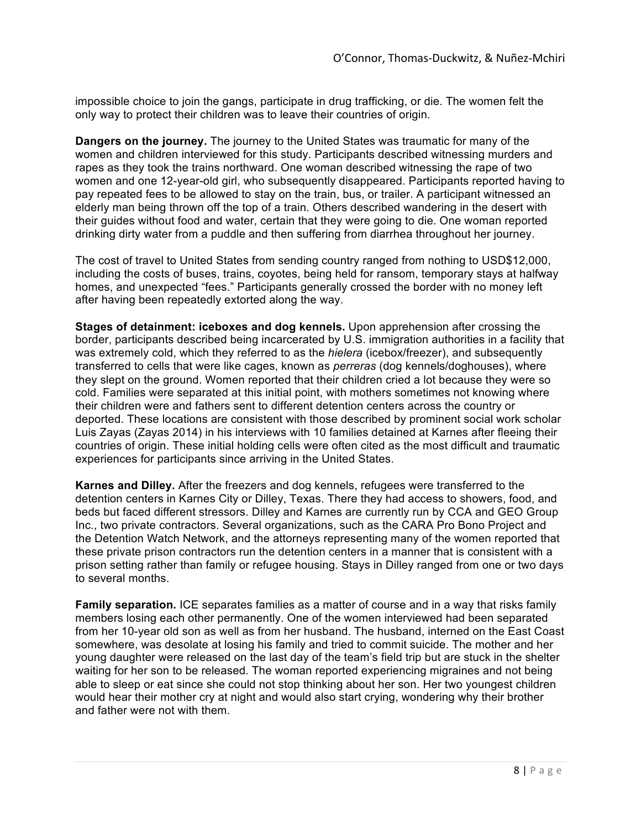impossible choice to join the gangs, participate in drug trafficking, or die. The women felt the only way to protect their children was to leave their countries of origin.

**Dangers on the journey.** The journey to the United States was traumatic for many of the women and children interviewed for this study. Participants described witnessing murders and rapes as they took the trains northward. One woman described witnessing the rape of two women and one 12-year-old girl, who subsequently disappeared. Participants reported having to pay repeated fees to be allowed to stay on the train, bus, or trailer. A participant witnessed an elderly man being thrown off the top of a train. Others described wandering in the desert with their guides without food and water, certain that they were going to die. One woman reported drinking dirty water from a puddle and then suffering from diarrhea throughout her journey.

The cost of travel to United States from sending country ranged from nothing to USD\$12,000, including the costs of buses, trains, coyotes, being held for ransom, temporary stays at halfway homes, and unexpected "fees." Participants generally crossed the border with no money left after having been repeatedly extorted along the way.

**Stages of detainment: iceboxes and dog kennels.** Upon apprehension after crossing the border, participants described being incarcerated by U.S. immigration authorities in a facility that was extremely cold, which they referred to as the *hielera* (icebox/freezer), and subsequently transferred to cells that were like cages, known as *perreras* (dog kennels/doghouses), where they slept on the ground. Women reported that their children cried a lot because they were so cold. Families were separated at this initial point, with mothers sometimes not knowing where their children were and fathers sent to different detention centers across the country or deported. These locations are consistent with those described by prominent social work scholar Luis Zayas (Zayas 2014) in his interviews with 10 families detained at Karnes after fleeing their countries of origin. These initial holding cells were often cited as the most difficult and traumatic experiences for participants since arriving in the United States.

**Karnes and Dilley.** After the freezers and dog kennels, refugees were transferred to the detention centers in Karnes City or Dilley, Texas. There they had access to showers, food, and beds but faced different stressors. Dilley and Karnes are currently run by CCA and GEO Group Inc., two private contractors. Several organizations, such as the CARA Pro Bono Project and the Detention Watch Network, and the attorneys representing many of the women reported that these private prison contractors run the detention centers in a manner that is consistent with a prison setting rather than family or refugee housing. Stays in Dilley ranged from one or two days to several months.

**Family separation.** ICE separates families as a matter of course and in a way that risks family members losing each other permanently. One of the women interviewed had been separated from her 10-year old son as well as from her husband. The husband, interned on the East Coast somewhere, was desolate at losing his family and tried to commit suicide. The mother and her young daughter were released on the last day of the team's field trip but are stuck in the shelter waiting for her son to be released. The woman reported experiencing migraines and not being able to sleep or eat since she could not stop thinking about her son. Her two youngest children would hear their mother cry at night and would also start crying, wondering why their brother and father were not with them.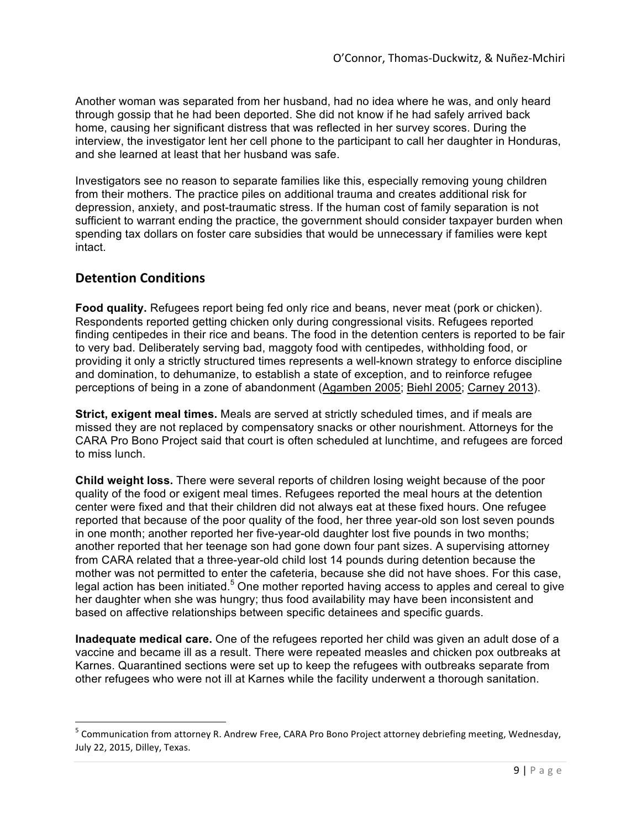Another woman was separated from her husband, had no idea where he was, and only heard through gossip that he had been deported. She did not know if he had safely arrived back home, causing her significant distress that was reflected in her survey scores. During the interview, the investigator lent her cell phone to the participant to call her daughter in Honduras, and she learned at least that her husband was safe.

Investigators see no reason to separate families like this, especially removing young children from their mothers. The practice piles on additional trauma and creates additional risk for depression, anxiety, and post-traumatic stress. If the human cost of family separation is not sufficient to warrant ending the practice, the government should consider taxpayer burden when spending tax dollars on foster care subsidies that would be unnecessary if families were kept intact.

### **Detention Conditions**

 

**Food quality.** Refugees report being fed only rice and beans, never meat (pork or chicken). Respondents reported getting chicken only during congressional visits. Refugees reported finding centipedes in their rice and beans. The food in the detention centers is reported to be fair to very bad. Deliberately serving bad, maggoty food with centipedes, withholding food, or providing it only a strictly structured times represents a well-known strategy to enforce discipline and domination, to dehumanize, to establish a state of exception, and to reinforce refugee perceptions of being in a zone of abandonment (Agamben 2005; Biehl 2005; Carney 2013).

**Strict, exigent meal times.** Meals are served at strictly scheduled times, and if meals are missed they are not replaced by compensatory snacks or other nourishment. Attorneys for the CARA Pro Bono Project said that court is often scheduled at lunchtime, and refugees are forced to miss lunch.

**Child weight loss.** There were several reports of children losing weight because of the poor quality of the food or exigent meal times. Refugees reported the meal hours at the detention center were fixed and that their children did not always eat at these fixed hours. One refugee reported that because of the poor quality of the food, her three year-old son lost seven pounds in one month; another reported her five-year-old daughter lost five pounds in two months; another reported that her teenage son had gone down four pant sizes. A supervising attorney from CARA related that a three-year-old child lost 14 pounds during detention because the mother was not permitted to enter the cafeteria, because she did not have shoes. For this case, legal action has been initiated.<sup>5</sup> One mother reported having access to apples and cereal to give her daughter when she was hungry; thus food availability may have been inconsistent and based on affective relationships between specific detainees and specific guards.

**Inadequate medical care.** One of the refugees reported her child was given an adult dose of a vaccine and became ill as a result. There were repeated measles and chicken pox outbreaks at Karnes. Quarantined sections were set up to keep the refugees with outbreaks separate from other refugees who were not ill at Karnes while the facility underwent a thorough sanitation.

<sup>&</sup>lt;sup>5</sup> Communication from attorney R. Andrew Free, CARA Pro Bono Project attorney debriefing meeting, Wednesday, July 22, 2015, Dilley, Texas.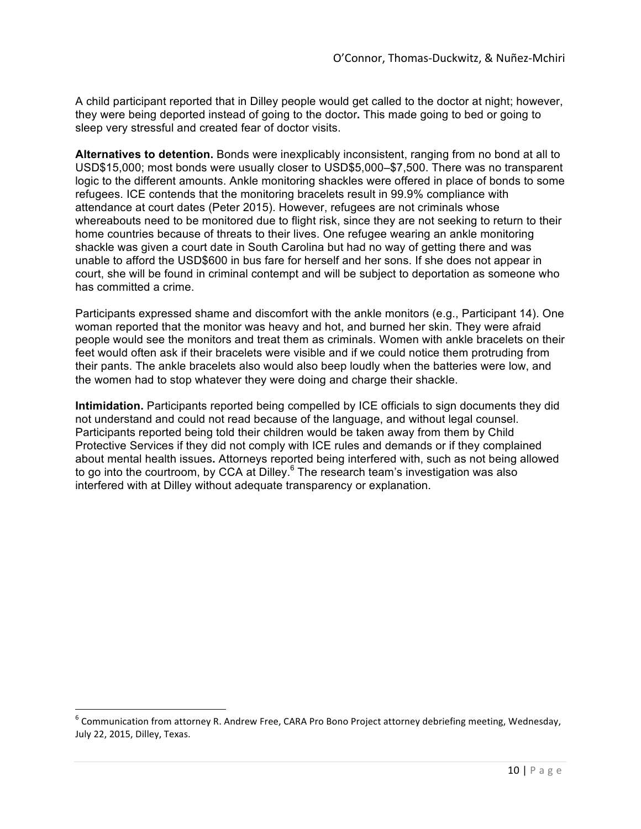A child participant reported that in Dilley people would get called to the doctor at night; however, they were being deported instead of going to the doctor**.** This made going to bed or going to sleep very stressful and created fear of doctor visits.

**Alternatives to detention.** Bonds were inexplicably inconsistent, ranging from no bond at all to USD\$15,000; most bonds were usually closer to USD\$5,000–\$7,500. There was no transparent logic to the different amounts. Ankle monitoring shackles were offered in place of bonds to some refugees. ICE contends that the monitoring bracelets result in 99.9% compliance with attendance at court dates (Peter 2015). However, refugees are not criminals whose whereabouts need to be monitored due to flight risk, since they are not seeking to return to their home countries because of threats to their lives. One refugee wearing an ankle monitoring shackle was given a court date in South Carolina but had no way of getting there and was unable to afford the USD\$600 in bus fare for herself and her sons. If she does not appear in court, she will be found in criminal contempt and will be subject to deportation as someone who has committed a crime.

Participants expressed shame and discomfort with the ankle monitors (e.g., Participant 14). One woman reported that the monitor was heavy and hot, and burned her skin. They were afraid people would see the monitors and treat them as criminals. Women with ankle bracelets on their feet would often ask if their bracelets were visible and if we could notice them protruding from their pants. The ankle bracelets also would also beep loudly when the batteries were low, and the women had to stop whatever they were doing and charge their shackle.

**Intimidation.** Participants reported being compelled by ICE officials to sign documents they did not understand and could not read because of the language, and without legal counsel. Participants reported being told their children would be taken away from them by Child Protective Services if they did not comply with ICE rules and demands or if they complained about mental health issues**.** Attorneys reported being interfered with, such as not being allowed to go into the courtroom, by CCA at Dilley.<sup>6</sup> The research team's investigation was also interfered with at Dilley without adequate transparency or explanation.

 

 $^6$  Communication from attorney R. Andrew Free, CARA Pro Bono Project attorney debriefing meeting, Wednesday, July 22, 2015, Dilley, Texas.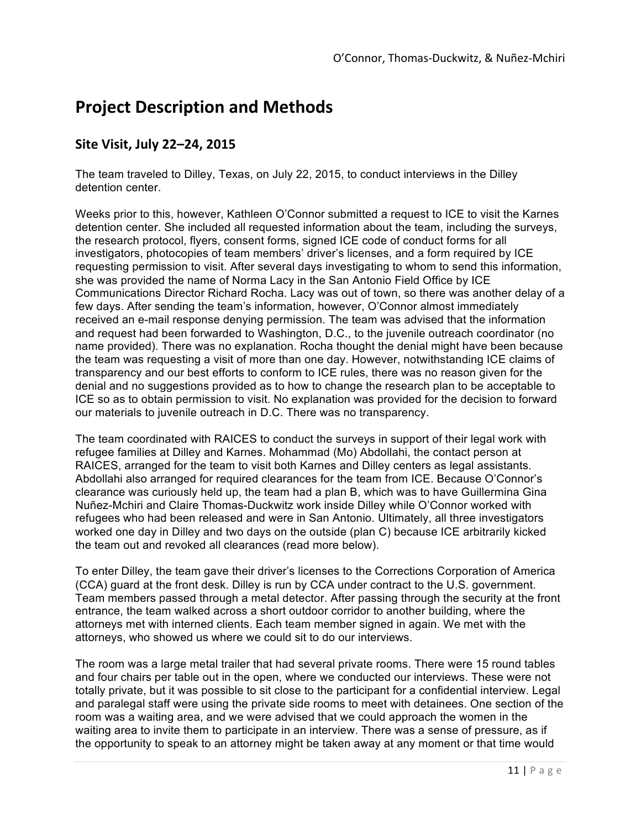# **Project Description and Methods**

## **Site Visit, July 22–24, 2015**

The team traveled to Dilley, Texas, on July 22, 2015, to conduct interviews in the Dilley detention center.

Weeks prior to this, however, Kathleen O'Connor submitted a request to ICE to visit the Karnes detention center. She included all requested information about the team, including the surveys, the research protocol, flyers, consent forms, signed ICE code of conduct forms for all investigators, photocopies of team members' driver's licenses, and a form required by ICE requesting permission to visit. After several days investigating to whom to send this information, she was provided the name of Norma Lacy in the San Antonio Field Office by ICE Communications Director Richard Rocha. Lacy was out of town, so there was another delay of a few days. After sending the team's information, however, O'Connor almost immediately received an e-mail response denying permission. The team was advised that the information and request had been forwarded to Washington, D.C., to the juvenile outreach coordinator (no name provided). There was no explanation. Rocha thought the denial might have been because the team was requesting a visit of more than one day. However, notwithstanding ICE claims of transparency and our best efforts to conform to ICE rules, there was no reason given for the denial and no suggestions provided as to how to change the research plan to be acceptable to ICE so as to obtain permission to visit. No explanation was provided for the decision to forward our materials to juvenile outreach in D.C. There was no transparency.

The team coordinated with RAICES to conduct the surveys in support of their legal work with refugee families at Dilley and Karnes. Mohammad (Mo) Abdollahi, the contact person at RAICES, arranged for the team to visit both Karnes and Dilley centers as legal assistants. Abdollahi also arranged for required clearances for the team from ICE. Because O'Connor's clearance was curiously held up, the team had a plan B, which was to have Guillermina Gina Nuñez-Mchiri and Claire Thomas-Duckwitz work inside Dilley while O'Connor worked with refugees who had been released and were in San Antonio. Ultimately, all three investigators worked one day in Dilley and two days on the outside (plan C) because ICE arbitrarily kicked the team out and revoked all clearances (read more below).

To enter Dilley, the team gave their driver's licenses to the Corrections Corporation of America (CCA) guard at the front desk. Dilley is run by CCA under contract to the U.S. government. Team members passed through a metal detector. After passing through the security at the front entrance, the team walked across a short outdoor corridor to another building, where the attorneys met with interned clients. Each team member signed in again. We met with the attorneys, who showed us where we could sit to do our interviews.

The room was a large metal trailer that had several private rooms. There were 15 round tables and four chairs per table out in the open, where we conducted our interviews. These were not totally private, but it was possible to sit close to the participant for a confidential interview. Legal and paralegal staff were using the private side rooms to meet with detainees. One section of the room was a waiting area, and we were advised that we could approach the women in the waiting area to invite them to participate in an interview. There was a sense of pressure, as if the opportunity to speak to an attorney might be taken away at any moment or that time would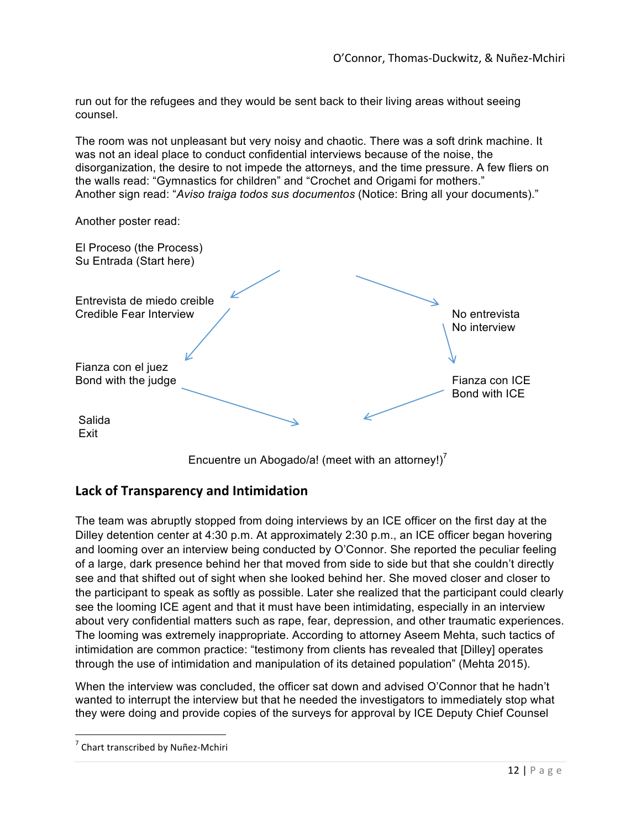run out for the refugees and they would be sent back to their living areas without seeing counsel.

The room was not unpleasant but very noisy and chaotic. There was a soft drink machine. It was not an ideal place to conduct confidential interviews because of the noise, the disorganization, the desire to not impede the attorneys, and the time pressure. A few fliers on the walls read: "Gymnastics for children" and "Crochet and Origami for mothers." Another sign read: "*Aviso traiga todos sus documentos* (Notice: Bring all your documents)."

| Another poster read:                                          |                                 |
|---------------------------------------------------------------|---------------------------------|
| El Proceso (the Process)<br>Su Entrada (Start here)           |                                 |
| Entrevista de miedo creible<br><b>Credible Fear Interview</b> | No entrevista<br>No interview   |
| Fianza con el juez<br>Bond with the judge                     | Fianza con ICE<br>Bond with ICE |
| Salida<br>Exit                                                |                                 |

Encuentre un Abogado/a! (meet with an attorney!) $^7$ 

### Lack of Transparency and Intimidation

The team was abruptly stopped from doing interviews by an ICE officer on the first day at the Dilley detention center at 4:30 p.m. At approximately 2:30 p.m., an ICE officer began hovering and looming over an interview being conducted by O'Connor. She reported the peculiar feeling of a large, dark presence behind her that moved from side to side but that she couldn't directly see and that shifted out of sight when she looked behind her. She moved closer and closer to the participant to speak as softly as possible. Later she realized that the participant could clearly see the looming ICE agent and that it must have been intimidating, especially in an interview about very confidential matters such as rape, fear, depression, and other traumatic experiences. The looming was extremely inappropriate. According to attorney Aseem Mehta, such tactics of intimidation are common practice: "testimony from clients has revealed that [Dilley] operates through the use of intimidation and manipulation of its detained population" (Mehta 2015).

When the interview was concluded, the officer sat down and advised O'Connor that he hadn't wanted to interrupt the interview but that he needed the investigators to immediately stop what they were doing and provide copies of the surveys for approval by ICE Deputy Chief Counsel

  $7$  Chart transcribed by Nuñez-Mchiri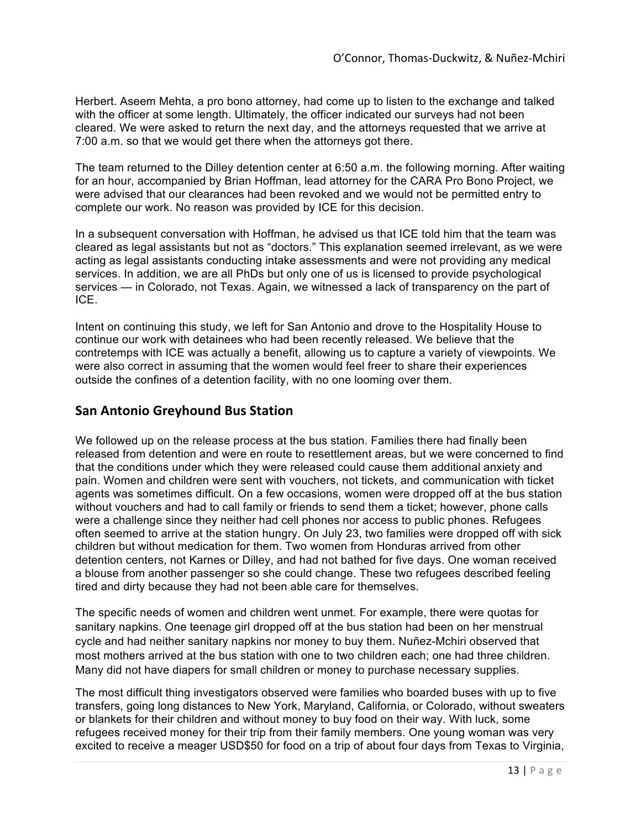Herbert. Aseem Mehta, a pro bono attorney, had come up to listen to the exchange and talked with the officer at some length. Ultimately, the officer indicated our surveys had not been cleared. We were asked to return the next day, and the attorneys requested that we arrive at 7:00 a.m. so that we would get there when the attorneys got there.

The team returned to the Dilley detention center at 6:50 a.m. the following morning. After waiting for an hour, accompanied by Brian Hoffman, lead attorney for the CARA Pro Bono Project, we were advised that our clearances had been revoked and we would not be permitted entry to complete our work. No reason was provided by ICE for this decision.

In a subsequent conversation with Hoffman, he advised us that ICE told him that the team was cleared as legal assistants but not as "doctors." This explanation seemed irrelevant, as we were acting as legal assistants conducting intake assessments and were not providing any medical services. In addition, we are all PhDs but only one of us is licensed to provide psychological services — in Colorado, not Texas. Again, we witnessed a lack of transparency on the part of ICE.

Intent on continuing this study, we left for San Antonio and drove to the Hospitality House to continue our work with detainees who had been recently released. We believe that the contretemps with ICE was actually a benefit, allowing us to capture a variety of viewpoints. We were also correct in assuming that the women would feel freer to share their experiences outside the confines of a detention facility, with no one looming over them.

## **San Antonio Greyhound Bus Station**

We followed up on the release process at the bus station. Families there had finally been released from detention and were en route to resettlement areas, but we were concerned to find that the conditions under which they were released could cause them additional anxiety and pain. Women and children were sent with vouchers, not tickets, and communication with ticket agents was sometimes difficult. On a few occasions, women were dropped off at the bus station without vouchers and had to call family or friends to send them a ticket; however, phone calls were a challenge since they neither had cell phones nor access to public phones. Refugees often seemed to arrive at the station hungry. On July 23, two families were dropped off with sick children but without medication for them. Two women from Honduras arrived from other detention centers, not Karnes or Dilley, and had not bathed for five days. One woman received a blouse from another passenger so she could change. These two refugees described feeling tired and dirty because they had not been able care for themselves.

The specific needs of women and children went unmet. For example, there were quotas for sanitary napkins. One teenage girl dropped off at the bus station had been on her menstrual cycle and had neither sanitary napkins nor money to buy them. Nuñez-Mchiri observed that most mothers arrived at the bus station with one to two children each; one had three children. Many did not have diapers for small children or money to purchase necessary supplies.

The most difficult thing investigators observed were families who boarded buses with up to five transfers, going long distances to New York, Maryland, California, or Colorado, without sweaters or blankets for their children and without money to buy food on their way. With luck, some refugees received money for their trip from their family members. One young woman was very excited to receive a meager USD\$50 for food on a trip of about four days from Texas to Virginia,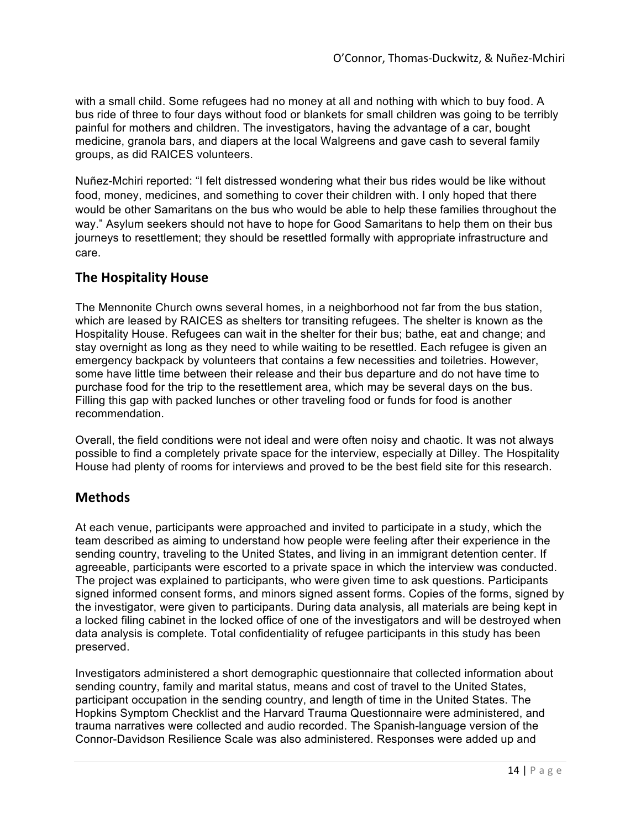with a small child. Some refugees had no money at all and nothing with which to buy food. A bus ride of three to four days without food or blankets for small children was going to be terribly painful for mothers and children. The investigators, having the advantage of a car, bought medicine, granola bars, and diapers at the local Walgreens and gave cash to several family groups, as did RAICES volunteers.

Nuñez-Mchiri reported: "I felt distressed wondering what their bus rides would be like without food, money, medicines, and something to cover their children with. I only hoped that there would be other Samaritans on the bus who would be able to help these families throughout the way." Asylum seekers should not have to hope for Good Samaritans to help them on their bus journeys to resettlement; they should be resettled formally with appropriate infrastructure and care.

### **The Hospitality House**

The Mennonite Church owns several homes, in a neighborhood not far from the bus station, which are leased by RAICES as shelters tor transiting refugees. The shelter is known as the Hospitality House. Refugees can wait in the shelter for their bus; bathe, eat and change; and stay overnight as long as they need to while waiting to be resettled. Each refugee is given an emergency backpack by volunteers that contains a few necessities and toiletries. However, some have little time between their release and their bus departure and do not have time to purchase food for the trip to the resettlement area, which may be several days on the bus. Filling this gap with packed lunches or other traveling food or funds for food is another recommendation.

Overall, the field conditions were not ideal and were often noisy and chaotic. It was not always possible to find a completely private space for the interview, especially at Dilley. The Hospitality House had plenty of rooms for interviews and proved to be the best field site for this research.

### **Methods**

At each venue, participants were approached and invited to participate in a study, which the team described as aiming to understand how people were feeling after their experience in the sending country, traveling to the United States, and living in an immigrant detention center. If agreeable, participants were escorted to a private space in which the interview was conducted. The project was explained to participants, who were given time to ask questions. Participants signed informed consent forms, and minors signed assent forms. Copies of the forms, signed by the investigator, were given to participants. During data analysis, all materials are being kept in a locked filing cabinet in the locked office of one of the investigators and will be destroyed when data analysis is complete. Total confidentiality of refugee participants in this study has been preserved.

Investigators administered a short demographic questionnaire that collected information about sending country, family and marital status, means and cost of travel to the United States, participant occupation in the sending country, and length of time in the United States. The Hopkins Symptom Checklist and the Harvard Trauma Questionnaire were administered, and trauma narratives were collected and audio recorded. The Spanish-language version of the Connor-Davidson Resilience Scale was also administered. Responses were added up and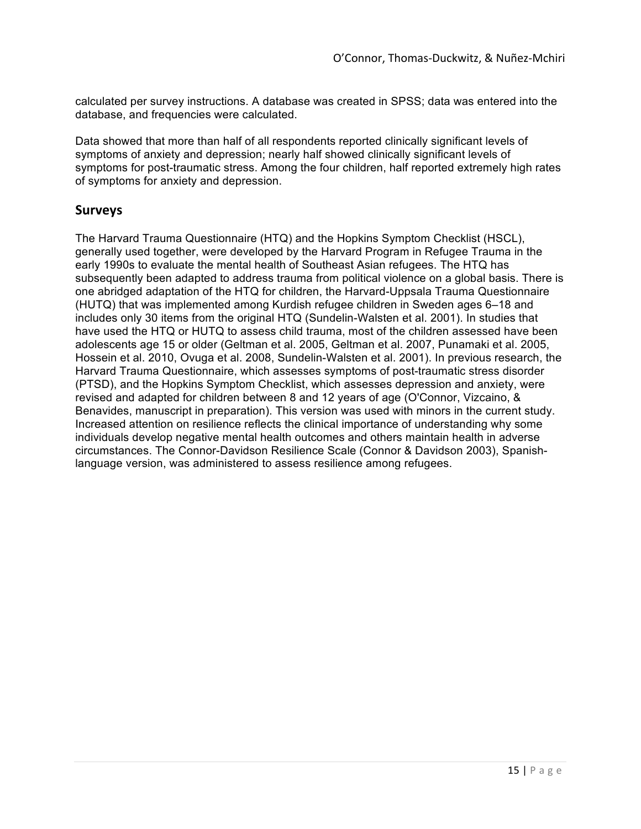calculated per survey instructions. A database was created in SPSS; data was entered into the database, and frequencies were calculated.

Data showed that more than half of all respondents reported clinically significant levels of symptoms of anxiety and depression; nearly half showed clinically significant levels of symptoms for post-traumatic stress. Among the four children, half reported extremely high rates of symptoms for anxiety and depression.

### **Surveys**

The Harvard Trauma Questionnaire (HTQ) and the Hopkins Symptom Checklist (HSCL), generally used together, were developed by the Harvard Program in Refugee Trauma in the early 1990s to evaluate the mental health of Southeast Asian refugees. The HTQ has subsequently been adapted to address trauma from political violence on a global basis. There is one abridged adaptation of the HTQ for children, the Harvard-Uppsala Trauma Questionnaire (HUTQ) that was implemented among Kurdish refugee children in Sweden ages 6–18 and includes only 30 items from the original HTQ (Sundelin-Walsten et al. 2001). In studies that have used the HTQ or HUTQ to assess child trauma, most of the children assessed have been adolescents age 15 or older (Geltman et al. 2005, Geltman et al. 2007, Punamaki et al. 2005, Hossein et al. 2010, Ovuga et al. 2008, Sundelin-Walsten et al. 2001). In previous research, the Harvard Trauma Questionnaire, which assesses symptoms of post-traumatic stress disorder (PTSD), and the Hopkins Symptom Checklist, which assesses depression and anxiety, were revised and adapted for children between 8 and 12 years of age (O'Connor, Vizcaino, & Benavides, manuscript in preparation). This version was used with minors in the current study. Increased attention on resilience reflects the clinical importance of understanding why some individuals develop negative mental health outcomes and others maintain health in adverse circumstances. The Connor-Davidson Resilience Scale (Connor & Davidson 2003), Spanishlanguage version, was administered to assess resilience among refugees.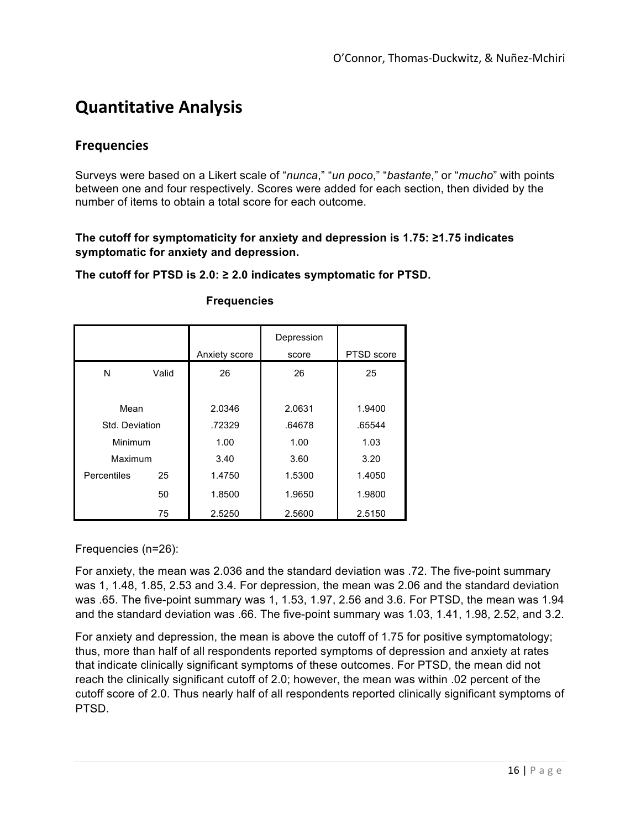# **Quantitative Analysis**

## **Frequencies**

Surveys were based on a Likert scale of "*nunca*," "*un poco*," "*bastante*," or "*mucho*" with points between one and four respectively. Scores were added for each section, then divided by the number of items to obtain a total score for each outcome.

#### **The cutoff for symptomaticity for anxiety and depression is 1.75: ≥1.75 indicates symptomatic for anxiety and depression.**

**The cutoff for PTSD is 2.0: ≥ 2.0 indicates symptomatic for PTSD.**

|                |       |               | Depression |            |
|----------------|-------|---------------|------------|------------|
|                |       | Anxiety score | score      | PTSD score |
| N              | Valid | 26            | 26         | 25         |
|                |       |               |            |            |
| Mean           |       | 2.0346        | 2.0631     | 1.9400     |
| Std. Deviation |       | .72329        | .64678     | .65544     |
| Minimum        |       | 1.00          | 1.00       | 1.03       |
| Maximum        |       | 3.40          | 3.60       | 3.20       |
| Percentiles    | 25    | 1.4750        | 1.5300     | 1.4050     |
|                | 50    | 1.8500        | 1.9650     | 1.9800     |
|                | 75    | 2.5250        | 2.5600     | 2.5150     |

#### **Frequencies**

Frequencies (n=26):

For anxiety, the mean was 2.036 and the standard deviation was .72. The five-point summary was 1, 1.48, 1.85, 2.53 and 3.4. For depression, the mean was 2.06 and the standard deviation was .65. The five-point summary was 1, 1.53, 1.97, 2.56 and 3.6. For PTSD, the mean was 1.94 and the standard deviation was .66. The five-point summary was 1.03, 1.41, 1.98, 2.52, and 3.2.

For anxiety and depression, the mean is above the cutoff of 1.75 for positive symptomatology; thus, more than half of all respondents reported symptoms of depression and anxiety at rates that indicate clinically significant symptoms of these outcomes. For PTSD, the mean did not reach the clinically significant cutoff of 2.0; however, the mean was within .02 percent of the cutoff score of 2.0. Thus nearly half of all respondents reported clinically significant symptoms of PTSD.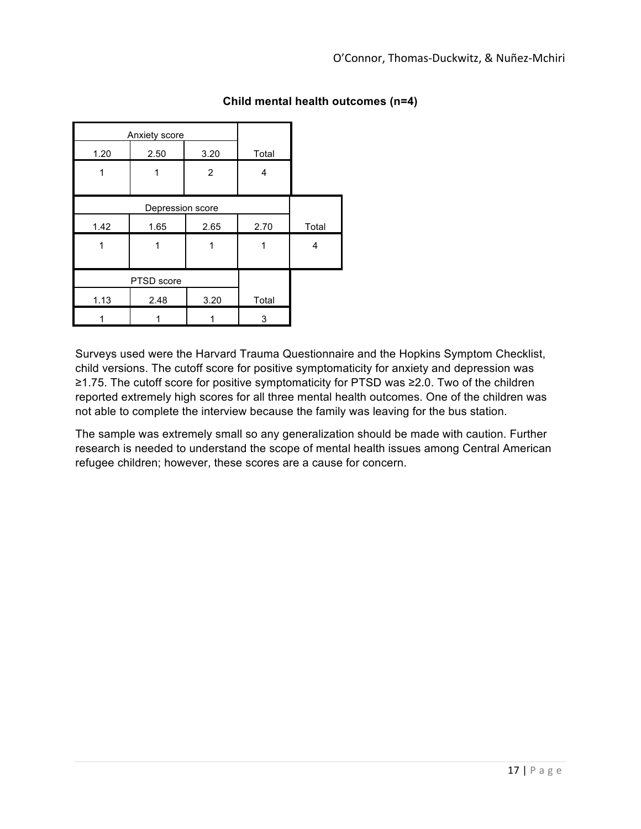| Anxiety score |      |      |       |       |
|---------------|------|------|-------|-------|
| 1.20          | 2.50 | 3.20 | Total |       |
|               |      | 2    | 4     |       |
|               |      |      |       |       |
|               |      |      |       |       |
| 1.42          | 1.65 | 2.65 | 2.70  | Total |
|               |      |      |       | 4     |
|               |      |      |       |       |
| PTSD score    |      |      |       |       |
| 1.13          | 2.48 | 3.20 | Total |       |
|               |      |      | 3     |       |

### **Child mental health outcomes (n=4)**

Surveys used were the Harvard Trauma Questionnaire and the Hopkins Symptom Checklist, child versions. The cutoff score for positive symptomaticity for anxiety and depression was ≥1.75. The cutoff score for positive symptomaticity for PTSD was ≥2.0. Two of the children reported extremely high scores for all three mental health outcomes. One of the children was not able to complete the interview because the family was leaving for the bus station.

The sample was extremely small so any generalization should be made with caution. Further research is needed to understand the scope of mental health issues among Central American refugee children; however, these scores are a cause for concern.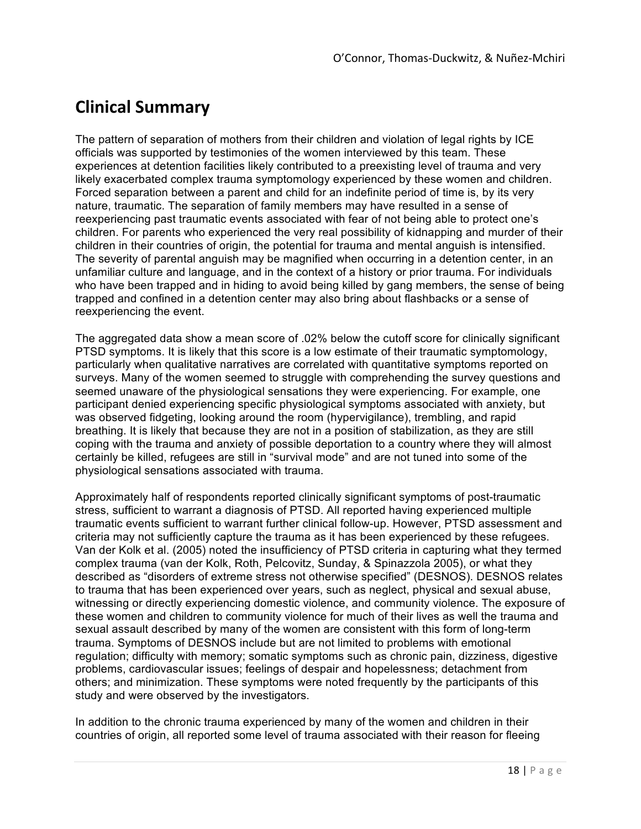# **Clinical Summary**

The pattern of separation of mothers from their children and violation of legal rights by ICE officials was supported by testimonies of the women interviewed by this team. These experiences at detention facilities likely contributed to a preexisting level of trauma and very likely exacerbated complex trauma symptomology experienced by these women and children. Forced separation between a parent and child for an indefinite period of time is, by its very nature, traumatic. The separation of family members may have resulted in a sense of reexperiencing past traumatic events associated with fear of not being able to protect one's children. For parents who experienced the very real possibility of kidnapping and murder of their children in their countries of origin, the potential for trauma and mental anguish is intensified. The severity of parental anguish may be magnified when occurring in a detention center, in an unfamiliar culture and language, and in the context of a history or prior trauma. For individuals who have been trapped and in hiding to avoid being killed by gang members, the sense of being trapped and confined in a detention center may also bring about flashbacks or a sense of reexperiencing the event.

The aggregated data show a mean score of .02% below the cutoff score for clinically significant PTSD symptoms. It is likely that this score is a low estimate of their traumatic symptomology, particularly when qualitative narratives are correlated with quantitative symptoms reported on surveys. Many of the women seemed to struggle with comprehending the survey questions and seemed unaware of the physiological sensations they were experiencing. For example, one participant denied experiencing specific physiological symptoms associated with anxiety, but was observed fidgeting, looking around the room (hypervigilance), trembling, and rapid breathing. It is likely that because they are not in a position of stabilization, as they are still coping with the trauma and anxiety of possible deportation to a country where they will almost certainly be killed, refugees are still in "survival mode" and are not tuned into some of the physiological sensations associated with trauma.

Approximately half of respondents reported clinically significant symptoms of post-traumatic stress, sufficient to warrant a diagnosis of PTSD. All reported having experienced multiple traumatic events sufficient to warrant further clinical follow-up. However, PTSD assessment and criteria may not sufficiently capture the trauma as it has been experienced by these refugees. Van der Kolk et al. (2005) noted the insufficiency of PTSD criteria in capturing what they termed complex trauma (van der Kolk, Roth, Pelcovitz, Sunday, & Spinazzola 2005), or what they described as "disorders of extreme stress not otherwise specified" (DESNOS). DESNOS relates to trauma that has been experienced over years, such as neglect, physical and sexual abuse, witnessing or directly experiencing domestic violence, and community violence. The exposure of these women and children to community violence for much of their lives as well the trauma and sexual assault described by many of the women are consistent with this form of long-term trauma. Symptoms of DESNOS include but are not limited to problems with emotional regulation; difficulty with memory; somatic symptoms such as chronic pain, dizziness, digestive problems, cardiovascular issues; feelings of despair and hopelessness; detachment from others; and minimization. These symptoms were noted frequently by the participants of this study and were observed by the investigators.

In addition to the chronic trauma experienced by many of the women and children in their countries of origin, all reported some level of trauma associated with their reason for fleeing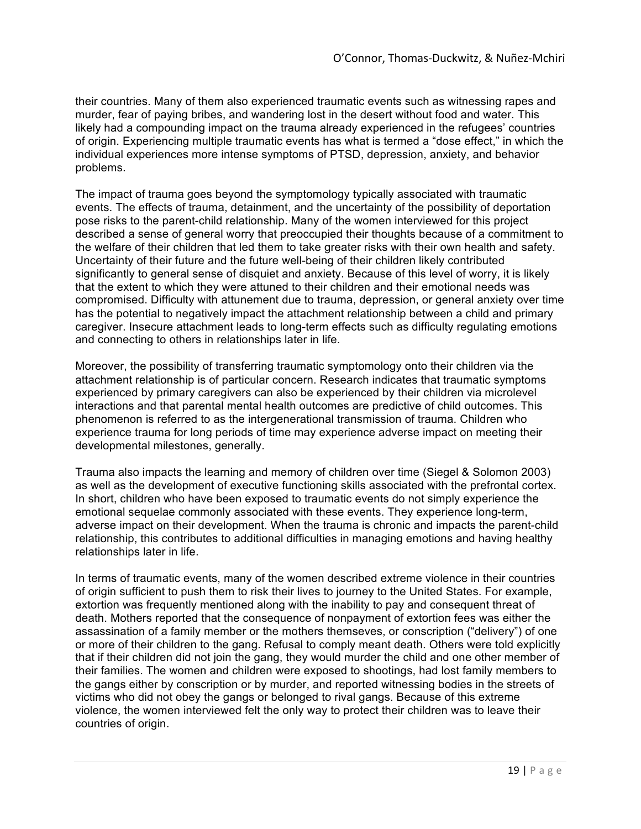their countries. Many of them also experienced traumatic events such as witnessing rapes and murder, fear of paying bribes, and wandering lost in the desert without food and water. This likely had a compounding impact on the trauma already experienced in the refugees' countries of origin. Experiencing multiple traumatic events has what is termed a "dose effect," in which the individual experiences more intense symptoms of PTSD, depression, anxiety, and behavior problems.

The impact of trauma goes beyond the symptomology typically associated with traumatic events. The effects of trauma, detainment, and the uncertainty of the possibility of deportation pose risks to the parent-child relationship. Many of the women interviewed for this project described a sense of general worry that preoccupied their thoughts because of a commitment to the welfare of their children that led them to take greater risks with their own health and safety. Uncertainty of their future and the future well-being of their children likely contributed significantly to general sense of disquiet and anxiety. Because of this level of worry, it is likely that the extent to which they were attuned to their children and their emotional needs was compromised. Difficulty with attunement due to trauma, depression, or general anxiety over time has the potential to negatively impact the attachment relationship between a child and primary caregiver. Insecure attachment leads to long-term effects such as difficulty regulating emotions and connecting to others in relationships later in life.

Moreover, the possibility of transferring traumatic symptomology onto their children via the attachment relationship is of particular concern. Research indicates that traumatic symptoms experienced by primary caregivers can also be experienced by their children via microlevel interactions and that parental mental health outcomes are predictive of child outcomes. This phenomenon is referred to as the intergenerational transmission of trauma. Children who experience trauma for long periods of time may experience adverse impact on meeting their developmental milestones, generally.

Trauma also impacts the learning and memory of children over time (Siegel & Solomon 2003) as well as the development of executive functioning skills associated with the prefrontal cortex. In short, children who have been exposed to traumatic events do not simply experience the emotional sequelae commonly associated with these events. They experience long-term, adverse impact on their development. When the trauma is chronic and impacts the parent-child relationship, this contributes to additional difficulties in managing emotions and having healthy relationships later in life.

In terms of traumatic events, many of the women described extreme violence in their countries of origin sufficient to push them to risk their lives to journey to the United States. For example, extortion was frequently mentioned along with the inability to pay and consequent threat of death. Mothers reported that the consequence of nonpayment of extortion fees was either the assassination of a family member or the mothers themseves, or conscription ("delivery") of one or more of their children to the gang. Refusal to comply meant death. Others were told explicitly that if their children did not join the gang, they would murder the child and one other member of their families. The women and children were exposed to shootings, had lost family members to the gangs either by conscription or by murder, and reported witnessing bodies in the streets of victims who did not obey the gangs or belonged to rival gangs. Because of this extreme violence, the women interviewed felt the only way to protect their children was to leave their countries of origin.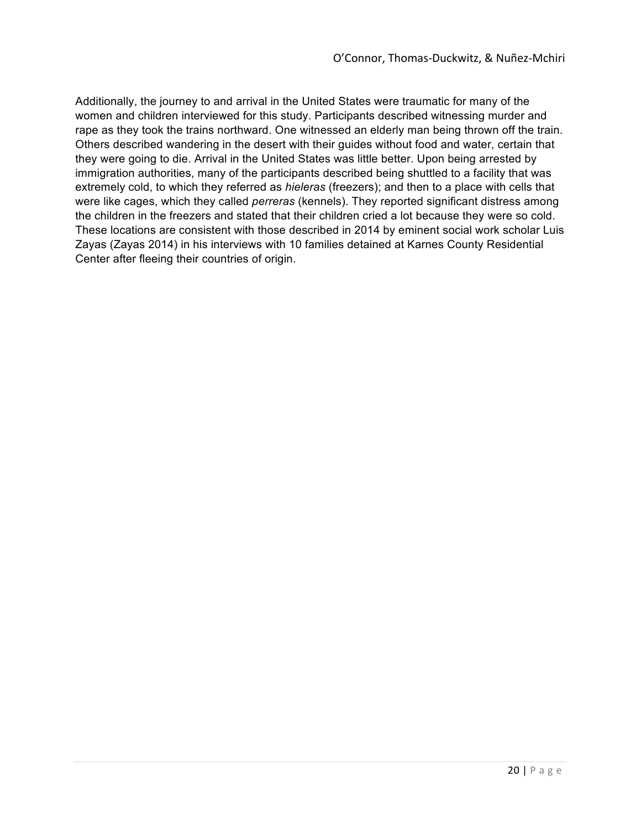Additionally, the journey to and arrival in the United States were traumatic for many of the women and children interviewed for this study. Participants described witnessing murder and rape as they took the trains northward. One witnessed an elderly man being thrown off the train. Others described wandering in the desert with their guides without food and water, certain that they were going to die. Arrival in the United States was little better. Upon being arrested by immigration authorities, many of the participants described being shuttled to a facility that was extremely cold, to which they referred as *hieleras* (freezers); and then to a place with cells that were like cages, which they called *perreras* (kennels). They reported significant distress among the children in the freezers and stated that their children cried a lot because they were so cold. These locations are consistent with those described in 2014 by eminent social work scholar Luis Zayas (Zayas 2014) in his interviews with 10 families detained at Karnes County Residential Center after fleeing their countries of origin.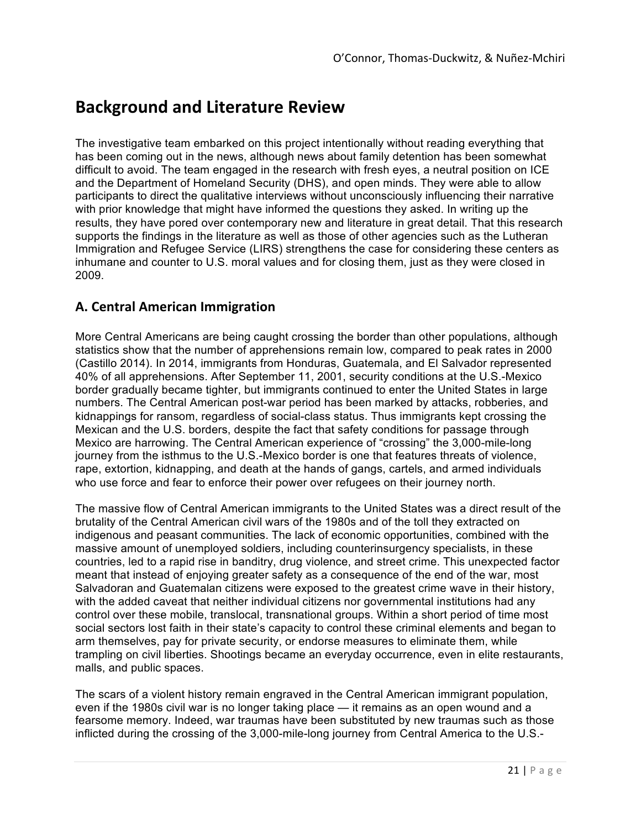# **Background and Literature Review**

The investigative team embarked on this project intentionally without reading everything that has been coming out in the news, although news about family detention has been somewhat difficult to avoid. The team engaged in the research with fresh eyes, a neutral position on ICE and the Department of Homeland Security (DHS), and open minds. They were able to allow participants to direct the qualitative interviews without unconsciously influencing their narrative with prior knowledge that might have informed the questions they asked. In writing up the results, they have pored over contemporary new and literature in great detail. That this research supports the findings in the literature as well as those of other agencies such as the Lutheran Immigration and Refugee Service (LIRS) strengthens the case for considering these centers as inhumane and counter to U.S. moral values and for closing them, just as they were closed in 2009.

## **A. Central American Immigration**

More Central Americans are being caught crossing the border than other populations, although statistics show that the number of apprehensions remain low, compared to peak rates in 2000 (Castillo 2014). In 2014, immigrants from Honduras, Guatemala, and El Salvador represented 40% of all apprehensions. After September 11, 2001, security conditions at the U.S.-Mexico border gradually became tighter, but immigrants continued to enter the United States in large numbers. The Central American post-war period has been marked by attacks, robberies, and kidnappings for ransom, regardless of social-class status. Thus immigrants kept crossing the Mexican and the U.S. borders, despite the fact that safety conditions for passage through Mexico are harrowing. The Central American experience of "crossing" the 3,000-mile-long journey from the isthmus to the U.S.-Mexico border is one that features threats of violence, rape, extortion, kidnapping, and death at the hands of gangs, cartels, and armed individuals who use force and fear to enforce their power over refugees on their journey north.

The massive flow of Central American immigrants to the United States was a direct result of the brutality of the Central American civil wars of the 1980s and of the toll they extracted on indigenous and peasant communities. The lack of economic opportunities, combined with the massive amount of unemployed soldiers, including counterinsurgency specialists, in these countries, led to a rapid rise in banditry, drug violence, and street crime. This unexpected factor meant that instead of enjoying greater safety as a consequence of the end of the war, most Salvadoran and Guatemalan citizens were exposed to the greatest crime wave in their history, with the added caveat that neither individual citizens nor governmental institutions had any control over these mobile, translocal, transnational groups. Within a short period of time most social sectors lost faith in their state's capacity to control these criminal elements and began to arm themselves, pay for private security, or endorse measures to eliminate them, while trampling on civil liberties. Shootings became an everyday occurrence, even in elite restaurants, malls, and public spaces.

The scars of a violent history remain engraved in the Central American immigrant population, even if the 1980s civil war is no longer taking place — it remains as an open wound and a fearsome memory. Indeed, war traumas have been substituted by new traumas such as those inflicted during the crossing of the 3,000-mile-long journey from Central America to the U.S.-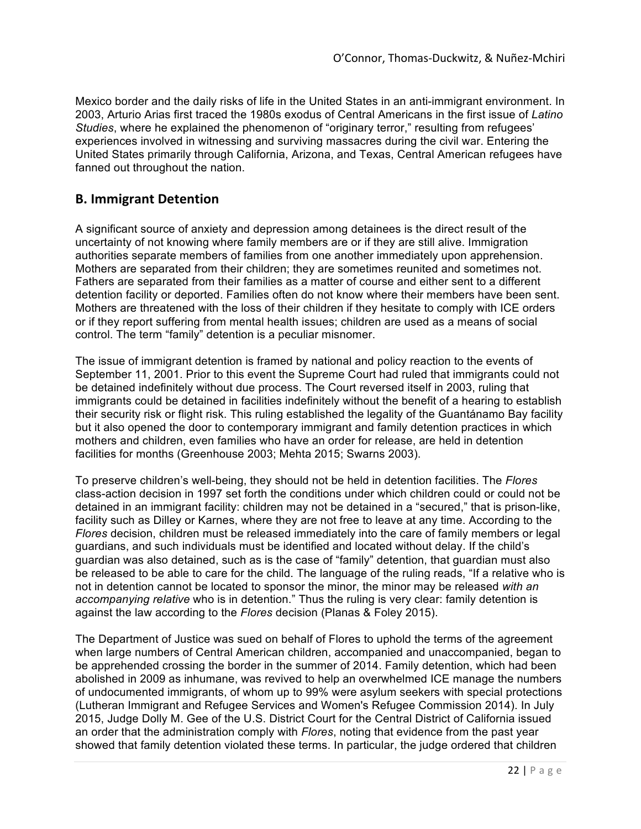Mexico border and the daily risks of life in the United States in an anti-immigrant environment. In 2003, Arturio Arias first traced the 1980s exodus of Central Americans in the first issue of *Latino Studies*, where he explained the phenomenon of "originary terror," resulting from refugees' experiences involved in witnessing and surviving massacres during the civil war. Entering the United States primarily through California, Arizona, and Texas, Central American refugees have fanned out throughout the nation.

### **B. Immigrant Detention**

A significant source of anxiety and depression among detainees is the direct result of the uncertainty of not knowing where family members are or if they are still alive. Immigration authorities separate members of families from one another immediately upon apprehension. Mothers are separated from their children; they are sometimes reunited and sometimes not. Fathers are separated from their families as a matter of course and either sent to a different detention facility or deported. Families often do not know where their members have been sent. Mothers are threatened with the loss of their children if they hesitate to comply with ICE orders or if they report suffering from mental health issues; children are used as a means of social control. The term "family" detention is a peculiar misnomer.

The issue of immigrant detention is framed by national and policy reaction to the events of September 11, 2001. Prior to this event the Supreme Court had ruled that immigrants could not be detained indefinitely without due process. The Court reversed itself in 2003, ruling that immigrants could be detained in facilities indefinitely without the benefit of a hearing to establish their security risk or flight risk. This ruling established the legality of the Guantánamo Bay facility but it also opened the door to contemporary immigrant and family detention practices in which mothers and children, even families who have an order for release, are held in detention facilities for months (Greenhouse 2003; Mehta 2015; Swarns 2003).

To preserve children's well-being, they should not be held in detention facilities. The *Flores* class-action decision in 1997 set forth the conditions under which children could or could not be detained in an immigrant facility: children may not be detained in a "secured," that is prison-like, facility such as Dilley or Karnes, where they are not free to leave at any time. According to the *Flores* decision, children must be released immediately into the care of family members or legal guardians, and such individuals must be identified and located without delay. If the child's guardian was also detained, such as is the case of "family" detention, that guardian must also be released to be able to care for the child. The language of the ruling reads, "If a relative who is not in detention cannot be located to sponsor the minor, the minor may be released *with an accompanying relative* who is in detention." Thus the ruling is very clear: family detention is against the law according to the *Flores* decision (Planas & Foley 2015).

The Department of Justice was sued on behalf of Flores to uphold the terms of the agreement when large numbers of Central American children, accompanied and unaccompanied, began to be apprehended crossing the border in the summer of 2014. Family detention, which had been abolished in 2009 as inhumane, was revived to help an overwhelmed ICE manage the numbers of undocumented immigrants, of whom up to 99% were asylum seekers with special protections (Lutheran Immigrant and Refugee Services and Women's Refugee Commission 2014). In July 2015, Judge Dolly M. Gee of the U.S. District Court for the Central District of California issued an order that the administration comply with *Flores*, noting that evidence from the past year showed that family detention violated these terms. In particular, the judge ordered that children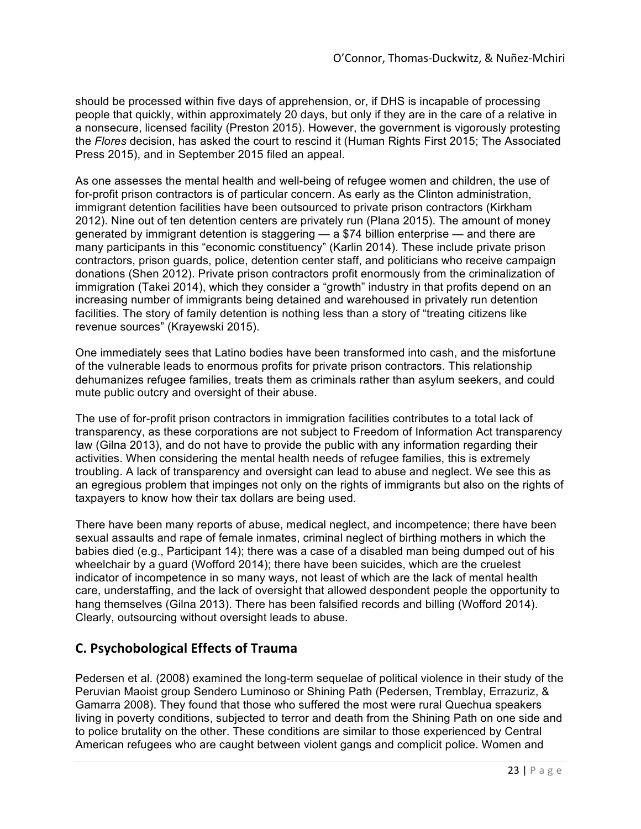should be processed within five days of apprehension, or, if DHS is incapable of processing people that quickly, within approximately 20 days, but only if they are in the care of a relative in a nonsecure, licensed facility (Preston 2015). However, the government is vigorously protesting the *Flores* decision, has asked the court to rescind it (Human Rights First 2015; The Associated Press 2015), and in September 2015 filed an appeal.

As one assesses the mental health and well-being of refugee women and children, the use of for-profit prison contractors is of particular concern. As early as the Clinton administration, immigrant detention facilities have been outsourced to private prison contractors (Kirkham 2012). Nine out of ten detention centers are privately run (Plana 2015). The amount of money generated by immigrant detention is staggering — a \$74 billion enterprise — and there are many participants in this "economic constituency" (Karlin 2014). These include private prison contractors, prison guards, police, detention center staff, and politicians who receive campaign donations (Shen 2012). Private prison contractors profit enormously from the criminalization of immigration (Takei 2014), which they consider a "growth" industry in that profits depend on an increasing number of immigrants being detained and warehoused in privately run detention facilities. The story of family detention is nothing less than a story of "treating citizens like revenue sources" (Krayewski 2015).

One immediately sees that Latino bodies have been transformed into cash, and the misfortune of the vulnerable leads to enormous profits for private prison contractors. This relationship dehumanizes refugee families, treats them as criminals rather than asylum seekers, and could mute public outcry and oversight of their abuse.

The use of for-profit prison contractors in immigration facilities contributes to a total lack of transparency, as these corporations are not subject to Freedom of Information Act transparency law (Gilna 2013), and do not have to provide the public with any information regarding their activities. When considering the mental health needs of refugee families, this is extremely troubling. A lack of transparency and oversight can lead to abuse and neglect. We see this as an egregious problem that impinges not only on the rights of immigrants but also on the rights of taxpayers to know how their tax dollars are being used.

There have been many reports of abuse, medical neglect, and incompetence; there have been sexual assaults and rape of female inmates, criminal neglect of birthing mothers in which the babies died (e.g., Participant 14); there was a case of a disabled man being dumped out of his wheelchair by a guard (Wofford 2014); there have been suicides, which are the cruelest indicator of incompetence in so many ways, not least of which are the lack of mental health care, understaffing, and the lack of oversight that allowed despondent people the opportunity to hang themselves (Gilna 2013). There has been falsified records and billing (Wofford 2014). Clearly, outsourcing without oversight leads to abuse.

## **C. Psychobological Effects of Trauma**

Pedersen et al. (2008) examined the long-term sequelae of political violence in their study of the Peruvian Maoist group Sendero Luminoso or Shining Path (Pedersen, Tremblay, Errazuriz, & Gamarra 2008). They found that those who suffered the most were rural Quechua speakers living in poverty conditions, subjected to terror and death from the Shining Path on one side and to police brutality on the other. These conditions are similar to those experienced by Central American refugees who are caught between violent gangs and complicit police. Women and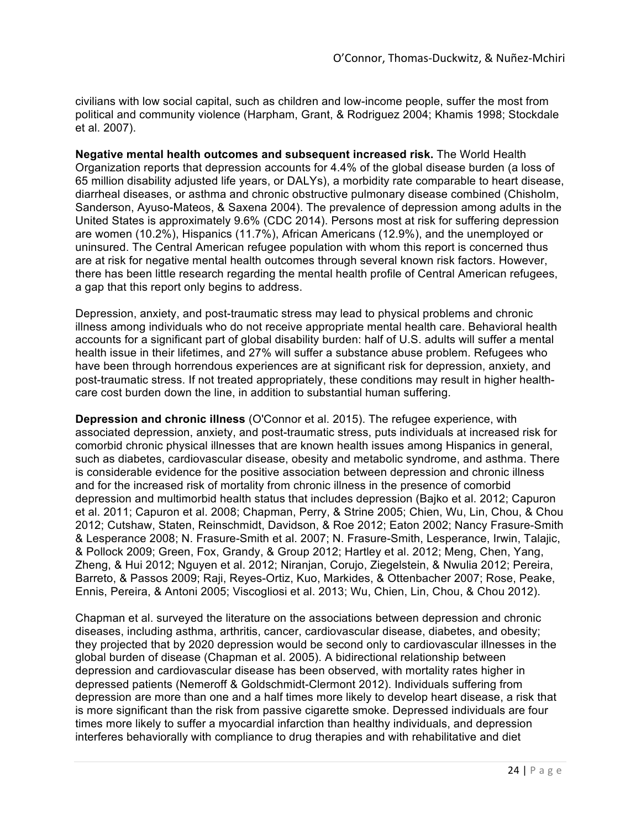civilians with low social capital, such as children and low-income people, suffer the most from political and community violence (Harpham, Grant, & Rodriguez 2004; Khamis 1998; Stockdale et al. 2007).

**Negative mental health outcomes and subsequent increased risk.** The World Health Organization reports that depression accounts for 4.4% of the global disease burden (a loss of 65 million disability adjusted life years, or DALYs), a morbidity rate comparable to heart disease, diarrheal diseases, or asthma and chronic obstructive pulmonary disease combined (Chisholm, Sanderson, Ayuso-Mateos, & Saxena 2004). The prevalence of depression among adults in the United States is approximately 9.6% (CDC 2014). Persons most at risk for suffering depression are women (10.2%), Hispanics (11.7%), African Americans (12.9%), and the unemployed or uninsured. The Central American refugee population with whom this report is concerned thus are at risk for negative mental health outcomes through several known risk factors. However, there has been little research regarding the mental health profile of Central American refugees, a gap that this report only begins to address.

Depression, anxiety, and post-traumatic stress may lead to physical problems and chronic illness among individuals who do not receive appropriate mental health care. Behavioral health accounts for a significant part of global disability burden: half of U.S. adults will suffer a mental health issue in their lifetimes, and 27% will suffer a substance abuse problem. Refugees who have been through horrendous experiences are at significant risk for depression, anxiety, and post-traumatic stress. If not treated appropriately, these conditions may result in higher healthcare cost burden down the line, in addition to substantial human suffering.

**Depression and chronic illness** (O'Connor et al. 2015). The refugee experience, with associated depression, anxiety, and post-traumatic stress, puts individuals at increased risk for comorbid chronic physical illnesses that are known health issues among Hispanics in general, such as diabetes, cardiovascular disease, obesity and metabolic syndrome, and asthma. There is considerable evidence for the positive association between depression and chronic illness and for the increased risk of mortality from chronic illness in the presence of comorbid depression and multimorbid health status that includes depression (Bajko et al. 2012; Capuron et al. 2011; Capuron et al. 2008; Chapman, Perry, & Strine 2005; Chien, Wu, Lin, Chou, & Chou 2012; Cutshaw, Staten, Reinschmidt, Davidson, & Roe 2012; Eaton 2002; Nancy Frasure-Smith & Lesperance 2008; N. Frasure-Smith et al. 2007; N. Frasure-Smith, Lesperance, Irwin, Talajic, & Pollock 2009; Green, Fox, Grandy, & Group 2012; Hartley et al. 2012; Meng, Chen, Yang, Zheng, & Hui 2012; Nguyen et al. 2012; Niranjan, Corujo, Ziegelstein, & Nwulia 2012; Pereira, Barreto, & Passos 2009; Raji, Reyes-Ortiz, Kuo, Markides, & Ottenbacher 2007; Rose, Peake, Ennis, Pereira, & Antoni 2005; Viscogliosi et al. 2013; Wu, Chien, Lin, Chou, & Chou 2012).

Chapman et al. surveyed the literature on the associations between depression and chronic diseases, including asthma, arthritis, cancer, cardiovascular disease, diabetes, and obesity; they projected that by 2020 depression would be second only to cardiovascular illnesses in the global burden of disease (Chapman et al. 2005). A bidirectional relationship between depression and cardiovascular disease has been observed, with mortality rates higher in depressed patients (Nemeroff & Goldschmidt-Clermont 2012). Individuals suffering from depression are more than one and a half times more likely to develop heart disease, a risk that is more significant than the risk from passive cigarette smoke. Depressed individuals are four times more likely to suffer a myocardial infarction than healthy individuals, and depression interferes behaviorally with compliance to drug therapies and with rehabilitative and diet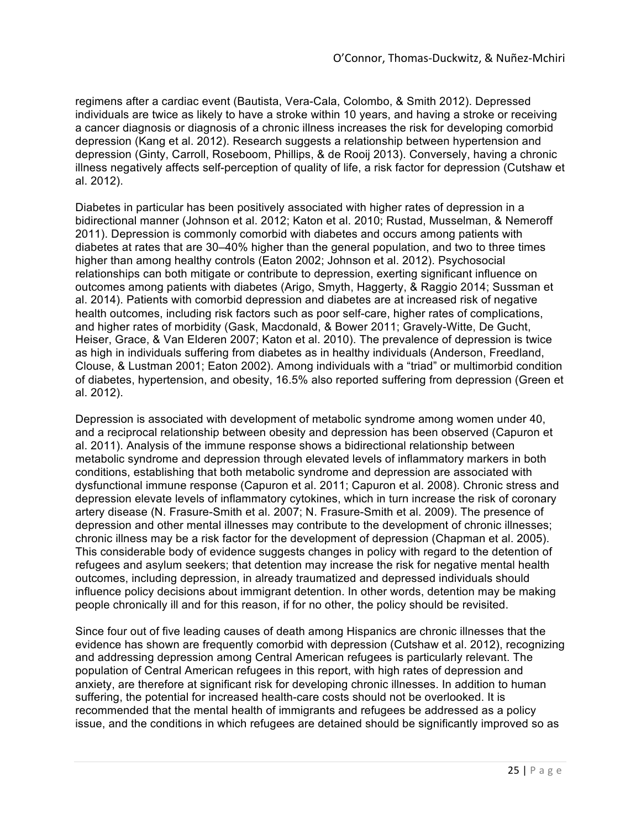regimens after a cardiac event (Bautista, Vera-Cala, Colombo, & Smith 2012). Depressed individuals are twice as likely to have a stroke within 10 years, and having a stroke or receiving a cancer diagnosis or diagnosis of a chronic illness increases the risk for developing comorbid depression (Kang et al. 2012). Research suggests a relationship between hypertension and depression (Ginty, Carroll, Roseboom, Phillips, & de Rooij 2013). Conversely, having a chronic illness negatively affects self-perception of quality of life, a risk factor for depression (Cutshaw et al. 2012).

Diabetes in particular has been positively associated with higher rates of depression in a bidirectional manner (Johnson et al. 2012; Katon et al. 2010; Rustad, Musselman, & Nemeroff 2011). Depression is commonly comorbid with diabetes and occurs among patients with diabetes at rates that are 30–40% higher than the general population, and two to three times higher than among healthy controls (Eaton 2002; Johnson et al. 2012). Psychosocial relationships can both mitigate or contribute to depression, exerting significant influence on outcomes among patients with diabetes (Arigo, Smyth, Haggerty, & Raggio 2014; Sussman et al. 2014). Patients with comorbid depression and diabetes are at increased risk of negative health outcomes, including risk factors such as poor self-care, higher rates of complications, and higher rates of morbidity (Gask, Macdonald, & Bower 2011; Gravely-Witte, De Gucht, Heiser, Grace, & Van Elderen 2007; Katon et al. 2010). The prevalence of depression is twice as high in individuals suffering from diabetes as in healthy individuals (Anderson, Freedland, Clouse, & Lustman 2001; Eaton 2002). Among individuals with a "triad" or multimorbid condition of diabetes, hypertension, and obesity, 16.5% also reported suffering from depression (Green et al. 2012).

Depression is associated with development of metabolic syndrome among women under 40, and a reciprocal relationship between obesity and depression has been observed (Capuron et al. 2011). Analysis of the immune response shows a bidirectional relationship between metabolic syndrome and depression through elevated levels of inflammatory markers in both conditions, establishing that both metabolic syndrome and depression are associated with dysfunctional immune response (Capuron et al. 2011; Capuron et al. 2008). Chronic stress and depression elevate levels of inflammatory cytokines, which in turn increase the risk of coronary artery disease (N. Frasure-Smith et al. 2007; N. Frasure-Smith et al. 2009). The presence of depression and other mental illnesses may contribute to the development of chronic illnesses; chronic illness may be a risk factor for the development of depression (Chapman et al. 2005). This considerable body of evidence suggests changes in policy with regard to the detention of refugees and asylum seekers; that detention may increase the risk for negative mental health outcomes, including depression, in already traumatized and depressed individuals should influence policy decisions about immigrant detention. In other words, detention may be making people chronically ill and for this reason, if for no other, the policy should be revisited.

Since four out of five leading causes of death among Hispanics are chronic illnesses that the evidence has shown are frequently comorbid with depression (Cutshaw et al. 2012), recognizing and addressing depression among Central American refugees is particularly relevant. The population of Central American refugees in this report, with high rates of depression and anxiety, are therefore at significant risk for developing chronic illnesses. In addition to human suffering, the potential for increased health-care costs should not be overlooked. It is recommended that the mental health of immigrants and refugees be addressed as a policy issue, and the conditions in which refugees are detained should be significantly improved so as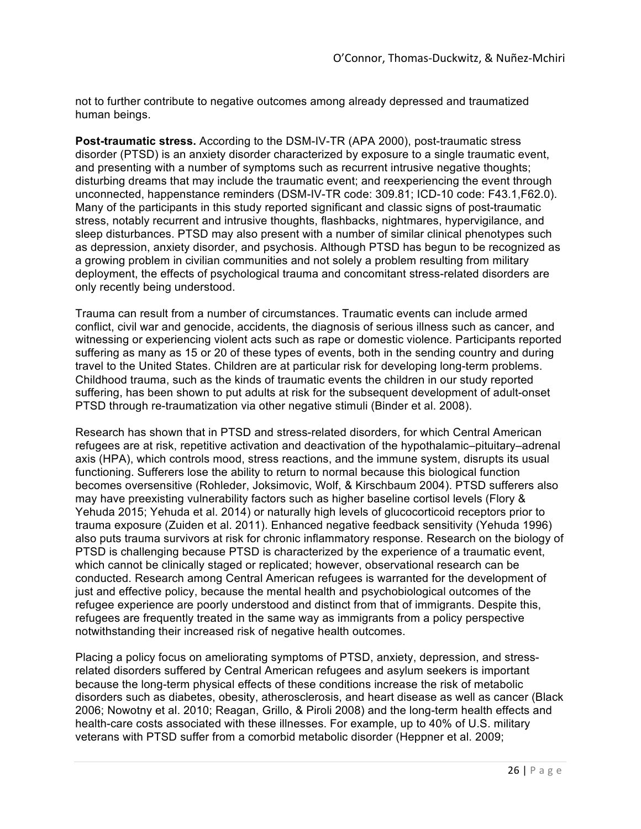not to further contribute to negative outcomes among already depressed and traumatized human beings.

**Post-traumatic stress.** According to the DSM-IV-TR (APA 2000), post-traumatic stress disorder (PTSD) is an anxiety disorder characterized by exposure to a single traumatic event, and presenting with a number of symptoms such as recurrent intrusive negative thoughts; disturbing dreams that may include the traumatic event; and reexperiencing the event through unconnected, happenstance reminders (DSM-IV-TR code: 309.81; ICD-10 code: F43.1,F62.0). Many of the participants in this study reported significant and classic signs of post-traumatic stress, notably recurrent and intrusive thoughts, flashbacks, nightmares, hypervigilance, and sleep disturbances. PTSD may also present with a number of similar clinical phenotypes such as depression, anxiety disorder, and psychosis. Although PTSD has begun to be recognized as a growing problem in civilian communities and not solely a problem resulting from military deployment, the effects of psychological trauma and concomitant stress-related disorders are only recently being understood.

Trauma can result from a number of circumstances. Traumatic events can include armed conflict, civil war and genocide, accidents, the diagnosis of serious illness such as cancer, and witnessing or experiencing violent acts such as rape or domestic violence. Participants reported suffering as many as 15 or 20 of these types of events, both in the sending country and during travel to the United States. Children are at particular risk for developing long-term problems. Childhood trauma, such as the kinds of traumatic events the children in our study reported suffering, has been shown to put adults at risk for the subsequent development of adult-onset PTSD through re-traumatization via other negative stimuli (Binder et al. 2008).

Research has shown that in PTSD and stress-related disorders, for which Central American refugees are at risk, repetitive activation and deactivation of the hypothalamic–pituitary–adrenal axis (HPA), which controls mood, stress reactions, and the immune system, disrupts its usual functioning. Sufferers lose the ability to return to normal because this biological function becomes oversensitive (Rohleder, Joksimovic, Wolf, & Kirschbaum 2004). PTSD sufferers also may have preexisting vulnerability factors such as higher baseline cortisol levels (Flory & Yehuda 2015; Yehuda et al. 2014) or naturally high levels of glucocorticoid receptors prior to trauma exposure (Zuiden et al. 2011). Enhanced negative feedback sensitivity (Yehuda 1996) also puts trauma survivors at risk for chronic inflammatory response. Research on the biology of PTSD is challenging because PTSD is characterized by the experience of a traumatic event, which cannot be clinically staged or replicated; however, observational research can be conducted. Research among Central American refugees is warranted for the development of just and effective policy, because the mental health and psychobiological outcomes of the refugee experience are poorly understood and distinct from that of immigrants. Despite this, refugees are frequently treated in the same way as immigrants from a policy perspective notwithstanding their increased risk of negative health outcomes.

Placing a policy focus on ameliorating symptoms of PTSD, anxiety, depression, and stressrelated disorders suffered by Central American refugees and asylum seekers is important because the long-term physical effects of these conditions increase the risk of metabolic disorders such as diabetes, obesity, atherosclerosis, and heart disease as well as cancer (Black 2006; Nowotny et al. 2010; Reagan, Grillo, & Piroli 2008) and the long-term health effects and health-care costs associated with these illnesses. For example, up to 40% of U.S. military veterans with PTSD suffer from a comorbid metabolic disorder (Heppner et al. 2009;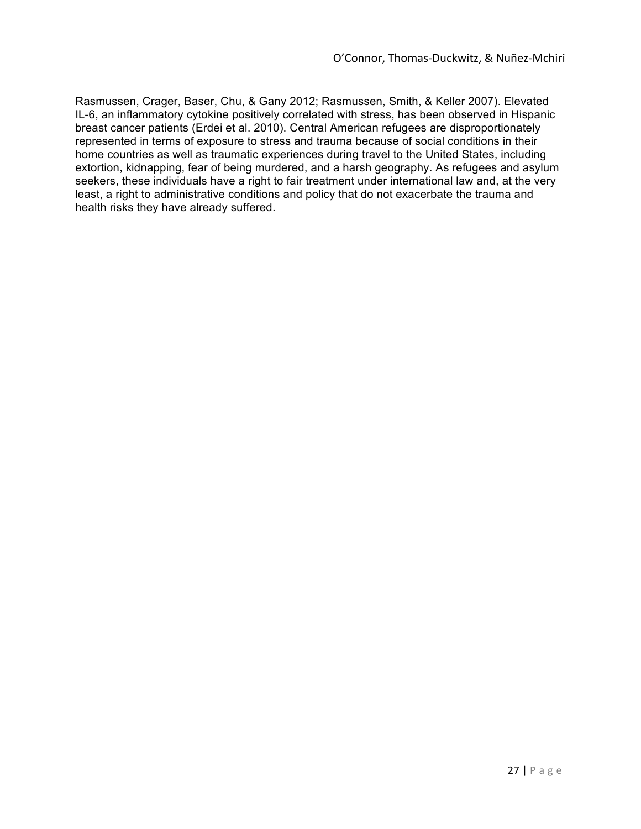Rasmussen, Crager, Baser, Chu, & Gany 2012; Rasmussen, Smith, & Keller 2007). Elevated IL-6, an inflammatory cytokine positively correlated with stress, has been observed in Hispanic breast cancer patients (Erdei et al. 2010). Central American refugees are disproportionately represented in terms of exposure to stress and trauma because of social conditions in their home countries as well as traumatic experiences during travel to the United States, including extortion, kidnapping, fear of being murdered, and a harsh geography. As refugees and asylum seekers, these individuals have a right to fair treatment under international law and, at the very least, a right to administrative conditions and policy that do not exacerbate the trauma and health risks they have already suffered.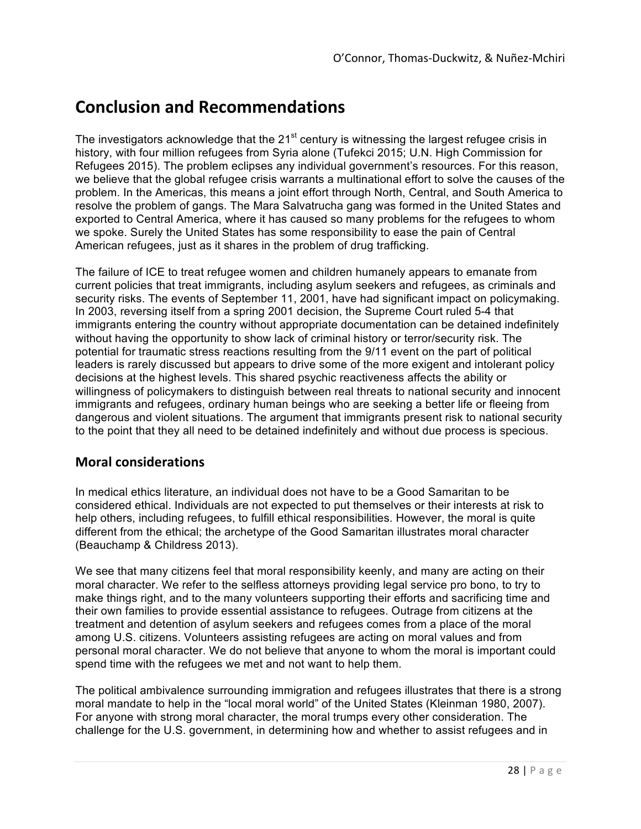# **Conclusion and Recommendations**

The investigators acknowledge that the  $21<sup>st</sup>$  century is witnessing the largest refugee crisis in history, with four million refugees from Syria alone (Tufekci 2015; U.N. High Commission for Refugees 2015). The problem eclipses any individual government's resources. For this reason, we believe that the global refugee crisis warrants a multinational effort to solve the causes of the problem. In the Americas, this means a joint effort through North, Central, and South America to resolve the problem of gangs. The Mara Salvatrucha gang was formed in the United States and exported to Central America, where it has caused so many problems for the refugees to whom we spoke. Surely the United States has some responsibility to ease the pain of Central American refugees, just as it shares in the problem of drug trafficking.

The failure of ICE to treat refugee women and children humanely appears to emanate from current policies that treat immigrants, including asylum seekers and refugees, as criminals and security risks. The events of September 11, 2001, have had significant impact on policymaking. In 2003, reversing itself from a spring 2001 decision, the Supreme Court ruled 5-4 that immigrants entering the country without appropriate documentation can be detained indefinitely without having the opportunity to show lack of criminal history or terror/security risk. The potential for traumatic stress reactions resulting from the 9/11 event on the part of political leaders is rarely discussed but appears to drive some of the more exigent and intolerant policy decisions at the highest levels. This shared psychic reactiveness affects the ability or willingness of policymakers to distinguish between real threats to national security and innocent immigrants and refugees, ordinary human beings who are seeking a better life or fleeing from dangerous and violent situations. The argument that immigrants present risk to national security to the point that they all need to be detained indefinitely and without due process is specious.

### **Moral considerations**

In medical ethics literature, an individual does not have to be a Good Samaritan to be considered ethical. Individuals are not expected to put themselves or their interests at risk to help others, including refugees, to fulfill ethical responsibilities. However, the moral is quite different from the ethical; the archetype of the Good Samaritan illustrates moral character (Beauchamp & Childress 2013).

We see that many citizens feel that moral responsibility keenly, and many are acting on their moral character. We refer to the selfless attorneys providing legal service pro bono, to try to make things right, and to the many volunteers supporting their efforts and sacrificing time and their own families to provide essential assistance to refugees. Outrage from citizens at the treatment and detention of asylum seekers and refugees comes from a place of the moral among U.S. citizens. Volunteers assisting refugees are acting on moral values and from personal moral character. We do not believe that anyone to whom the moral is important could spend time with the refugees we met and not want to help them.

The political ambivalence surrounding immigration and refugees illustrates that there is a strong moral mandate to help in the "local moral world" of the United States (Kleinman 1980, 2007). For anyone with strong moral character, the moral trumps every other consideration. The challenge for the U.S. government, in determining how and whether to assist refugees and in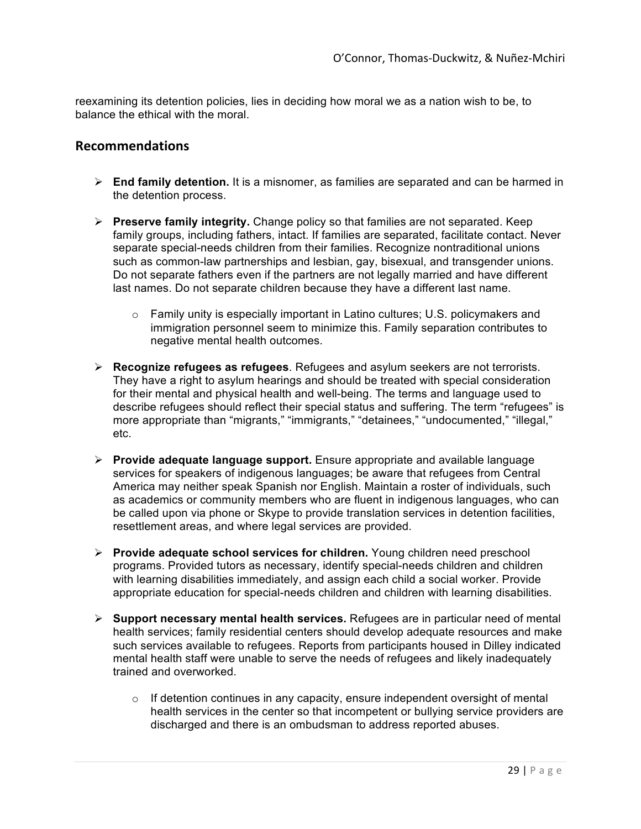reexamining its detention policies, lies in deciding how moral we as a nation wish to be, to balance the ethical with the moral.

### **Recommendations**

- Ø **End family detention.** It is a misnomer, as families are separated and can be harmed in the detention process.
- $\triangleright$  **Preserve family integrity.** Change policy so that families are not separated. Keep family groups, including fathers, intact. If families are separated, facilitate contact. Never separate special-needs children from their families. Recognize nontraditional unions such as common-law partnerships and lesbian, gay, bisexual, and transgender unions. Do not separate fathers even if the partners are not legally married and have different last names. Do not separate children because they have a different last name.
	- $\circ$  Family unity is especially important in Latino cultures; U.S. policymakers and immigration personnel seem to minimize this. Family separation contributes to negative mental health outcomes.
- Ø **Recognize refugees as refugees**. Refugees and asylum seekers are not terrorists. They have a right to asylum hearings and should be treated with special consideration for their mental and physical health and well-being. The terms and language used to describe refugees should reflect their special status and suffering. The term "refugees" is more appropriate than "migrants," "immigrants," "detainees," "undocumented," "illegal," etc.
- Ø **Provide adequate language support.** Ensure appropriate and available language services for speakers of indigenous languages; be aware that refugees from Central America may neither speak Spanish nor English. Maintain a roster of individuals, such as academics or community members who are fluent in indigenous languages, who can be called upon via phone or Skype to provide translation services in detention facilities, resettlement areas, and where legal services are provided.
- Ø **Provide adequate school services for children.** Young children need preschool programs. Provided tutors as necessary, identify special-needs children and children with learning disabilities immediately, and assign each child a social worker. Provide appropriate education for special-needs children and children with learning disabilities.
- Ø **Support necessary mental health services.** Refugees are in particular need of mental health services; family residential centers should develop adequate resources and make such services available to refugees. Reports from participants housed in Dilley indicated mental health staff were unable to serve the needs of refugees and likely inadequately trained and overworked.
	- $\circ$  If detention continues in any capacity, ensure independent oversight of mental health services in the center so that incompetent or bullying service providers are discharged and there is an ombudsman to address reported abuses.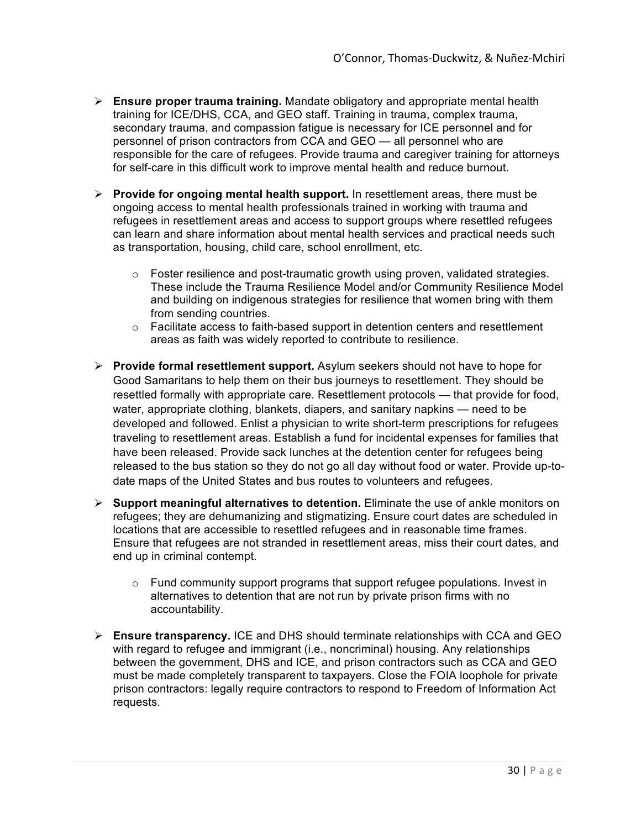- Ø **Ensure proper trauma training.** Mandate obligatory and appropriate mental health training for ICE/DHS, CCA, and GEO staff. Training in trauma, complex trauma, secondary trauma, and compassion fatigue is necessary for ICE personnel and for personnel of prison contractors from CCA and GEO — all personnel who are responsible for the care of refugees. Provide trauma and caregiver training for attorneys for self-care in this difficult work to improve mental health and reduce burnout.
- Ø **Provide for ongoing mental health support.** In resettlement areas, there must be ongoing access to mental health professionals trained in working with trauma and refugees in resettlement areas and access to support groups where resettled refugees can learn and share information about mental health services and practical needs such as transportation, housing, child care, school enrollment, etc.
	- $\circ$  Foster resilience and post-traumatic growth using proven, validated strategies. These include the Trauma Resilience Model and/or Community Resilience Model and building on indigenous strategies for resilience that women bring with them from sending countries.
	- $\circ$  Facilitate access to faith-based support in detention centers and resettlement areas as faith was widely reported to contribute to resilience.
- Ø **Provide formal resettlement support.** Asylum seekers should not have to hope for Good Samaritans to help them on their bus journeys to resettlement. They should be resettled formally with appropriate care. Resettlement protocols — that provide for food, water, appropriate clothing, blankets, diapers, and sanitary napkins — need to be developed and followed. Enlist a physician to write short-term prescriptions for refugees traveling to resettlement areas. Establish a fund for incidental expenses for families that have been released. Provide sack lunches at the detention center for refugees being released to the bus station so they do not go all day without food or water. Provide up-todate maps of the United States and bus routes to volunteers and refugees.
- Ø **Support meaningful alternatives to detention.** Eliminate the use of ankle monitors on refugees; they are dehumanizing and stigmatizing. Ensure court dates are scheduled in locations that are accessible to resettled refugees and in reasonable time frames. Ensure that refugees are not stranded in resettlement areas, miss their court dates, and end up in criminal contempt.
	- $\circ$  Fund community support programs that support refugee populations. Invest in alternatives to detention that are not run by private prison firms with no accountability.
- Ø **Ensure transparency.** ICE and DHS should terminate relationships with CCA and GEO with regard to refugee and immigrant (i.e., noncriminal) housing. Any relationships between the government, DHS and ICE, and prison contractors such as CCA and GEO must be made completely transparent to taxpayers. Close the FOIA loophole for private prison contractors: legally require contractors to respond to Freedom of Information Act requests.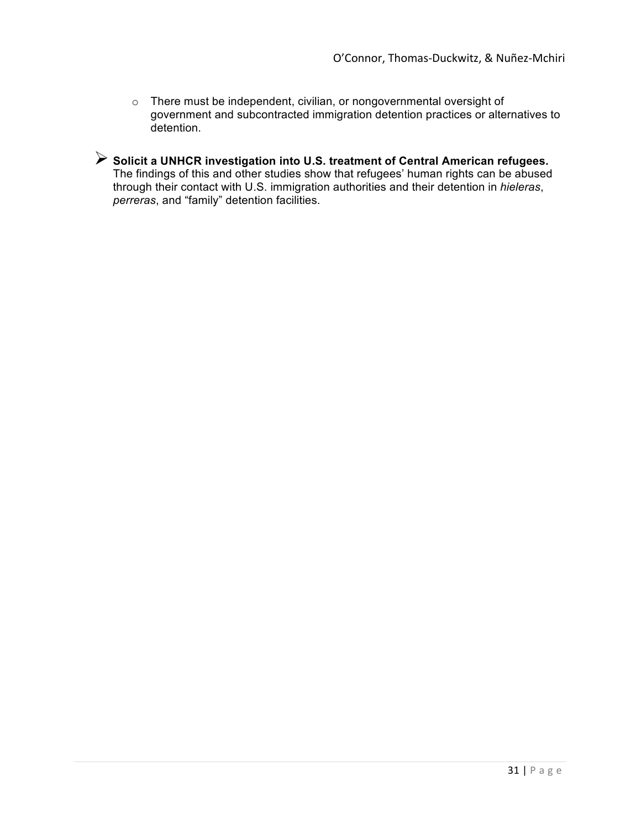o There must be independent, civilian, or nongovernmental oversight of government and subcontracted immigration detention practices or alternatives to detention.

Ø **Solicit a UNHCR investigation into U.S. treatment of Central American refugees.**  The findings of this and other studies show that refugees' human rights can be abused through their contact with U.S. immigration authorities and their detention in *hieleras*, *perreras*, and "family" detention facilities.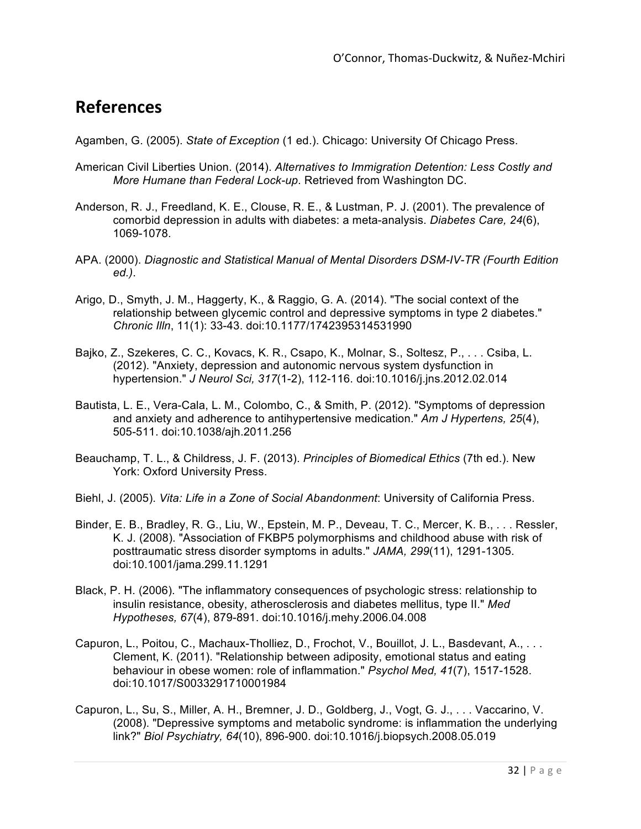## **References**

Agamben, G. (2005). *State of Exception* (1 ed.). Chicago: University Of Chicago Press.

- American Civil Liberties Union. (2014). *Alternatives to Immigration Detention: Less Costly and More Humane than Federal Lock-up*. Retrieved from Washington DC.
- Anderson, R. J., Freedland, K. E., Clouse, R. E., & Lustman, P. J. (2001). The prevalence of comorbid depression in adults with diabetes: a meta-analysis. *Diabetes Care, 24*(6), 1069-1078.
- APA. (2000). *Diagnostic and Statistical Manual of Mental Disorders DSM-IV-TR (Fourth Edition ed.)*.
- Arigo, D., Smyth, J. M., Haggerty, K., & Raggio, G. A. (2014). "The social context of the relationship between glycemic control and depressive symptoms in type 2 diabetes." *Chronic Illn*, 11(1): 33-43. doi:10.1177/1742395314531990
- Bajko, Z., Szekeres, C. C., Kovacs, K. R., Csapo, K., Molnar, S., Soltesz, P., . . . Csiba, L. (2012). "Anxiety, depression and autonomic nervous system dysfunction in hypertension." *J Neurol Sci, 317*(1-2), 112-116. doi:10.1016/j.jns.2012.02.014
- Bautista, L. E., Vera-Cala, L. M., Colombo, C., & Smith, P. (2012). "Symptoms of depression and anxiety and adherence to antihypertensive medication." *Am J Hypertens, 25*(4), 505-511. doi:10.1038/ajh.2011.256
- Beauchamp, T. L., & Childress, J. F. (2013). *Principles of Biomedical Ethics* (7th ed.). New York: Oxford University Press.
- Biehl, J. (2005). *Vita: Life in a Zone of Social Abandonment*: University of California Press.
- Binder, E. B., Bradley, R. G., Liu, W., Epstein, M. P., Deveau, T. C., Mercer, K. B., . . . Ressler, K. J. (2008). "Association of FKBP5 polymorphisms and childhood abuse with risk of posttraumatic stress disorder symptoms in adults." *JAMA, 299*(11), 1291-1305. doi:10.1001/jama.299.11.1291
- Black, P. H. (2006). "The inflammatory consequences of psychologic stress: relationship to insulin resistance, obesity, atherosclerosis and diabetes mellitus, type II." *Med Hypotheses, 67*(4), 879-891. doi:10.1016/j.mehy.2006.04.008
- Capuron, L., Poitou, C., Machaux-Tholliez, D., Frochot, V., Bouillot, J. L., Basdevant, A., . . . Clement, K. (2011). "Relationship between adiposity, emotional status and eating behaviour in obese women: role of inflammation." *Psychol Med, 41*(7), 1517-1528. doi:10.1017/S0033291710001984
- Capuron, L., Su, S., Miller, A. H., Bremner, J. D., Goldberg, J., Vogt, G. J., . . . Vaccarino, V. (2008). "Depressive symptoms and metabolic syndrome: is inflammation the underlying link?" *Biol Psychiatry, 64*(10), 896-900. doi:10.1016/j.biopsych.2008.05.019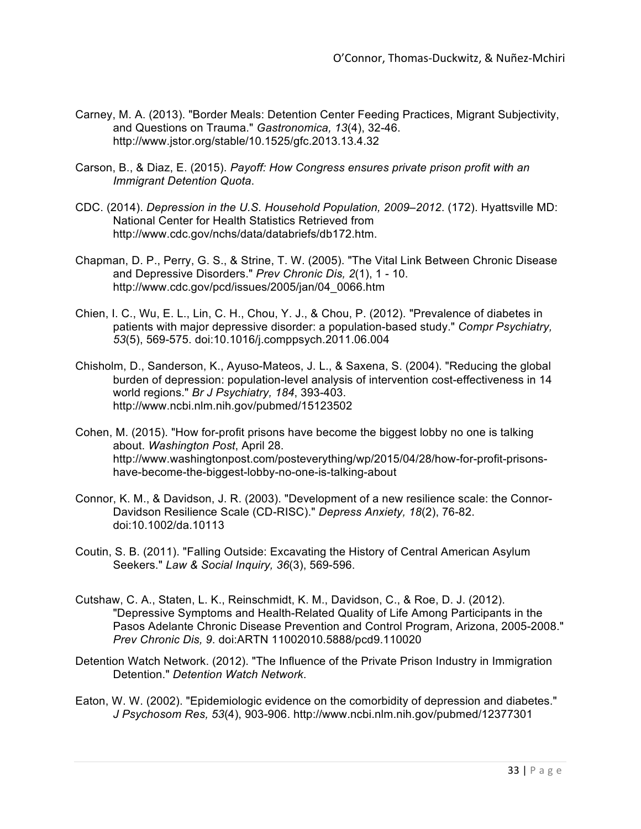- Carney, M. A. (2013). "Border Meals: Detention Center Feeding Practices, Migrant Subjectivity, and Questions on Trauma." *Gastronomica, 13*(4), 32-46. http://www.jstor.org/stable/10.1525/gfc.2013.13.4.32
- Carson, B., & Diaz, E. (2015). *Payoff: How Congress ensures private prison profit with an Immigrant Detention Quota*.
- CDC. (2014). *Depression in the U.S. Household Population, 2009–2012*. (172). Hyattsville MD: National Center for Health Statistics Retrieved from http://www.cdc.gov/nchs/data/databriefs/db172.htm.
- Chapman, D. P., Perry, G. S., & Strine, T. W. (2005). "The Vital Link Between Chronic Disease and Depressive Disorders." *Prev Chronic Dis, 2*(1), 1 - 10. http://www.cdc.gov/pcd/issues/2005/jan/04\_0066.htm
- Chien, I. C., Wu, E. L., Lin, C. H., Chou, Y. J., & Chou, P. (2012). "Prevalence of diabetes in patients with major depressive disorder: a population-based study." *Compr Psychiatry, 53*(5), 569-575. doi:10.1016/j.comppsych.2011.06.004
- Chisholm, D., Sanderson, K., Ayuso-Mateos, J. L., & Saxena, S. (2004). "Reducing the global burden of depression: population-level analysis of intervention cost-effectiveness in 14 world regions." *Br J Psychiatry, 184*, 393-403. http://www.ncbi.nlm.nih.gov/pubmed/15123502
- Cohen, M. (2015). "How for-profit prisons have become the biggest lobby no one is talking about. *Washington Post*, April 28. http://www.washingtonpost.com/posteverything/wp/2015/04/28/how-for-profit-prisonshave-become-the-biggest-lobby-no-one-is-talking-about
- Connor, K. M., & Davidson, J. R. (2003). "Development of a new resilience scale: the Connor-Davidson Resilience Scale (CD-RISC)." *Depress Anxiety, 18*(2), 76-82. doi:10.1002/da.10113
- Coutin, S. B. (2011). "Falling Outside: Excavating the History of Central American Asylum Seekers." *Law & Social Inquiry, 36*(3), 569-596.
- Cutshaw, C. A., Staten, L. K., Reinschmidt, K. M., Davidson, C., & Roe, D. J. (2012). "Depressive Symptoms and Health-Related Quality of Life Among Participants in the Pasos Adelante Chronic Disease Prevention and Control Program, Arizona, 2005-2008." *Prev Chronic Dis, 9*. doi:ARTN 11002010.5888/pcd9.110020
- Detention Watch Network. (2012). "The Influence of the Private Prison Industry in Immigration Detention." *Detention Watch Network*.
- Eaton, W. W. (2002). "Epidemiologic evidence on the comorbidity of depression and diabetes." *J Psychosom Res, 53*(4), 903-906. http://www.ncbi.nlm.nih.gov/pubmed/12377301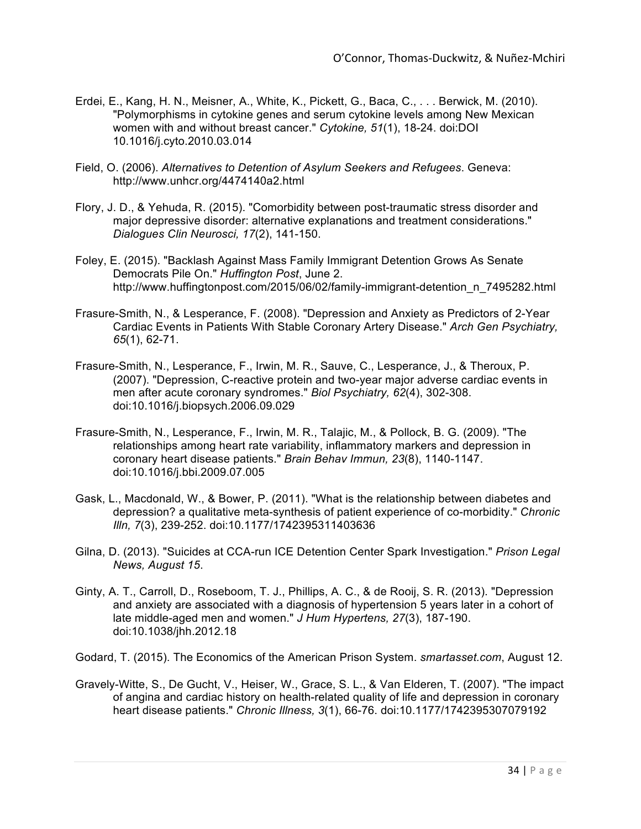- Erdei, E., Kang, H. N., Meisner, A., White, K., Pickett, G., Baca, C., . . . Berwick, M. (2010). "Polymorphisms in cytokine genes and serum cytokine levels among New Mexican women with and without breast cancer." *Cytokine, 51*(1), 18-24. doi:DOI 10.1016/j.cyto.2010.03.014
- Field, O. (2006). *Alternatives to Detention of Asylum Seekers and Refugees*. Geneva: http://www.unhcr.org/4474140a2.html
- Flory, J. D., & Yehuda, R. (2015). "Comorbidity between post-traumatic stress disorder and major depressive disorder: alternative explanations and treatment considerations." *Dialogues Clin Neurosci, 17*(2), 141-150.
- Foley, E. (2015). "Backlash Against Mass Family Immigrant Detention Grows As Senate Democrats Pile On." *Huffington Post*, June 2. http://www.huffingtonpost.com/2015/06/02/family-immigrant-detention\_n\_7495282.html
- Frasure-Smith, N., & Lesperance, F. (2008). "Depression and Anxiety as Predictors of 2-Year Cardiac Events in Patients With Stable Coronary Artery Disease." *Arch Gen Psychiatry, 65*(1), 62-71.
- Frasure-Smith, N., Lesperance, F., Irwin, M. R., Sauve, C., Lesperance, J., & Theroux, P. (2007). "Depression, C-reactive protein and two-year major adverse cardiac events in men after acute coronary syndromes." *Biol Psychiatry, 62*(4), 302-308. doi:10.1016/j.biopsych.2006.09.029
- Frasure-Smith, N., Lesperance, F., Irwin, M. R., Talajic, M., & Pollock, B. G. (2009). "The relationships among heart rate variability, inflammatory markers and depression in coronary heart disease patients." *Brain Behav Immun, 23*(8), 1140-1147. doi:10.1016/j.bbi.2009.07.005
- Gask, L., Macdonald, W., & Bower, P. (2011). "What is the relationship between diabetes and depression? a qualitative meta-synthesis of patient experience of co-morbidity." *Chronic Illn, 7*(3), 239-252. doi:10.1177/1742395311403636
- Gilna, D. (2013). "Suicides at CCA-run ICE Detention Center Spark Investigation." *Prison Legal News, August 15*.
- Ginty, A. T., Carroll, D., Roseboom, T. J., Phillips, A. C., & de Rooij, S. R. (2013). "Depression and anxiety are associated with a diagnosis of hypertension 5 years later in a cohort of late middle-aged men and women." *J Hum Hypertens, 27*(3), 187-190. doi:10.1038/jhh.2012.18
- Godard, T. (2015). The Economics of the American Prison System. *smartasset.com*, August 12.
- Gravely-Witte, S., De Gucht, V., Heiser, W., Grace, S. L., & Van Elderen, T. (2007). "The impact of angina and cardiac history on health-related quality of life and depression in coronary heart disease patients." *Chronic Illness, 3*(1), 66-76. doi:10.1177/1742395307079192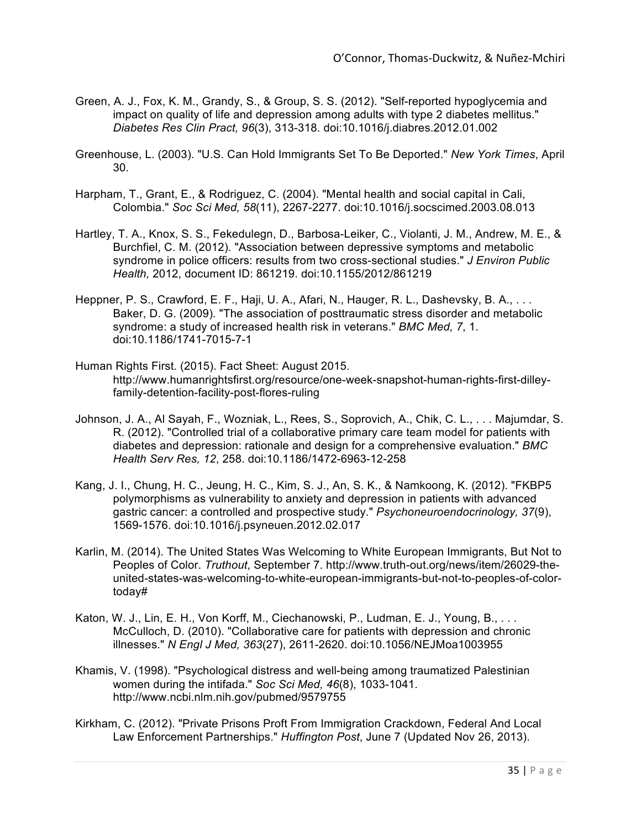- Green, A. J., Fox, K. M., Grandy, S., & Group, S. S. (2012). "Self-reported hypoglycemia and impact on quality of life and depression among adults with type 2 diabetes mellitus." *Diabetes Res Clin Pract, 96*(3), 313-318. doi:10.1016/j.diabres.2012.01.002
- Greenhouse, L. (2003). "U.S. Can Hold Immigrants Set To Be Deported." *New York Times*, April 30.
- Harpham, T., Grant, E., & Rodriguez, C. (2004). "Mental health and social capital in Cali, Colombia." *Soc Sci Med, 58*(11), 2267-2277. doi:10.1016/j.socscimed.2003.08.013
- Hartley, T. A., Knox, S. S., Fekedulegn, D., Barbosa-Leiker, C., Violanti, J. M., Andrew, M. E., & Burchfiel, C. M. (2012). "Association between depressive symptoms and metabolic syndrome in police officers: results from two cross-sectional studies." *J Environ Public Health,* 2012, document ID: 861219. doi:10.1155/2012/861219
- Heppner, P. S., Crawford, E. F., Haji, U. A., Afari, N., Hauger, R. L., Dashevsky, B. A., . . . Baker, D. G. (2009). "The association of posttraumatic stress disorder and metabolic syndrome: a study of increased health risk in veterans." *BMC Med, 7*, 1. doi:10.1186/1741-7015-7-1
- Human Rights First. (2015). Fact Sheet: August 2015. http://www.humanrightsfirst.org/resource/one-week-snapshot-human-rights-first-dilleyfamily-detention-facility-post-flores-ruling
- Johnson, J. A., Al Sayah, F., Wozniak, L., Rees, S., Soprovich, A., Chik, C. L., . . . Majumdar, S. R. (2012). "Controlled trial of a collaborative primary care team model for patients with diabetes and depression: rationale and design for a comprehensive evaluation." *BMC Health Serv Res, 12*, 258. doi:10.1186/1472-6963-12-258
- Kang, J. I., Chung, H. C., Jeung, H. C., Kim, S. J., An, S. K., & Namkoong, K. (2012). "FKBP5 polymorphisms as vulnerability to anxiety and depression in patients with advanced gastric cancer: a controlled and prospective study." *Psychoneuroendocrinology, 37*(9), 1569-1576. doi:10.1016/j.psyneuen.2012.02.017
- Karlin, M. (2014). The United States Was Welcoming to White European Immigrants, But Not to Peoples of Color. *Truthout*, September 7. http://www.truth-out.org/news/item/26029-theunited-states-was-welcoming-to-white-european-immigrants-but-not-to-peoples-of-colortoday#
- Katon, W. J., Lin, E. H., Von Korff, M., Ciechanowski, P., Ludman, E. J., Young, B., . . . McCulloch, D. (2010). "Collaborative care for patients with depression and chronic illnesses." *N Engl J Med, 363*(27), 2611-2620. doi:10.1056/NEJMoa1003955
- Khamis, V. (1998). "Psychological distress and well-being among traumatized Palestinian women during the intifada." *Soc Sci Med, 46*(8), 1033-1041. http://www.ncbi.nlm.nih.gov/pubmed/9579755
- Kirkham, C. (2012). "Private Prisons Proft From Immigration Crackdown, Federal And Local Law Enforcement Partnerships." *Huffington Post*, June 7 (Updated Nov 26, 2013).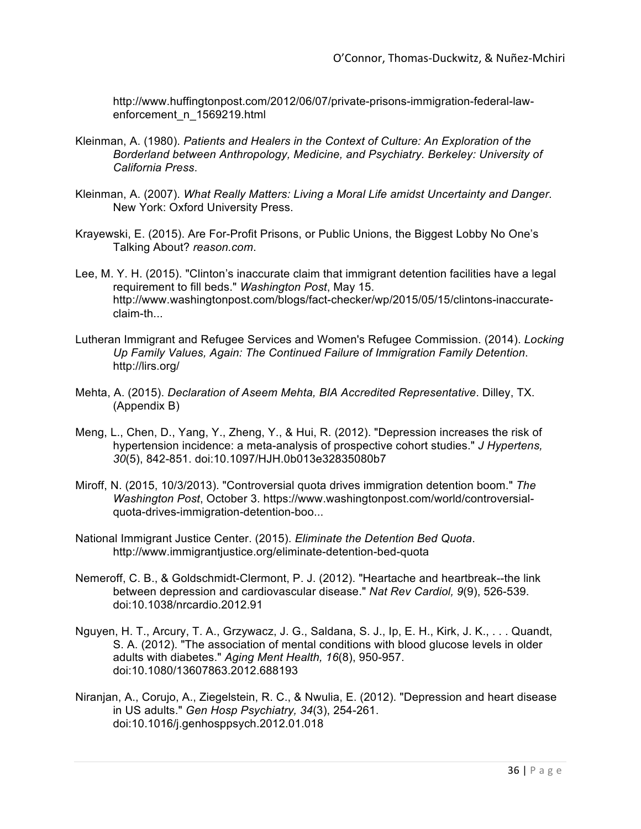http://www.huffingtonpost.com/2012/06/07/private-prisons-immigration-federal-lawenforcement\_n\_1569219.html

- Kleinman, A. (1980). *Patients and Healers in the Context of Culture: An Exploration of the Borderland between Anthropology, Medicine, and Psychiatry. Berkeley: University of California Press*.
- Kleinman, A. (2007). *What Really Matters: Living a Moral Life amidst Uncertainty and Danger*. New York: Oxford University Press.
- Krayewski, E. (2015). Are For-Profit Prisons, or Public Unions, the Biggest Lobby No One's Talking About? *reason.com*.
- Lee, M. Y. H. (2015). "Clinton's inaccurate claim that immigrant detention facilities have a legal requirement to fill beds." *Washington Post*, May 15. http://www.washingtonpost.com/blogs/fact-checker/wp/2015/05/15/clintons-inaccurateclaim-th...
- Lutheran Immigrant and Refugee Services and Women's Refugee Commission. (2014). *Locking Up Family Values, Again: The Continued Failure of Immigration Family Detention*. http://lirs.org/
- Mehta, A. (2015). *Declaration of Aseem Mehta, BIA Accredited Representative*. Dilley, TX. (Appendix B)
- Meng, L., Chen, D., Yang, Y., Zheng, Y., & Hui, R. (2012). "Depression increases the risk of hypertension incidence: a meta-analysis of prospective cohort studies." *J Hypertens, 30*(5), 842-851. doi:10.1097/HJH.0b013e32835080b7
- Miroff, N. (2015, 10/3/2013). "Controversial quota drives immigration detention boom." *The Washington Post*, October 3. https://www.washingtonpost.com/world/controversialquota-drives-immigration-detention-boo...
- National Immigrant Justice Center. (2015). *Eliminate the Detention Bed Quota*. http://www.immigrantjustice.org/eliminate-detention-bed-quota
- Nemeroff, C. B., & Goldschmidt-Clermont, P. J. (2012). "Heartache and heartbreak--the link between depression and cardiovascular disease." *Nat Rev Cardiol, 9*(9), 526-539. doi:10.1038/nrcardio.2012.91
- Nguyen, H. T., Arcury, T. A., Grzywacz, J. G., Saldana, S. J., Ip, E. H., Kirk, J. K., . . . Quandt, S. A. (2012). "The association of mental conditions with blood glucose levels in older adults with diabetes." *Aging Ment Health, 16*(8), 950-957. doi:10.1080/13607863.2012.688193
- Niranjan, A., Corujo, A., Ziegelstein, R. C., & Nwulia, E. (2012). "Depression and heart disease in US adults." *Gen Hosp Psychiatry, 34*(3), 254-261. doi:10.1016/j.genhosppsych.2012.01.018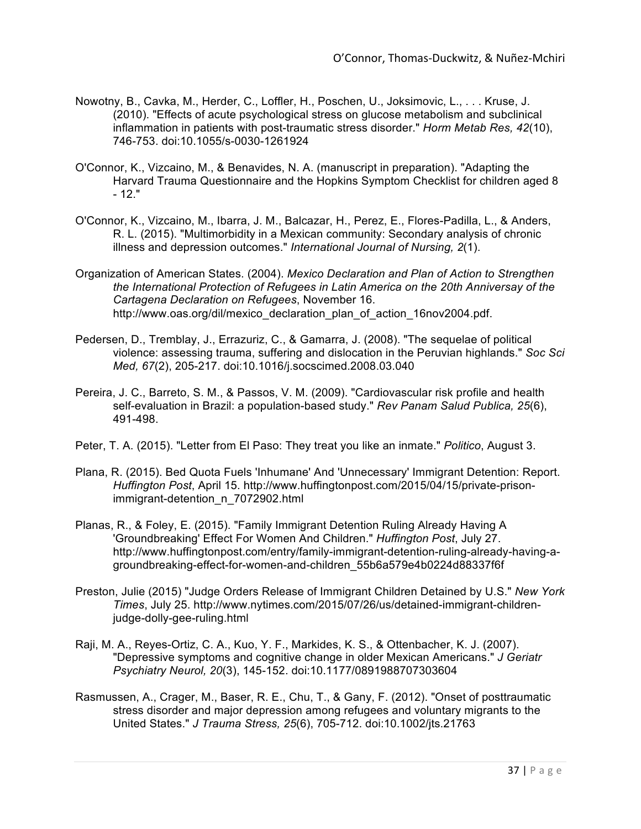- Nowotny, B., Cavka, M., Herder, C., Loffler, H., Poschen, U., Joksimovic, L., . . . Kruse, J. (2010). "Effects of acute psychological stress on glucose metabolism and subclinical inflammation in patients with post-traumatic stress disorder." *Horm Metab Res, 42*(10), 746-753. doi:10.1055/s-0030-1261924
- O'Connor, K., Vizcaino, M., & Benavides, N. A. (manuscript in preparation). "Adapting the Harvard Trauma Questionnaire and the Hopkins Symptom Checklist for children aged 8  $-12."$
- O'Connor, K., Vizcaino, M., Ibarra, J. M., Balcazar, H., Perez, E., Flores-Padilla, L., & Anders, R. L. (2015). "Multimorbidity in a Mexican community: Secondary analysis of chronic illness and depression outcomes." *International Journal of Nursing, 2*(1).
- Organization of American States. (2004). *Mexico Declaration and Plan of Action to Strengthen the International Protection of Refugees in Latin America on the 20th Anniversay of the Cartagena Declaration on Refugees*, November 16. http://www.oas.org/dil/mexico\_declaration\_plan\_of\_action\_16nov2004.pdf.
- Pedersen, D., Tremblay, J., Errazuriz, C., & Gamarra, J. (2008). "The sequelae of political violence: assessing trauma, suffering and dislocation in the Peruvian highlands." *Soc Sci Med, 67*(2), 205-217. doi:10.1016/j.socscimed.2008.03.040
- Pereira, J. C., Barreto, S. M., & Passos, V. M. (2009). "Cardiovascular risk profile and health self-evaluation in Brazil: a population-based study." *Rev Panam Salud Publica, 25*(6), 491-498.
- Peter, T. A. (2015). "Letter from El Paso: They treat you like an inmate." *Politico*, August 3.
- Plana, R. (2015). Bed Quota Fuels 'Inhumane' And 'Unnecessary' Immigrant Detention: Report. *Huffington Post*, April 15. http://www.huffingtonpost.com/2015/04/15/private-prisonimmigrant-detention\_n\_7072902.html
- Planas, R., & Foley, E. (2015). "Family Immigrant Detention Ruling Already Having A 'Groundbreaking' Effect For Women And Children." *Huffington Post*, July 27. http://www.huffingtonpost.com/entry/family-immigrant-detention-ruling-already-having-agroundbreaking-effect-for-women-and-children\_55b6a579e4b0224d88337f6f
- Preston, Julie (2015) "Judge Orders Release of Immigrant Children Detained by U.S." *New York Times*, July 25. http://www.nytimes.com/2015/07/26/us/detained-immigrant-childrenjudge-dolly-gee-ruling.html
- Raji, M. A., Reyes-Ortiz, C. A., Kuo, Y. F., Markides, K. S., & Ottenbacher, K. J. (2007). "Depressive symptoms and cognitive change in older Mexican Americans." *J Geriatr Psychiatry Neurol, 20*(3), 145-152. doi:10.1177/0891988707303604
- Rasmussen, A., Crager, M., Baser, R. E., Chu, T., & Gany, F. (2012). "Onset of posttraumatic stress disorder and major depression among refugees and voluntary migrants to the United States." *J Trauma Stress, 25*(6), 705-712. doi:10.1002/jts.21763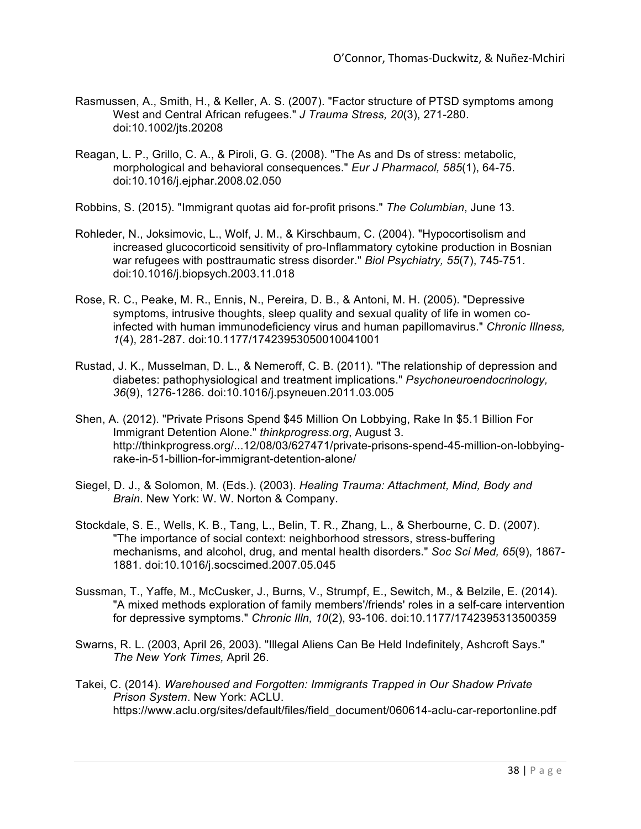- Rasmussen, A., Smith, H., & Keller, A. S. (2007). "Factor structure of PTSD symptoms among West and Central African refugees." *J Trauma Stress, 20*(3), 271-280. doi:10.1002/jts.20208
- Reagan, L. P., Grillo, C. A., & Piroli, G. G. (2008). "The As and Ds of stress: metabolic, morphological and behavioral consequences." *Eur J Pharmacol, 585*(1), 64-75. doi:10.1016/j.ejphar.2008.02.050
- Robbins, S. (2015). "Immigrant quotas aid for-profit prisons." *The Columbian*, June 13.
- Rohleder, N., Joksimovic, L., Wolf, J. M., & Kirschbaum, C. (2004). "Hypocortisolism and increased glucocorticoid sensitivity of pro-Inflammatory cytokine production in Bosnian war refugees with posttraumatic stress disorder." *Biol Psychiatry, 55*(7), 745-751. doi:10.1016/j.biopsych.2003.11.018
- Rose, R. C., Peake, M. R., Ennis, N., Pereira, D. B., & Antoni, M. H. (2005). "Depressive symptoms, intrusive thoughts, sleep quality and sexual quality of life in women coinfected with human immunodeficiency virus and human papillomavirus." *Chronic Illness, 1*(4), 281-287. doi:10.1177/17423953050010041001
- Rustad, J. K., Musselman, D. L., & Nemeroff, C. B. (2011). "The relationship of depression and diabetes: pathophysiological and treatment implications." *Psychoneuroendocrinology, 36*(9), 1276-1286. doi:10.1016/j.psyneuen.2011.03.005
- Shen, A. (2012). "Private Prisons Spend \$45 Million On Lobbying, Rake In \$5.1 Billion For Immigrant Detention Alone." *thinkprogress.org*, August 3. http://thinkprogress.org/...12/08/03/627471/private-prisons-spend-45-million-on-lobbyingrake-in-51-billion-for-immigrant-detention-alone/
- Siegel, D. J., & Solomon, M. (Eds.). (2003). *Healing Trauma: Attachment, Mind, Body and Brain*. New York: W. W. Norton & Company.
- Stockdale, S. E., Wells, K. B., Tang, L., Belin, T. R., Zhang, L., & Sherbourne, C. D. (2007). "The importance of social context: neighborhood stressors, stress-buffering mechanisms, and alcohol, drug, and mental health disorders." *Soc Sci Med, 65*(9), 1867- 1881. doi:10.1016/j.socscimed.2007.05.045
- Sussman, T., Yaffe, M., McCusker, J., Burns, V., Strumpf, E., Sewitch, M., & Belzile, E. (2014). "A mixed methods exploration of family members'/friends' roles in a self-care intervention for depressive symptoms." *Chronic Illn, 10*(2), 93-106. doi:10.1177/1742395313500359
- Swarns, R. L. (2003, April 26, 2003). "Illegal Aliens Can Be Held Indefinitely, Ashcroft Says." *The New York Times,* April 26.
- Takei, C. (2014). *Warehoused and Forgotten: Immigrants Trapped in Our Shadow Private Prison System*. New York: ACLU. https://www.aclu.org/sites/default/files/field\_document/060614-aclu-car-reportonline.pdf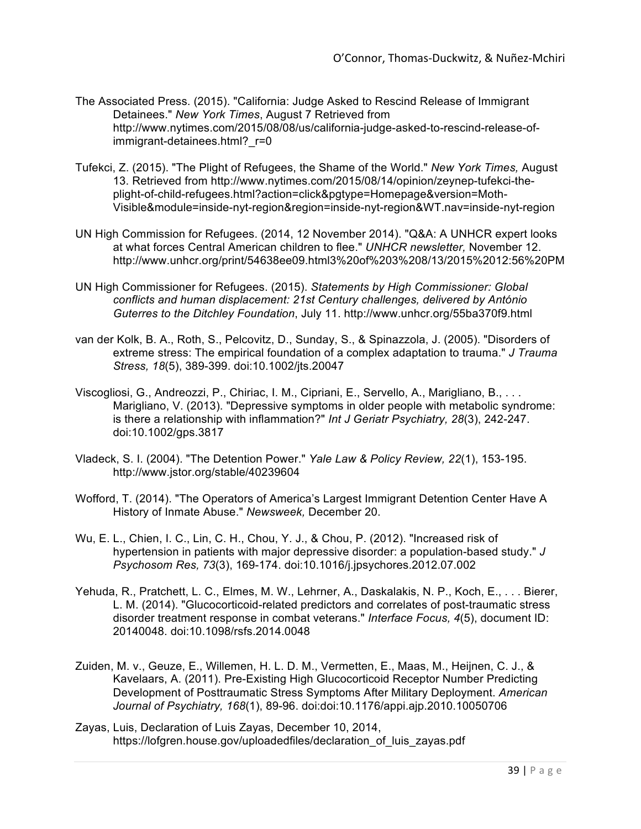- The Associated Press. (2015). "California: Judge Asked to Rescind Release of Immigrant Detainees." *New York Times*, August 7 Retrieved from http://www.nytimes.com/2015/08/08/us/california-judge-asked-to-rescind-release-ofimmigrant-detainees.html?\_r=0
- Tufekci, Z. (2015). "The Plight of Refugees, the Shame of the World." *New York Times,* August 13. Retrieved from http://www.nytimes.com/2015/08/14/opinion/zeynep-tufekci-theplight-of-child-refugees.html?action=click&pgtype=Homepage&version=Moth-Visible&module=inside-nyt-region&region=inside-nyt-region&WT.nav=inside-nyt-region
- UN High Commission for Refugees. (2014, 12 November 2014). "Q&A: A UNHCR expert looks at what forces Central American children to flee." *UNHCR newsletter,* November 12. http://www.unhcr.org/print/54638ee09.html3%20of%203%208/13/2015%2012:56%20PM
- UN High Commissioner for Refugees. (2015). *Statements by High Commissioner: Global conflicts and human displacement: 21st Century challenges, delivered by António Guterres to the Ditchley Foundation*, July 11. http://www.unhcr.org/55ba370f9.html
- van der Kolk, B. A., Roth, S., Pelcovitz, D., Sunday, S., & Spinazzola, J. (2005). "Disorders of extreme stress: The empirical foundation of a complex adaptation to trauma." *J Trauma Stress, 18*(5), 389-399. doi:10.1002/jts.20047
- Viscogliosi, G., Andreozzi, P., Chiriac, I. M., Cipriani, E., Servello, A., Marigliano, B., . . . Marigliano, V. (2013). "Depressive symptoms in older people with metabolic syndrome: is there a relationship with inflammation?" *Int J Geriatr Psychiatry, 28*(3), 242-247. doi:10.1002/gps.3817
- Vladeck, S. I. (2004). "The Detention Power." *Yale Law & Policy Review, 22*(1), 153-195. http://www.jstor.org/stable/40239604
- Wofford, T. (2014). "The Operators of America's Largest Immigrant Detention Center Have A History of Inmate Abuse." *Newsweek,* December 20.
- Wu, E. L., Chien, I. C., Lin, C. H., Chou, Y. J., & Chou, P. (2012). "Increased risk of hypertension in patients with major depressive disorder: a population-based study." *J Psychosom Res, 73*(3), 169-174. doi:10.1016/j.jpsychores.2012.07.002
- Yehuda, R., Pratchett, L. C., Elmes, M. W., Lehrner, A., Daskalakis, N. P., Koch, E., . . . Bierer, L. M. (2014). "Glucocorticoid-related predictors and correlates of post-traumatic stress disorder treatment response in combat veterans." *Interface Focus, 4*(5), document ID: 20140048. doi:10.1098/rsfs.2014.0048
- Zuiden, M. v., Geuze, E., Willemen, H. L. D. M., Vermetten, E., Maas, M., Heijnen, C. J., & Kavelaars, A. (2011). Pre-Existing High Glucocorticoid Receptor Number Predicting Development of Posttraumatic Stress Symptoms After Military Deployment. *American Journal of Psychiatry, 168*(1), 89-96. doi:doi:10.1176/appi.ajp.2010.10050706
- Zayas, Luis, Declaration of Luis Zayas, December 10, 2014, https://lofgren.house.gov/uploadedfiles/declaration\_of\_luis\_zayas.pdf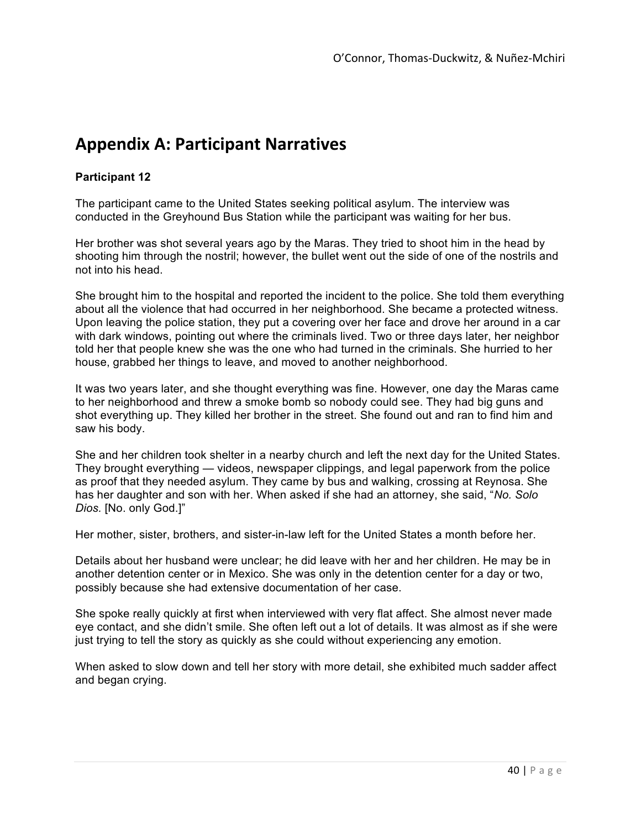# **Appendix A: Participant Narratives**

# **Participant 12**

The participant came to the United States seeking political asylum. The interview was conducted in the Greyhound Bus Station while the participant was waiting for her bus.

Her brother was shot several years ago by the Maras. They tried to shoot him in the head by shooting him through the nostril; however, the bullet went out the side of one of the nostrils and not into his head.

She brought him to the hospital and reported the incident to the police. She told them everything about all the violence that had occurred in her neighborhood. She became a protected witness. Upon leaving the police station, they put a covering over her face and drove her around in a car with dark windows, pointing out where the criminals lived. Two or three days later, her neighbor told her that people knew she was the one who had turned in the criminals. She hurried to her house, grabbed her things to leave, and moved to another neighborhood.

It was two years later, and she thought everything was fine. However, one day the Maras came to her neighborhood and threw a smoke bomb so nobody could see. They had big guns and shot everything up. They killed her brother in the street. She found out and ran to find him and saw his body.

She and her children took shelter in a nearby church and left the next day for the United States. They brought everything — videos, newspaper clippings, and legal paperwork from the police as proof that they needed asylum. They came by bus and walking, crossing at Reynosa. She has her daughter and son with her. When asked if she had an attorney, she said, "*No. Solo Dios.* [No. only God.]"

Her mother, sister, brothers, and sister-in-law left for the United States a month before her.

Details about her husband were unclear; he did leave with her and her children. He may be in another detention center or in Mexico. She was only in the detention center for a day or two, possibly because she had extensive documentation of her case.

She spoke really quickly at first when interviewed with very flat affect. She almost never made eye contact, and she didn't smile. She often left out a lot of details. It was almost as if she were just trying to tell the story as quickly as she could without experiencing any emotion.

When asked to slow down and tell her story with more detail, she exhibited much sadder affect and began crying.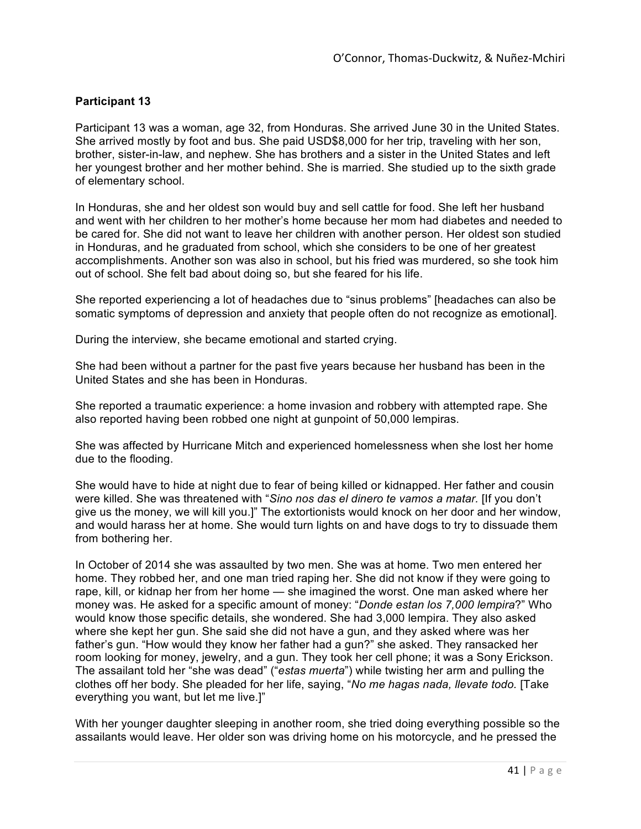# **Participant 13**

Participant 13 was a woman, age 32, from Honduras. She arrived June 30 in the United States. She arrived mostly by foot and bus. She paid USD\$8,000 for her trip, traveling with her son, brother, sister-in-law, and nephew. She has brothers and a sister in the United States and left her youngest brother and her mother behind. She is married. She studied up to the sixth grade of elementary school.

In Honduras, she and her oldest son would buy and sell cattle for food. She left her husband and went with her children to her mother's home because her mom had diabetes and needed to be cared for. She did not want to leave her children with another person. Her oldest son studied in Honduras, and he graduated from school, which she considers to be one of her greatest accomplishments. Another son was also in school, but his fried was murdered, so she took him out of school. She felt bad about doing so, but she feared for his life.

She reported experiencing a lot of headaches due to "sinus problems" [headaches can also be somatic symptoms of depression and anxiety that people often do not recognize as emotional].

During the interview, she became emotional and started crying.

She had been without a partner for the past five years because her husband has been in the United States and she has been in Honduras.

She reported a traumatic experience: a home invasion and robbery with attempted rape. She also reported having been robbed one night at gunpoint of 50,000 lempiras.

She was affected by Hurricane Mitch and experienced homelessness when she lost her home due to the flooding.

She would have to hide at night due to fear of being killed or kidnapped. Her father and cousin were killed. She was threatened with "*Sino nos das el dinero te vamos a matar.* [If you don't give us the money, we will kill you.]" The extortionists would knock on her door and her window, and would harass her at home. She would turn lights on and have dogs to try to dissuade them from bothering her.

In October of 2014 she was assaulted by two men. She was at home. Two men entered her home. They robbed her, and one man tried raping her. She did not know if they were going to rape, kill, or kidnap her from her home — she imagined the worst. One man asked where her money was. He asked for a specific amount of money: "*Donde estan los 7,000 lempira*?" Who would know those specific details, she wondered. She had 3,000 lempira. They also asked where she kept her gun. She said she did not have a gun, and they asked where was her father's gun. "How would they know her father had a gun?" she asked. They ransacked her room looking for money, jewelry, and a gun. They took her cell phone; it was a Sony Erickson. The assailant told her "she was dead" ("*estas muerta*") while twisting her arm and pulling the clothes off her body. She pleaded for her life, saying, "*No me hagas nada, llevate todo.* [Take everything you want, but let me live.]"

With her younger daughter sleeping in another room, she tried doing everything possible so the assailants would leave. Her older son was driving home on his motorcycle, and he pressed the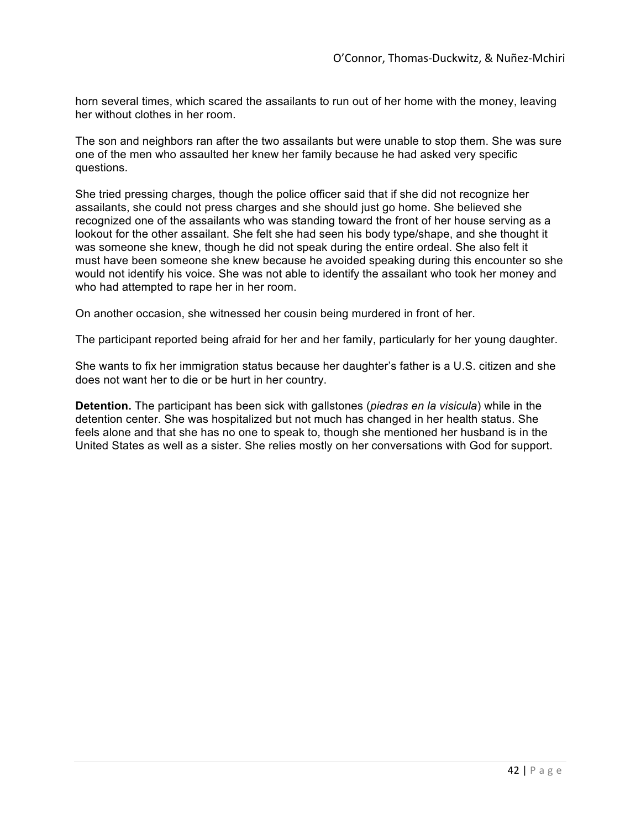horn several times, which scared the assailants to run out of her home with the money, leaving her without clothes in her room.

The son and neighbors ran after the two assailants but were unable to stop them. She was sure one of the men who assaulted her knew her family because he had asked very specific questions.

She tried pressing charges, though the police officer said that if she did not recognize her assailants, she could not press charges and she should just go home. She believed she recognized one of the assailants who was standing toward the front of her house serving as a lookout for the other assailant. She felt she had seen his body type/shape, and she thought it was someone she knew, though he did not speak during the entire ordeal. She also felt it must have been someone she knew because he avoided speaking during this encounter so she would not identify his voice. She was not able to identify the assailant who took her money and who had attempted to rape her in her room.

On another occasion, she witnessed her cousin being murdered in front of her.

The participant reported being afraid for her and her family, particularly for her young daughter.

She wants to fix her immigration status because her daughter's father is a U.S. citizen and she does not want her to die or be hurt in her country.

**Detention.** The participant has been sick with gallstones (*piedras en la visicula*) while in the detention center. She was hospitalized but not much has changed in her health status. She feels alone and that she has no one to speak to, though she mentioned her husband is in the United States as well as a sister. She relies mostly on her conversations with God for support.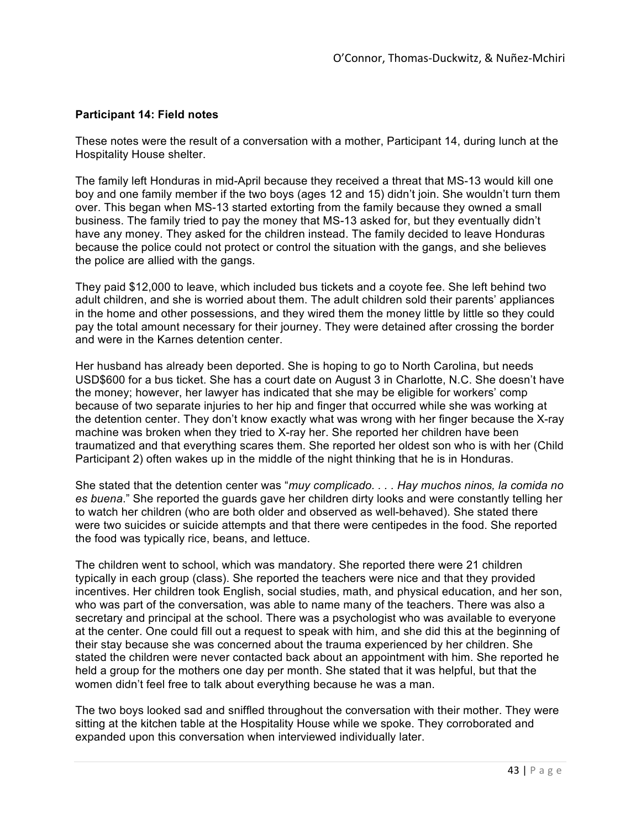## **Participant 14: Field notes**

These notes were the result of a conversation with a mother, Participant 14, during lunch at the Hospitality House shelter.

The family left Honduras in mid-April because they received a threat that MS-13 would kill one boy and one family member if the two boys (ages 12 and 15) didn't join. She wouldn't turn them over. This began when MS-13 started extorting from the family because they owned a small business. The family tried to pay the money that MS-13 asked for, but they eventually didn't have any money. They asked for the children instead. The family decided to leave Honduras because the police could not protect or control the situation with the gangs, and she believes the police are allied with the gangs.

They paid \$12,000 to leave, which included bus tickets and a coyote fee. She left behind two adult children, and she is worried about them. The adult children sold their parents' appliances in the home and other possessions, and they wired them the money little by little so they could pay the total amount necessary for their journey. They were detained after crossing the border and were in the Karnes detention center.

Her husband has already been deported. She is hoping to go to North Carolina, but needs USD\$600 for a bus ticket. She has a court date on August 3 in Charlotte, N.C. She doesn't have the money; however, her lawyer has indicated that she may be eligible for workers' comp because of two separate injuries to her hip and finger that occurred while she was working at the detention center. They don't know exactly what was wrong with her finger because the X-ray machine was broken when they tried to X-ray her. She reported her children have been traumatized and that everything scares them. She reported her oldest son who is with her (Child Participant 2) often wakes up in the middle of the night thinking that he is in Honduras.

She stated that the detention center was "*muy complicado. . . . Hay muchos ninos, la comida no es buena*." She reported the guards gave her children dirty looks and were constantly telling her to watch her children (who are both older and observed as well-behaved). She stated there were two suicides or suicide attempts and that there were centipedes in the food. She reported the food was typically rice, beans, and lettuce.

The children went to school, which was mandatory. She reported there were 21 children typically in each group (class). She reported the teachers were nice and that they provided incentives. Her children took English, social studies, math, and physical education, and her son, who was part of the conversation, was able to name many of the teachers. There was also a secretary and principal at the school. There was a psychologist who was available to everyone at the center. One could fill out a request to speak with him, and she did this at the beginning of their stay because she was concerned about the trauma experienced by her children. She stated the children were never contacted back about an appointment with him. She reported he held a group for the mothers one day per month. She stated that it was helpful, but that the women didn't feel free to talk about everything because he was a man.

The two boys looked sad and sniffled throughout the conversation with their mother. They were sitting at the kitchen table at the Hospitality House while we spoke. They corroborated and expanded upon this conversation when interviewed individually later.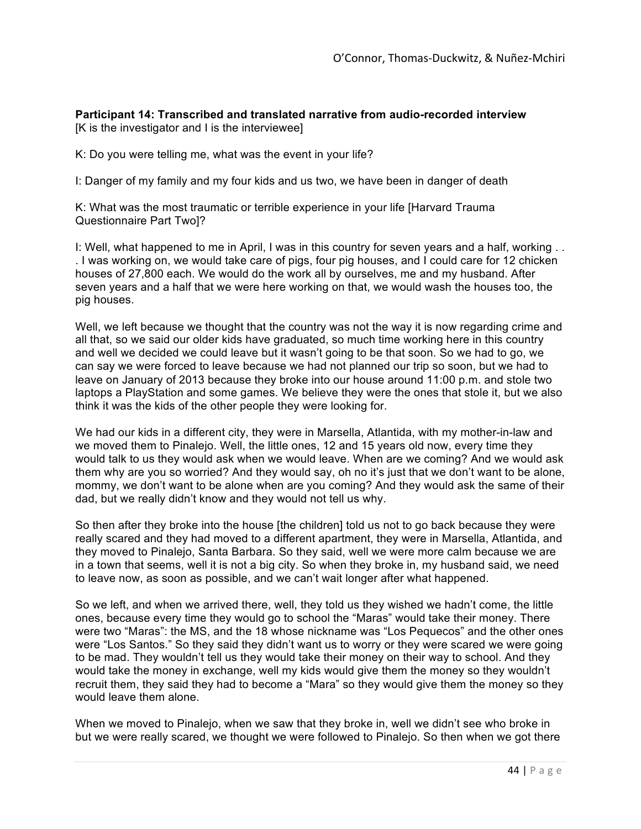## **Participant 14: Transcribed and translated narrative from audio-recorded interview** [K is the investigator and I is the interviewee]

K: Do you were telling me, what was the event in your life?

I: Danger of my family and my four kids and us two, we have been in danger of death

K: What was the most traumatic or terrible experience in your life [Harvard Trauma Questionnaire Part Two]?

I: Well, what happened to me in April, I was in this country for seven years and a half, working . . . I was working on, we would take care of pigs, four pig houses, and I could care for 12 chicken houses of 27,800 each. We would do the work all by ourselves, me and my husband. After seven years and a half that we were here working on that, we would wash the houses too, the pig houses.

Well, we left because we thought that the country was not the way it is now regarding crime and all that, so we said our older kids have graduated, so much time working here in this country and well we decided we could leave but it wasn't going to be that soon. So we had to go, we can say we were forced to leave because we had not planned our trip so soon, but we had to leave on January of 2013 because they broke into our house around 11:00 p.m. and stole two laptops a PlayStation and some games. We believe they were the ones that stole it, but we also think it was the kids of the other people they were looking for.

We had our kids in a different city, they were in Marsella, Atlantida, with my mother-in-law and we moved them to Pinalejo. Well, the little ones, 12 and 15 years old now, every time they would talk to us they would ask when we would leave. When are we coming? And we would ask them why are you so worried? And they would say, oh no it's just that we don't want to be alone, mommy, we don't want to be alone when are you coming? And they would ask the same of their dad, but we really didn't know and they would not tell us why.

So then after they broke into the house [the children] told us not to go back because they were really scared and they had moved to a different apartment, they were in Marsella, Atlantida, and they moved to Pinalejo, Santa Barbara. So they said, well we were more calm because we are in a town that seems, well it is not a big city. So when they broke in, my husband said, we need to leave now, as soon as possible, and we can't wait longer after what happened.

So we left, and when we arrived there, well, they told us they wished we hadn't come, the little ones, because every time they would go to school the "Maras" would take their money. There were two "Maras": the MS, and the 18 whose nickname was "Los Pequecos" and the other ones were "Los Santos." So they said they didn't want us to worry or they were scared we were going to be mad. They wouldn't tell us they would take their money on their way to school. And they would take the money in exchange, well my kids would give them the money so they wouldn't recruit them, they said they had to become a "Mara" so they would give them the money so they would leave them alone.

When we moved to Pinalejo, when we saw that they broke in, well we didn't see who broke in but we were really scared, we thought we were followed to Pinalejo. So then when we got there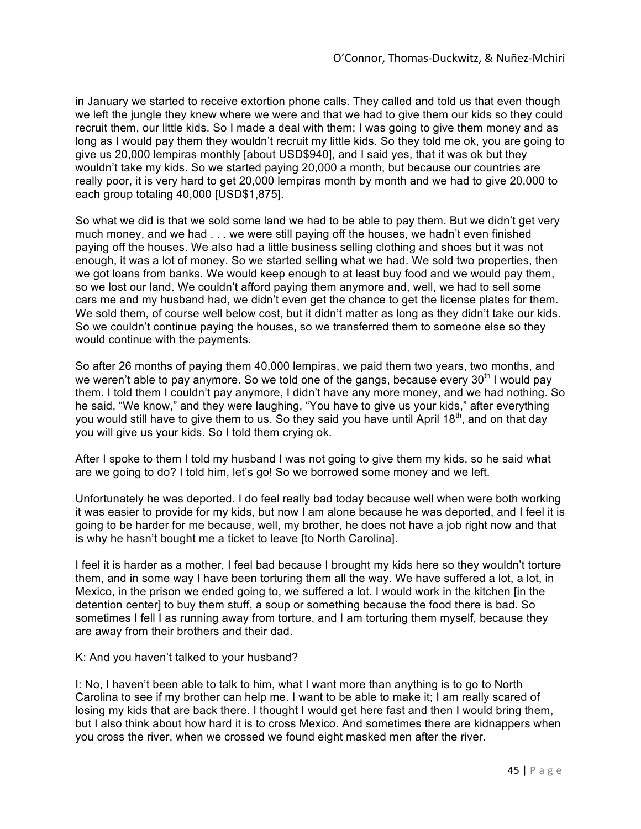in January we started to receive extortion phone calls. They called and told us that even though we left the jungle they knew where we were and that we had to give them our kids so they could recruit them, our little kids. So I made a deal with them; I was going to give them money and as long as I would pay them they wouldn't recruit my little kids. So they told me ok, you are going to give us 20,000 lempiras monthly [about USD\$940], and I said yes, that it was ok but they wouldn't take my kids. So we started paying 20,000 a month, but because our countries are really poor, it is very hard to get 20,000 lempiras month by month and we had to give 20,000 to each group totaling 40,000 [USD\$1,875].

So what we did is that we sold some land we had to be able to pay them. But we didn't get very much money, and we had . . . we were still paying off the houses, we hadn't even finished paying off the houses. We also had a little business selling clothing and shoes but it was not enough, it was a lot of money. So we started selling what we had. We sold two properties, then we got loans from banks. We would keep enough to at least buy food and we would pay them, so we lost our land. We couldn't afford paying them anymore and, well, we had to sell some cars me and my husband had, we didn't even get the chance to get the license plates for them. We sold them, of course well below cost, but it didn't matter as long as they didn't take our kids. So we couldn't continue paying the houses, so we transferred them to someone else so they would continue with the payments.

So after 26 months of paying them 40,000 lempiras, we paid them two years, two months, and we weren't able to pay anymore. So we told one of the gangs, because every  $30<sup>th</sup>$  I would pay them. I told them I couldn't pay anymore, I didn't have any more money, and we had nothing. So he said, "We know," and they were laughing, "You have to give us your kids," after everything you would still have to give them to us. So they said you have until April 18<sup>th</sup>, and on that day you will give us your kids. So I told them crying ok.

After I spoke to them I told my husband I was not going to give them my kids, so he said what are we going to do? I told him, let's go! So we borrowed some money and we left.

Unfortunately he was deported. I do feel really bad today because well when were both working it was easier to provide for my kids, but now I am alone because he was deported, and I feel it is going to be harder for me because, well, my brother, he does not have a job right now and that is why he hasn't bought me a ticket to leave [to North Carolina].

I feel it is harder as a mother, I feel bad because I brought my kids here so they wouldn't torture them, and in some way I have been torturing them all the way. We have suffered a lot, a lot, in Mexico, in the prison we ended going to, we suffered a lot. I would work in the kitchen [in the detention center] to buy them stuff, a soup or something because the food there is bad. So sometimes I fell I as running away from torture, and I am torturing them myself, because they are away from their brothers and their dad.

## K: And you haven't talked to your husband?

I: No, I haven't been able to talk to him, what I want more than anything is to go to North Carolina to see if my brother can help me. I want to be able to make it; I am really scared of losing my kids that are back there. I thought I would get here fast and then I would bring them, but I also think about how hard it is to cross Mexico. And sometimes there are kidnappers when you cross the river, when we crossed we found eight masked men after the river.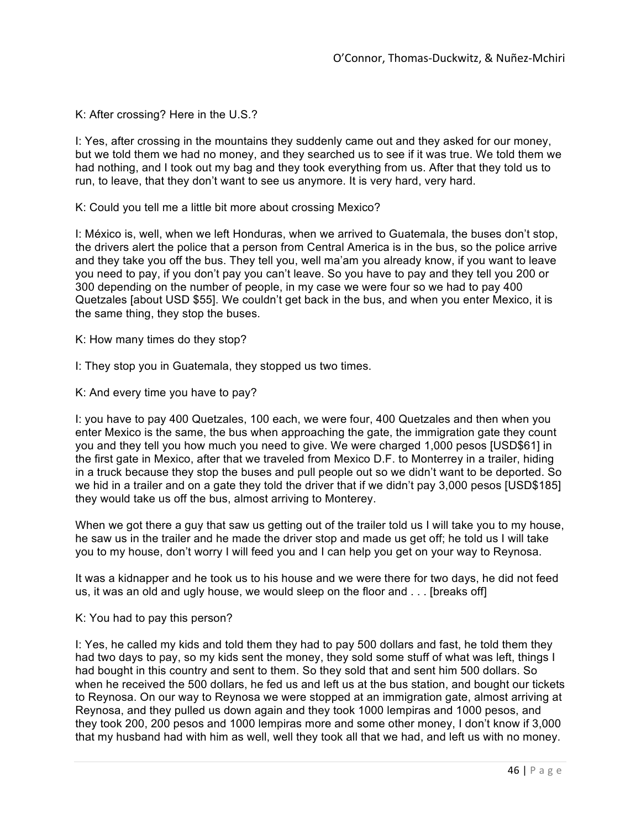## K: After crossing? Here in the U.S.?

I: Yes, after crossing in the mountains they suddenly came out and they asked for our money, but we told them we had no money, and they searched us to see if it was true. We told them we had nothing, and I took out my bag and they took everything from us. After that they told us to run, to leave, that they don't want to see us anymore. It is very hard, very hard.

K: Could you tell me a little bit more about crossing Mexico?

I: México is, well, when we left Honduras, when we arrived to Guatemala, the buses don't stop, the drivers alert the police that a person from Central America is in the bus, so the police arrive and they take you off the bus. They tell you, well ma'am you already know, if you want to leave you need to pay, if you don't pay you can't leave. So you have to pay and they tell you 200 or 300 depending on the number of people, in my case we were four so we had to pay 400 Quetzales [about USD \$55]. We couldn't get back in the bus, and when you enter Mexico, it is the same thing, they stop the buses.

K: How many times do they stop?

- I: They stop you in Guatemala, they stopped us two times.
- K: And every time you have to pay?

I: you have to pay 400 Quetzales, 100 each, we were four, 400 Quetzales and then when you enter Mexico is the same, the bus when approaching the gate, the immigration gate they count you and they tell you how much you need to give. We were charged 1,000 pesos [USD\$61] in the first gate in Mexico, after that we traveled from Mexico D.F. to Monterrey in a trailer, hiding in a truck because they stop the buses and pull people out so we didn't want to be deported. So we hid in a trailer and on a gate they told the driver that if we didn't pay 3,000 pesos [USD\$185] they would take us off the bus, almost arriving to Monterey.

When we got there a guy that saw us getting out of the trailer told us I will take you to my house, he saw us in the trailer and he made the driver stop and made us get off; he told us I will take you to my house, don't worry I will feed you and I can help you get on your way to Reynosa.

It was a kidnapper and he took us to his house and we were there for two days, he did not feed us, it was an old and ugly house, we would sleep on the floor and . . . [breaks off]

#### K: You had to pay this person?

I: Yes, he called my kids and told them they had to pay 500 dollars and fast, he told them they had two days to pay, so my kids sent the money, they sold some stuff of what was left, things I had bought in this country and sent to them. So they sold that and sent him 500 dollars. So when he received the 500 dollars, he fed us and left us at the bus station, and bought our tickets to Reynosa. On our way to Reynosa we were stopped at an immigration gate, almost arriving at Reynosa, and they pulled us down again and they took 1000 lempiras and 1000 pesos, and they took 200, 200 pesos and 1000 lempiras more and some other money, I don't know if 3,000 that my husband had with him as well, well they took all that we had, and left us with no money.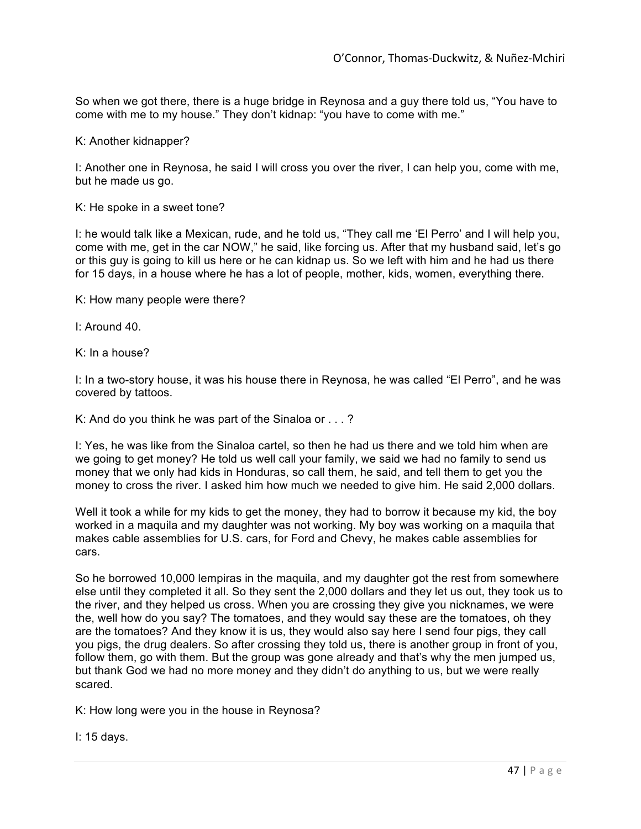So when we got there, there is a huge bridge in Reynosa and a guy there told us, "You have to come with me to my house." They don't kidnap: "you have to come with me."

K: Another kidnapper?

I: Another one in Reynosa, he said I will cross you over the river, I can help you, come with me, but he made us go.

K: He spoke in a sweet tone?

I: he would talk like a Mexican, rude, and he told us, "They call me 'El Perro' and I will help you, come with me, get in the car NOW," he said, like forcing us. After that my husband said, let's go or this guy is going to kill us here or he can kidnap us. So we left with him and he had us there for 15 days, in a house where he has a lot of people, mother, kids, women, everything there.

K: How many people were there?

I: Around 40.

K: In a house?

I: In a two-story house, it was his house there in Reynosa, he was called "El Perro", and he was covered by tattoos.

K: And do you think he was part of the Sinaloa or . . . ?

I: Yes, he was like from the Sinaloa cartel, so then he had us there and we told him when are we going to get money? He told us well call your family, we said we had no family to send us money that we only had kids in Honduras, so call them, he said, and tell them to get you the money to cross the river. I asked him how much we needed to give him. He said 2,000 dollars.

Well it took a while for my kids to get the money, they had to borrow it because my kid, the boy worked in a maquila and my daughter was not working. My boy was working on a maquila that makes cable assemblies for U.S. cars, for Ford and Chevy, he makes cable assemblies for cars.

So he borrowed 10,000 lempiras in the maquila, and my daughter got the rest from somewhere else until they completed it all. So they sent the 2,000 dollars and they let us out, they took us to the river, and they helped us cross. When you are crossing they give you nicknames, we were the, well how do you say? The tomatoes, and they would say these are the tomatoes, oh they are the tomatoes? And they know it is us, they would also say here I send four pigs, they call you pigs, the drug dealers. So after crossing they told us, there is another group in front of you, follow them, go with them. But the group was gone already and that's why the men jumped us, but thank God we had no more money and they didn't do anything to us, but we were really scared.

K: How long were you in the house in Reynosa?

I: 15 days.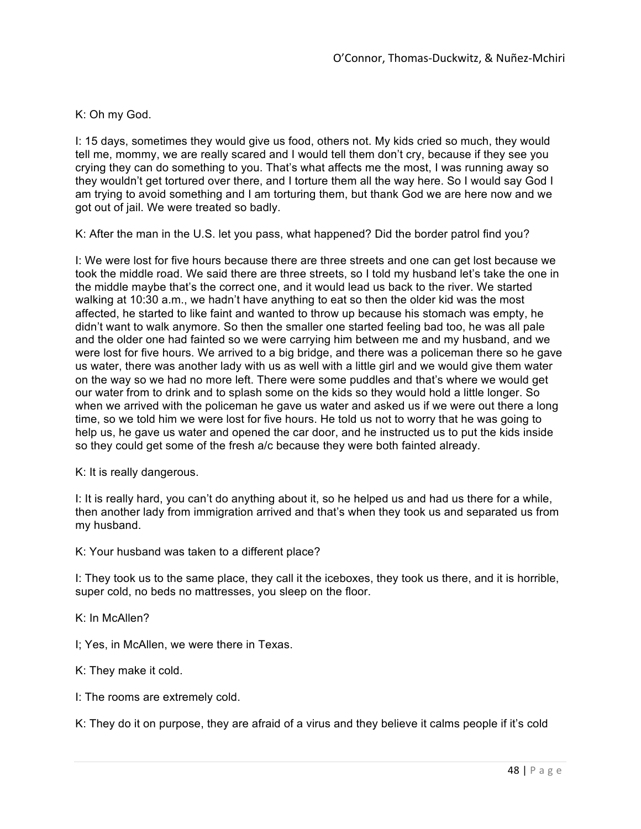K: Oh my God.

I: 15 days, sometimes they would give us food, others not. My kids cried so much, they would tell me, mommy, we are really scared and I would tell them don't cry, because if they see you crying they can do something to you. That's what affects me the most, I was running away so they wouldn't get tortured over there, and I torture them all the way here. So I would say God I am trying to avoid something and I am torturing them, but thank God we are here now and we got out of jail. We were treated so badly.

K: After the man in the U.S. let you pass, what happened? Did the border patrol find you?

I: We were lost for five hours because there are three streets and one can get lost because we took the middle road. We said there are three streets, so I told my husband let's take the one in the middle maybe that's the correct one, and it would lead us back to the river. We started walking at 10:30 a.m., we hadn't have anything to eat so then the older kid was the most affected, he started to like faint and wanted to throw up because his stomach was empty, he didn't want to walk anymore. So then the smaller one started feeling bad too, he was all pale and the older one had fainted so we were carrying him between me and my husband, and we were lost for five hours. We arrived to a big bridge, and there was a policeman there so he gave us water, there was another lady with us as well with a little girl and we would give them water on the way so we had no more left. There were some puddles and that's where we would get our water from to drink and to splash some on the kids so they would hold a little longer. So when we arrived with the policeman he gave us water and asked us if we were out there a long time, so we told him we were lost for five hours. He told us not to worry that he was going to help us, he gave us water and opened the car door, and he instructed us to put the kids inside so they could get some of the fresh a/c because they were both fainted already.

K: It is really dangerous.

I: It is really hard, you can't do anything about it, so he helped us and had us there for a while, then another lady from immigration arrived and that's when they took us and separated us from my husband.

K: Your husband was taken to a different place?

I: They took us to the same place, they call it the iceboxes, they took us there, and it is horrible, super cold, no beds no mattresses, you sleep on the floor.

K: In McAllen?

I; Yes, in McAllen, we were there in Texas.

K: They make it cold.

I: The rooms are extremely cold.

K: They do it on purpose, they are afraid of a virus and they believe it calms people if it's cold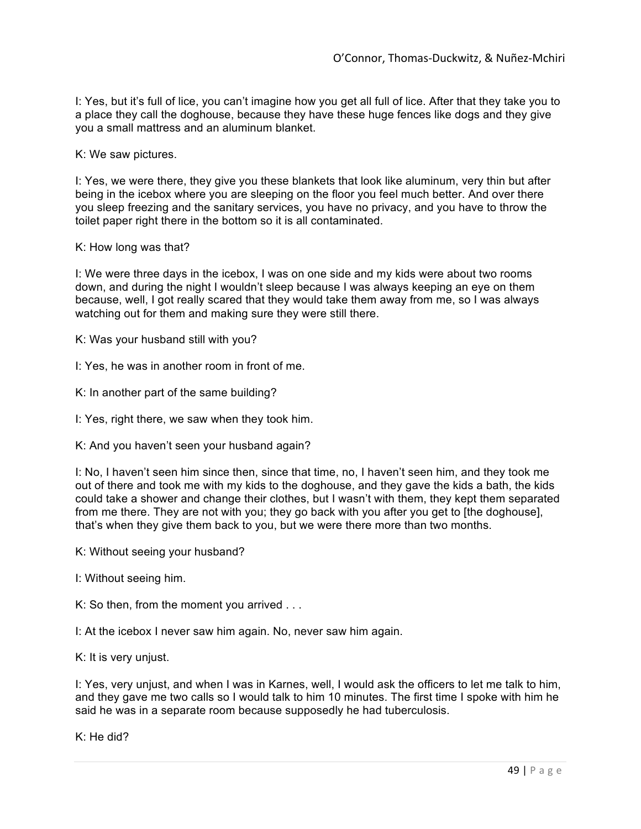I: Yes, but it's full of lice, you can't imagine how you get all full of lice. After that they take you to a place they call the doghouse, because they have these huge fences like dogs and they give you a small mattress and an aluminum blanket.

K: We saw pictures.

I: Yes, we were there, they give you these blankets that look like aluminum, very thin but after being in the icebox where you are sleeping on the floor you feel much better. And over there you sleep freezing and the sanitary services, you have no privacy, and you have to throw the toilet paper right there in the bottom so it is all contaminated.

K: How long was that?

I: We were three days in the icebox, I was on one side and my kids were about two rooms down, and during the night I wouldn't sleep because I was always keeping an eye on them because, well, I got really scared that they would take them away from me, so I was always watching out for them and making sure they were still there.

K: Was your husband still with you?

I: Yes, he was in another room in front of me.

K: In another part of the same building?

I: Yes, right there, we saw when they took him.

K: And you haven't seen your husband again?

I: No, I haven't seen him since then, since that time, no, I haven't seen him, and they took me out of there and took me with my kids to the doghouse, and they gave the kids a bath, the kids could take a shower and change their clothes, but I wasn't with them, they kept them separated from me there. They are not with you; they go back with you after you get to [the doghouse], that's when they give them back to you, but we were there more than two months.

K: Without seeing your husband?

I: Without seeing him.

K: So then, from the moment you arrived . . .

I: At the icebox I never saw him again. No, never saw him again.

K: It is very unjust.

I: Yes, very unjust, and when I was in Karnes, well, I would ask the officers to let me talk to him, and they gave me two calls so I would talk to him 10 minutes. The first time I spoke with him he said he was in a separate room because supposedly he had tuberculosis.

K: He did?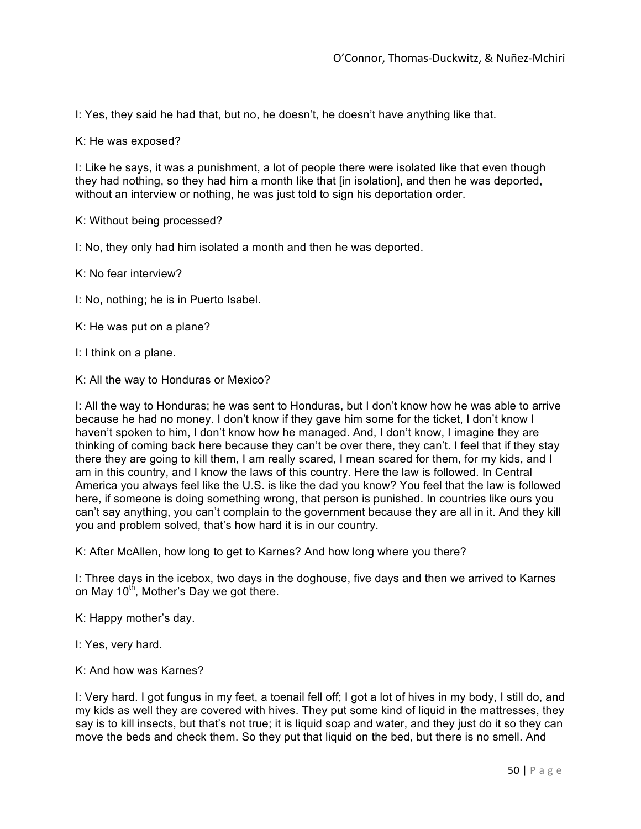I: Yes, they said he had that, but no, he doesn't, he doesn't have anything like that.

K: He was exposed?

I: Like he says, it was a punishment, a lot of people there were isolated like that even though they had nothing, so they had him a month like that [in isolation], and then he was deported, without an interview or nothing, he was just told to sign his deportation order.

K: Without being processed?

I: No, they only had him isolated a month and then he was deported.

K: No fear interview?

- I: No, nothing; he is in Puerto Isabel.
- K: He was put on a plane?
- I: I think on a plane.
- K: All the way to Honduras or Mexico?

I: All the way to Honduras; he was sent to Honduras, but I don't know how he was able to arrive because he had no money. I don't know if they gave him some for the ticket, I don't know I haven't spoken to him, I don't know how he managed. And, I don't know, I imagine they are thinking of coming back here because they can't be over there, they can't. I feel that if they stay there they are going to kill them, I am really scared, I mean scared for them, for my kids, and I am in this country, and I know the laws of this country. Here the law is followed. In Central America you always feel like the U.S. is like the dad you know? You feel that the law is followed here, if someone is doing something wrong, that person is punished. In countries like ours you can't say anything, you can't complain to the government because they are all in it. And they kill you and problem solved, that's how hard it is in our country.

K: After McAllen, how long to get to Karnes? And how long where you there?

I: Three days in the icebox, two days in the doghouse, five days and then we arrived to Karnes on May  $10^{th}$ , Mother's Day we got there.

- K: Happy mother's day.
- I: Yes, very hard.

K: And how was Karnes?

I: Very hard. I got fungus in my feet, a toenail fell off; I got a lot of hives in my body, I still do, and my kids as well they are covered with hives. They put some kind of liquid in the mattresses, they say is to kill insects, but that's not true; it is liquid soap and water, and they just do it so they can move the beds and check them. So they put that liquid on the bed, but there is no smell. And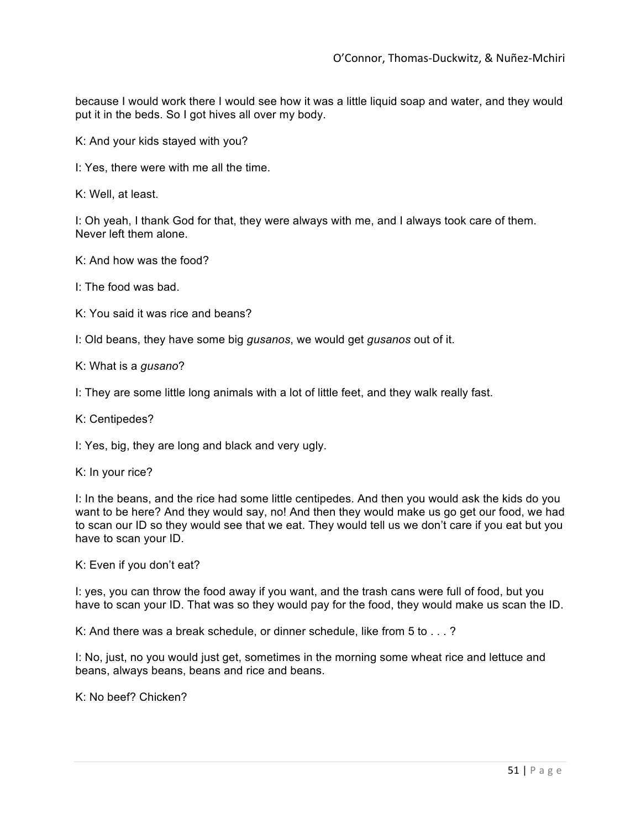because I would work there I would see how it was a little liquid soap and water, and they would put it in the beds. So I got hives all over my body.

- K: And your kids stayed with you?
- I: Yes, there were with me all the time.

K: Well, at least.

I: Oh yeah, I thank God for that, they were always with me, and I always took care of them. Never left them alone.

- K: And how was the food?
- I: The food was bad.
- K: You said it was rice and beans?
- I: Old beans, they have some big *gusanos*, we would get *gusanos* out of it.
- K: What is a *gusano*?
- I: They are some little long animals with a lot of little feet, and they walk really fast.
- K: Centipedes?
- I: Yes, big, they are long and black and very ugly.
- K: In your rice?

I: In the beans, and the rice had some little centipedes. And then you would ask the kids do you want to be here? And they would say, no! And then they would make us go get our food, we had to scan our ID so they would see that we eat. They would tell us we don't care if you eat but you have to scan your ID.

K: Even if you don't eat?

I: yes, you can throw the food away if you want, and the trash cans were full of food, but you have to scan your ID. That was so they would pay for the food, they would make us scan the ID.

K: And there was a break schedule, or dinner schedule, like from 5 to . . . ?

I: No, just, no you would just get, sometimes in the morning some wheat rice and lettuce and beans, always beans, beans and rice and beans.

K: No beef? Chicken?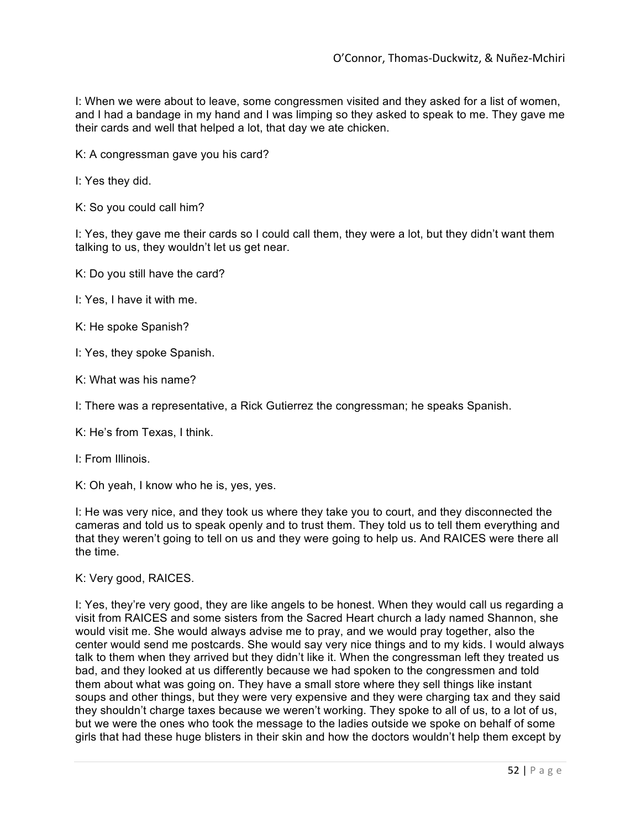I: When we were about to leave, some congressmen visited and they asked for a list of women, and I had a bandage in my hand and I was limping so they asked to speak to me. They gave me their cards and well that helped a lot, that day we ate chicken.

- K: A congressman gave you his card?
- I: Yes they did.
- K: So you could call him?

I: Yes, they gave me their cards so I could call them, they were a lot, but they didn't want them talking to us, they wouldn't let us get near.

- K: Do you still have the card?
- I: Yes, I have it with me.
- K: He spoke Spanish?
- I: Yes, they spoke Spanish.
- K: What was his name?

I: There was a representative, a Rick Gutierrez the congressman; he speaks Spanish.

- K: He's from Texas, I think.
- I: From Illinois.

K: Oh yeah, I know who he is, yes, yes.

I: He was very nice, and they took us where they take you to court, and they disconnected the cameras and told us to speak openly and to trust them. They told us to tell them everything and that they weren't going to tell on us and they were going to help us. And RAICES were there all the time.

K: Very good, RAICES.

I: Yes, they're very good, they are like angels to be honest. When they would call us regarding a visit from RAICES and some sisters from the Sacred Heart church a lady named Shannon, she would visit me. She would always advise me to pray, and we would pray together, also the center would send me postcards. She would say very nice things and to my kids. I would always talk to them when they arrived but they didn't like it. When the congressman left they treated us bad, and they looked at us differently because we had spoken to the congressmen and told them about what was going on. They have a small store where they sell things like instant soups and other things, but they were very expensive and they were charging tax and they said they shouldn't charge taxes because we weren't working. They spoke to all of us, to a lot of us, but we were the ones who took the message to the ladies outside we spoke on behalf of some girls that had these huge blisters in their skin and how the doctors wouldn't help them except by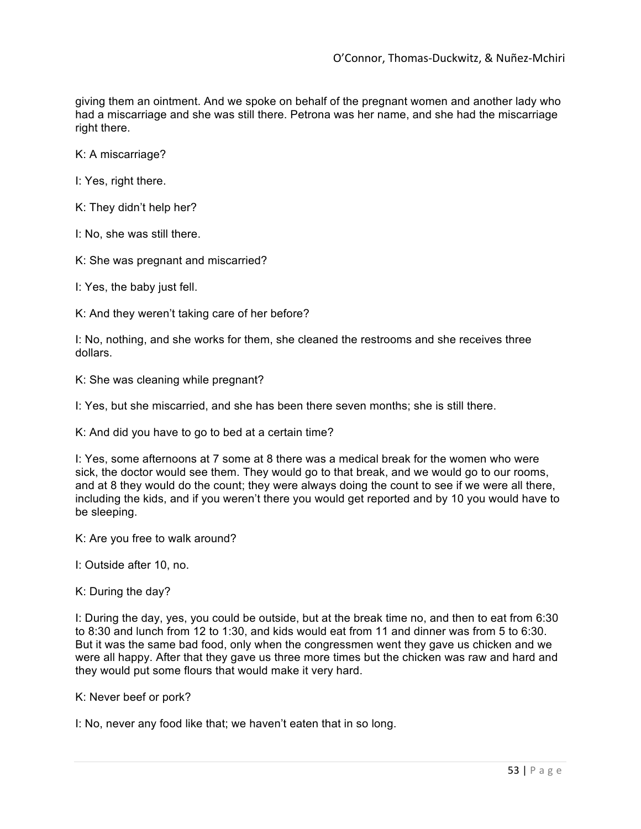giving them an ointment. And we spoke on behalf of the pregnant women and another lady who had a miscarriage and she was still there. Petrona was her name, and she had the miscarriage right there.

K: A miscarriage?

I: Yes, right there.

K: They didn't help her?

I: No, she was still there.

K: She was pregnant and miscarried?

I: Yes, the baby just fell.

K: And they weren't taking care of her before?

I: No, nothing, and she works for them, she cleaned the restrooms and she receives three dollars.

K: She was cleaning while pregnant?

I: Yes, but she miscarried, and she has been there seven months; she is still there.

K: And did you have to go to bed at a certain time?

I: Yes, some afternoons at 7 some at 8 there was a medical break for the women who were sick, the doctor would see them. They would go to that break, and we would go to our rooms, and at 8 they would do the count; they were always doing the count to see if we were all there, including the kids, and if you weren't there you would get reported and by 10 you would have to be sleeping.

K: Are you free to walk around?

I: Outside after 10, no.

K: During the day?

I: During the day, yes, you could be outside, but at the break time no, and then to eat from 6:30 to 8:30 and lunch from 12 to 1:30, and kids would eat from 11 and dinner was from 5 to 6:30. But it was the same bad food, only when the congressmen went they gave us chicken and we were all happy. After that they gave us three more times but the chicken was raw and hard and they would put some flours that would make it very hard.

K: Never beef or pork?

I: No, never any food like that; we haven't eaten that in so long.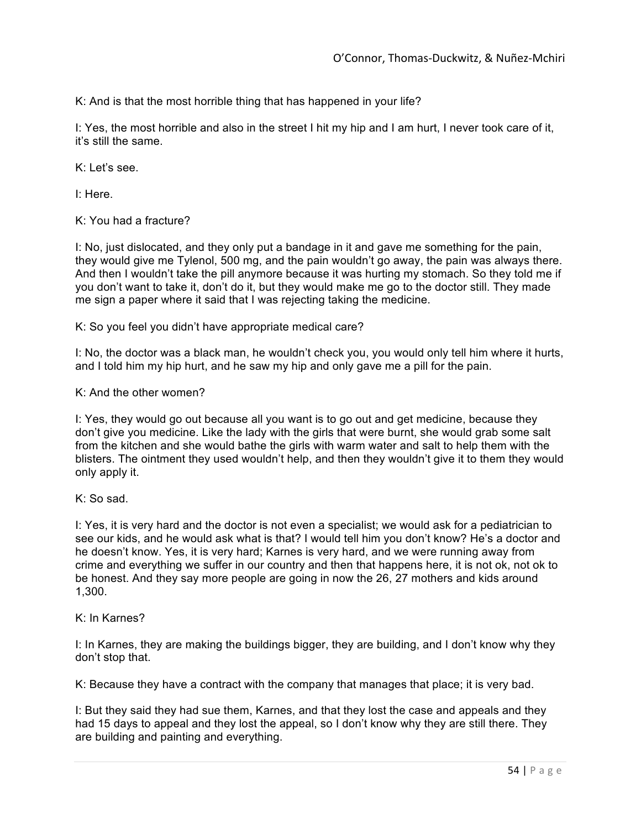K: And is that the most horrible thing that has happened in your life?

I: Yes, the most horrible and also in the street I hit my hip and I am hurt, I never took care of it, it's still the same.

K: Let's see.

I: Here.

K: You had a fracture?

I: No, just dislocated, and they only put a bandage in it and gave me something for the pain, they would give me Tylenol, 500 mg, and the pain wouldn't go away, the pain was always there. And then I wouldn't take the pill anymore because it was hurting my stomach. So they told me if you don't want to take it, don't do it, but they would make me go to the doctor still. They made me sign a paper where it said that I was rejecting taking the medicine.

K: So you feel you didn't have appropriate medical care?

I: No, the doctor was a black man, he wouldn't check you, you would only tell him where it hurts, and I told him my hip hurt, and he saw my hip and only gave me a pill for the pain.

K: And the other women?

I: Yes, they would go out because all you want is to go out and get medicine, because they don't give you medicine. Like the lady with the girls that were burnt, she would grab some salt from the kitchen and she would bathe the girls with warm water and salt to help them with the blisters. The ointment they used wouldn't help, and then they wouldn't give it to them they would only apply it.

K: So sad.

I: Yes, it is very hard and the doctor is not even a specialist; we would ask for a pediatrician to see our kids, and he would ask what is that? I would tell him you don't know? He's a doctor and he doesn't know. Yes, it is very hard; Karnes is very hard, and we were running away from crime and everything we suffer in our country and then that happens here, it is not ok, not ok to be honest. And they say more people are going in now the 26, 27 mothers and kids around 1,300.

## K: In Karnes?

I: In Karnes, they are making the buildings bigger, they are building, and I don't know why they don't stop that.

K: Because they have a contract with the company that manages that place; it is very bad.

I: But they said they had sue them, Karnes, and that they lost the case and appeals and they had 15 days to appeal and they lost the appeal, so I don't know why they are still there. They are building and painting and everything.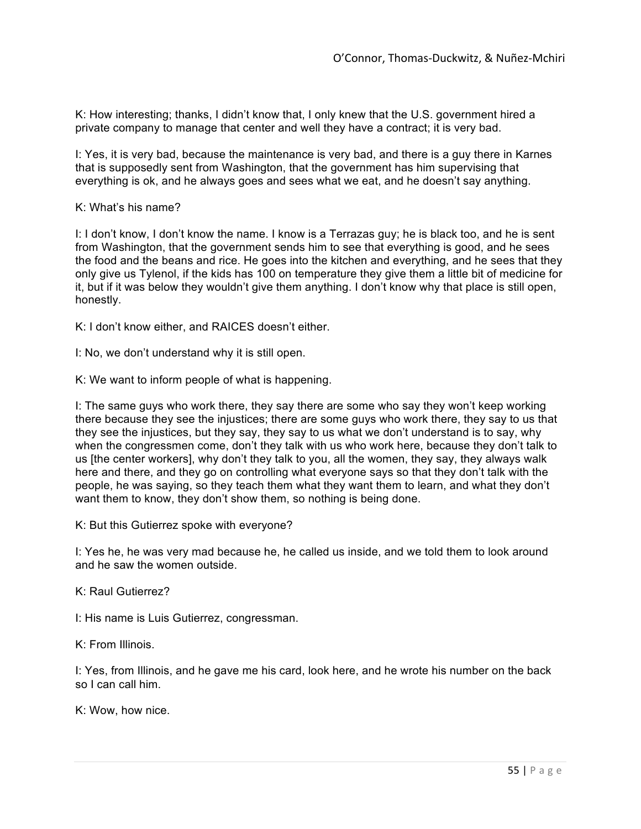K: How interesting; thanks, I didn't know that, I only knew that the U.S. government hired a private company to manage that center and well they have a contract; it is very bad.

I: Yes, it is very bad, because the maintenance is very bad, and there is a guy there in Karnes that is supposedly sent from Washington, that the government has him supervising that everything is ok, and he always goes and sees what we eat, and he doesn't say anything.

K: What's his name?

I: I don't know, I don't know the name. I know is a Terrazas guy; he is black too, and he is sent from Washington, that the government sends him to see that everything is good, and he sees the food and the beans and rice. He goes into the kitchen and everything, and he sees that they only give us Tylenol, if the kids has 100 on temperature they give them a little bit of medicine for it, but if it was below they wouldn't give them anything. I don't know why that place is still open, honestly.

K: I don't know either, and RAICES doesn't either.

I: No, we don't understand why it is still open.

K: We want to inform people of what is happening.

I: The same guys who work there, they say there are some who say they won't keep working there because they see the injustices; there are some guys who work there, they say to us that they see the injustices, but they say, they say to us what we don't understand is to say, why when the congressmen come, don't they talk with us who work here, because they don't talk to us [the center workers], why don't they talk to you, all the women, they say, they always walk here and there, and they go on controlling what everyone says so that they don't talk with the people, he was saying, so they teach them what they want them to learn, and what they don't want them to know, they don't show them, so nothing is being done.

K: But this Gutierrez spoke with everyone?

I: Yes he, he was very mad because he, he called us inside, and we told them to look around and he saw the women outside.

K: Raul Gutierrez?

I: His name is Luis Gutierrez, congressman.

K: From Illinois.

I: Yes, from Illinois, and he gave me his card, look here, and he wrote his number on the back so I can call him.

K: Wow, how nice.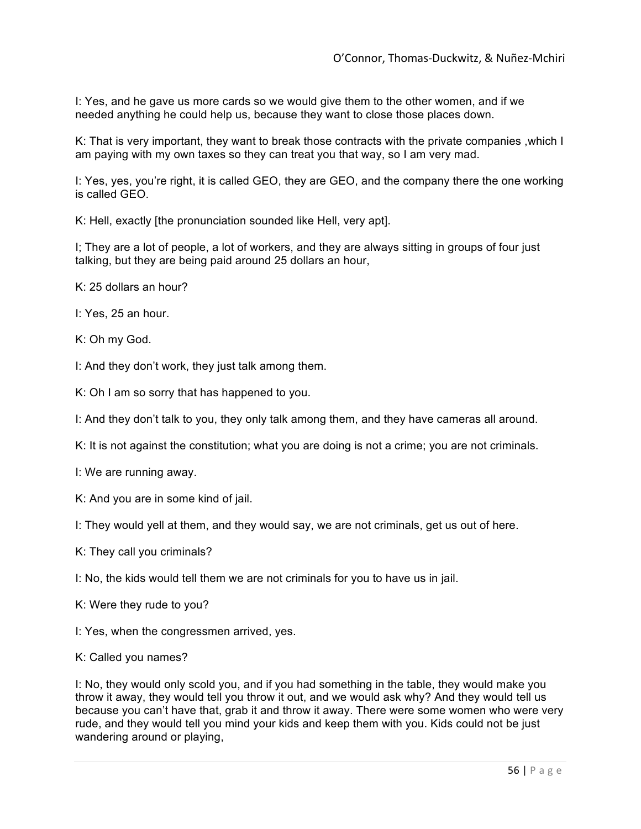I: Yes, and he gave us more cards so we would give them to the other women, and if we needed anything he could help us, because they want to close those places down.

K: That is very important, they want to break those contracts with the private companies ,which I am paying with my own taxes so they can treat you that way, so I am very mad.

I: Yes, yes, you're right, it is called GEO, they are GEO, and the company there the one working is called GEO.

K: Hell, exactly [the pronunciation sounded like Hell, very apt].

I; They are a lot of people, a lot of workers, and they are always sitting in groups of four just talking, but they are being paid around 25 dollars an hour,

K: 25 dollars an hour?

I: Yes, 25 an hour.

K: Oh my God.

I: And they don't work, they just talk among them.

K: Oh I am so sorry that has happened to you.

I: And they don't talk to you, they only talk among them, and they have cameras all around.

K: It is not against the constitution; what you are doing is not a crime; you are not criminals.

I: We are running away.

K: And you are in some kind of jail.

I: They would yell at them, and they would say, we are not criminals, get us out of here.

K: They call you criminals?

I: No, the kids would tell them we are not criminals for you to have us in jail.

K: Were they rude to you?

I: Yes, when the congressmen arrived, yes.

K: Called you names?

I: No, they would only scold you, and if you had something in the table, they would make you throw it away, they would tell you throw it out, and we would ask why? And they would tell us because you can't have that, grab it and throw it away. There were some women who were very rude, and they would tell you mind your kids and keep them with you. Kids could not be just wandering around or playing,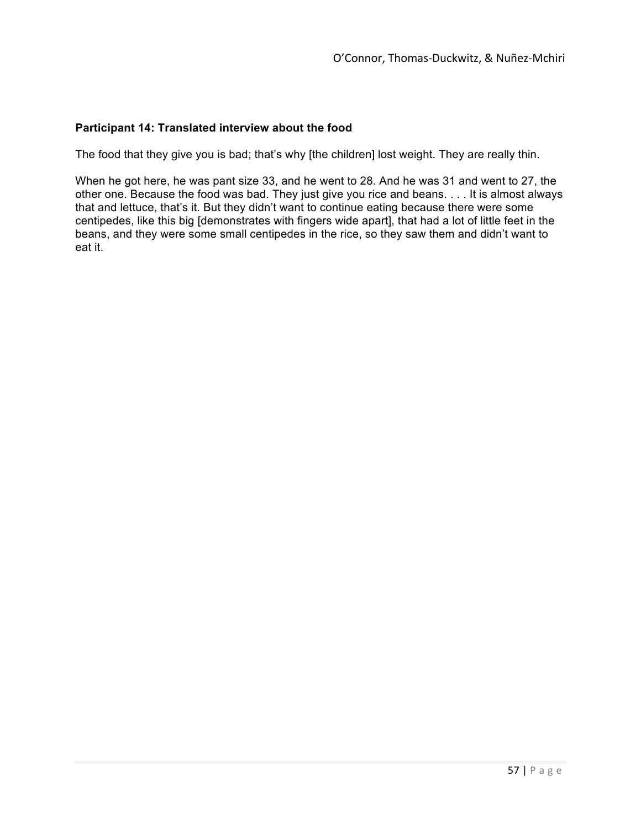## **Participant 14: Translated interview about the food**

The food that they give you is bad; that's why [the children] lost weight. They are really thin.

When he got here, he was pant size 33, and he went to 28. And he was 31 and went to 27, the other one. Because the food was bad. They just give you rice and beans. . . . It is almost always that and lettuce, that's it. But they didn't want to continue eating because there were some centipedes, like this big [demonstrates with fingers wide apart], that had a lot of little feet in the beans, and they were some small centipedes in the rice, so they saw them and didn't want to eat it.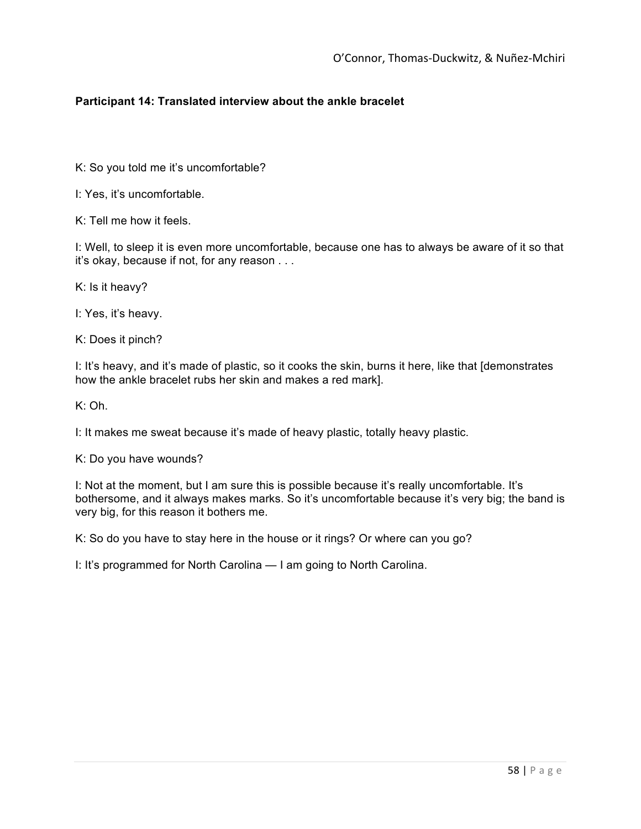# **Participant 14: Translated interview about the ankle bracelet**

K: So you told me it's uncomfortable?

I: Yes, it's uncomfortable.

K: Tell me how it feels.

I: Well, to sleep it is even more uncomfortable, because one has to always be aware of it so that it's okay, because if not, for any reason . . .

K: Is it heavy?

I: Yes, it's heavy.

K: Does it pinch?

I: It's heavy, and it's made of plastic, so it cooks the skin, burns it here, like that [demonstrates how the ankle bracelet rubs her skin and makes a red mark].

K: Oh.

I: It makes me sweat because it's made of heavy plastic, totally heavy plastic.

K: Do you have wounds?

I: Not at the moment, but I am sure this is possible because it's really uncomfortable. It's bothersome, and it always makes marks. So it's uncomfortable because it's very big; the band is very big, for this reason it bothers me.

K: So do you have to stay here in the house or it rings? Or where can you go?

I: It's programmed for North Carolina — I am going to North Carolina.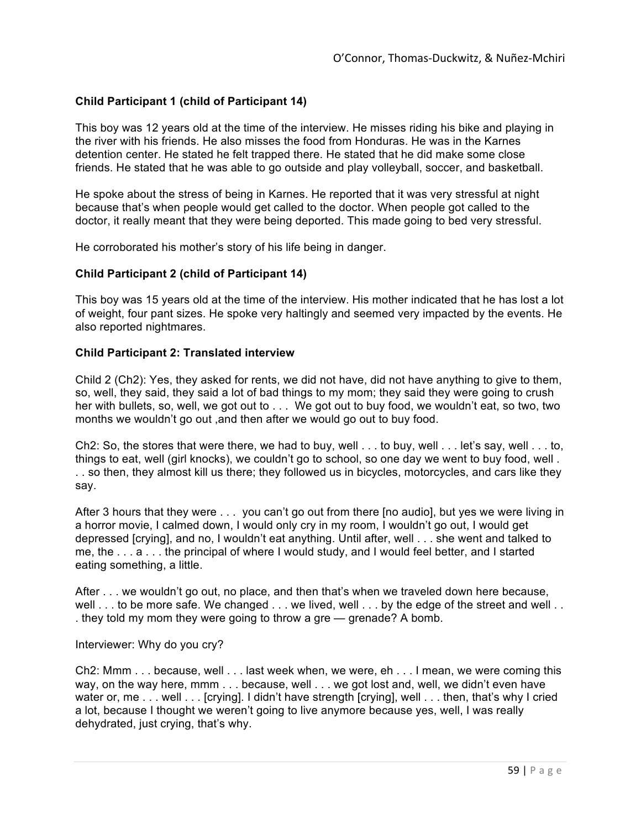# **Child Participant 1 (child of Participant 14)**

This boy was 12 years old at the time of the interview. He misses riding his bike and playing in the river with his friends. He also misses the food from Honduras. He was in the Karnes detention center. He stated he felt trapped there. He stated that he did make some close friends. He stated that he was able to go outside and play volleyball, soccer, and basketball.

He spoke about the stress of being in Karnes. He reported that it was very stressful at night because that's when people would get called to the doctor. When people got called to the doctor, it really meant that they were being deported. This made going to bed very stressful.

He corroborated his mother's story of his life being in danger.

# **Child Participant 2 (child of Participant 14)**

This boy was 15 years old at the time of the interview. His mother indicated that he has lost a lot of weight, four pant sizes. He spoke very haltingly and seemed very impacted by the events. He also reported nightmares.

## **Child Participant 2: Translated interview**

Child 2 (Ch2): Yes, they asked for rents, we did not have, did not have anything to give to them, so, well, they said, they said a lot of bad things to my mom; they said they were going to crush her with bullets, so, well, we got out to . . . We got out to buy food, we wouldn't eat, so two, two months we wouldn't go out ,and then after we would go out to buy food.

Ch2: So, the stores that were there, we had to buy, well . . . to buy, well . . . let's say, well . . . to, things to eat, well (girl knocks), we couldn't go to school, so one day we went to buy food, well . . . so then, they almost kill us there; they followed us in bicycles, motorcycles, and cars like they say.

After 3 hours that they were . . . you can't go out from there [no audio], but yes we were living in a horror movie, I calmed down, I would only cry in my room, I wouldn't go out, I would get depressed [crying], and no, I wouldn't eat anything. Until after, well . . . she went and talked to me, the . . . a . . . the principal of where I would study, and I would feel better, and I started eating something, a little.

After . . . we wouldn't go out, no place, and then that's when we traveled down here because, well . . . to be more safe. We changed . . . we lived, well . . . by the edge of the street and well . . . they told my mom they were going to throw a gre — grenade? A bomb.

## Interviewer: Why do you cry?

Ch2: Mmm . . . because, well . . . last week when, we were, eh . . . I mean, we were coming this way, on the way here, mmm . . . because, well . . . we got lost and, well, we didn't even have water or, me . . . well . . . [crying]. I didn't have strength [crying], well . . . then, that's why I cried a lot, because I thought we weren't going to live anymore because yes, well, I was really dehydrated, just crying, that's why.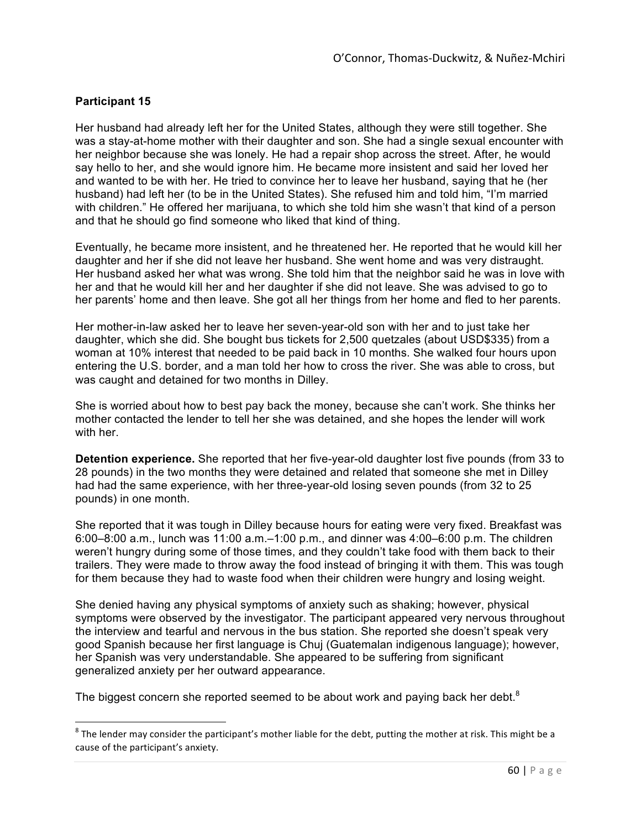# **Participant 15**

Her husband had already left her for the United States, although they were still together. She was a stay-at-home mother with their daughter and son. She had a single sexual encounter with her neighbor because she was lonely. He had a repair shop across the street. After, he would say hello to her, and she would ignore him. He became more insistent and said her loved her and wanted to be with her. He tried to convince her to leave her husband, saying that he (her husband) had left her (to be in the United States). She refused him and told him, "I'm married with children." He offered her marijuana, to which she told him she wasn't that kind of a person and that he should go find someone who liked that kind of thing.

Eventually, he became more insistent, and he threatened her. He reported that he would kill her daughter and her if she did not leave her husband. She went home and was very distraught. Her husband asked her what was wrong. She told him that the neighbor said he was in love with her and that he would kill her and her daughter if she did not leave. She was advised to go to her parents' home and then leave. She got all her things from her home and fled to her parents.

Her mother-in-law asked her to leave her seven-year-old son with her and to just take her daughter, which she did. She bought bus tickets for 2,500 quetzales (about USD\$335) from a woman at 10% interest that needed to be paid back in 10 months. She walked four hours upon entering the U.S. border, and a man told her how to cross the river. She was able to cross, but was caught and detained for two months in Dilley.

She is worried about how to best pay back the money, because she can't work. She thinks her mother contacted the lender to tell her she was detained, and she hopes the lender will work with her.

**Detention experience.** She reported that her five-year-old daughter lost five pounds (from 33 to 28 pounds) in the two months they were detained and related that someone she met in Dilley had had the same experience, with her three-year-old losing seven pounds (from 32 to 25 pounds) in one month.

She reported that it was tough in Dilley because hours for eating were very fixed. Breakfast was 6:00–8:00 a.m., lunch was 11:00 a.m.–1:00 p.m., and dinner was 4:00–6:00 p.m. The children weren't hungry during some of those times, and they couldn't take food with them back to their trailers. They were made to throw away the food instead of bringing it with them. This was tough for them because they had to waste food when their children were hungry and losing weight.

She denied having any physical symptoms of anxiety such as shaking; however, physical symptoms were observed by the investigator. The participant appeared very nervous throughout the interview and tearful and nervous in the bus station. She reported she doesn't speak very good Spanish because her first language is Chuj (Guatemalan indigenous language); however, her Spanish was very understandable. She appeared to be suffering from significant generalized anxiety per her outward appearance.

The biggest concern she reported seemed to be about work and paying back her debt.<sup>8</sup>

<u> 1989 - Johann Barn, mars ann an t-Amhain an t-Amhain an t-Amhain an t-Amhain an t-Amhain an t-Amhain an t-Amh</u>

 $8$  The lender may consider the participant's mother liable for the debt, putting the mother at risk. This might be a cause of the participant's anxiety.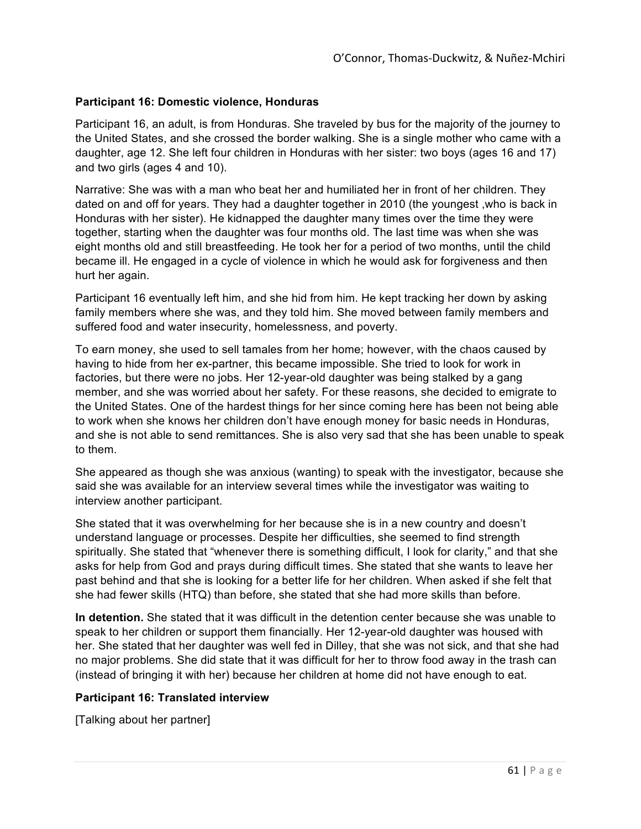# **Participant 16: Domestic violence, Honduras**

Participant 16, an adult, is from Honduras. She traveled by bus for the majority of the journey to the United States, and she crossed the border walking. She is a single mother who came with a daughter, age 12. She left four children in Honduras with her sister: two boys (ages 16 and 17) and two girls (ages 4 and 10).

Narrative: She was with a man who beat her and humiliated her in front of her children. They dated on and off for years. They had a daughter together in 2010 (the youngest ,who is back in Honduras with her sister). He kidnapped the daughter many times over the time they were together, starting when the daughter was four months old. The last time was when she was eight months old and still breastfeeding. He took her for a period of two months, until the child became ill. He engaged in a cycle of violence in which he would ask for forgiveness and then hurt her again.

Participant 16 eventually left him, and she hid from him. He kept tracking her down by asking family members where she was, and they told him. She moved between family members and suffered food and water insecurity, homelessness, and poverty.

To earn money, she used to sell tamales from her home; however, with the chaos caused by having to hide from her ex-partner, this became impossible. She tried to look for work in factories, but there were no jobs. Her 12-year-old daughter was being stalked by a gang member, and she was worried about her safety. For these reasons, she decided to emigrate to the United States. One of the hardest things for her since coming here has been not being able to work when she knows her children don't have enough money for basic needs in Honduras, and she is not able to send remittances. She is also very sad that she has been unable to speak to them.

She appeared as though she was anxious (wanting) to speak with the investigator, because she said she was available for an interview several times while the investigator was waiting to interview another participant.

She stated that it was overwhelming for her because she is in a new country and doesn't understand language or processes. Despite her difficulties, she seemed to find strength spiritually. She stated that "whenever there is something difficult, I look for clarity," and that she asks for help from God and prays during difficult times. She stated that she wants to leave her past behind and that she is looking for a better life for her children. When asked if she felt that she had fewer skills (HTQ) than before, she stated that she had more skills than before.

**In detention.** She stated that it was difficult in the detention center because she was unable to speak to her children or support them financially. Her 12-year-old daughter was housed with her. She stated that her daughter was well fed in Dilley, that she was not sick, and that she had no major problems. She did state that it was difficult for her to throw food away in the trash can (instead of bringing it with her) because her children at home did not have enough to eat.

## **Participant 16: Translated interview**

[Talking about her partner]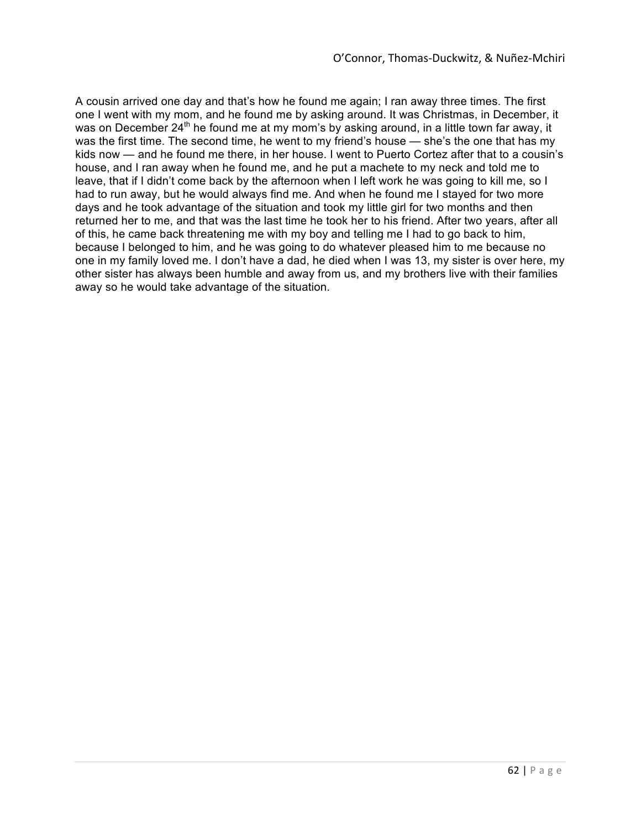A cousin arrived one day and that's how he found me again; I ran away three times. The first one I went with my mom, and he found me by asking around. It was Christmas, in December, it was on December 24<sup>th</sup> he found me at my mom's by asking around, in a little town far away, it was the first time. The second time, he went to my friend's house — she's the one that has my kids now — and he found me there, in her house. I went to Puerto Cortez after that to a cousin's house, and I ran away when he found me, and he put a machete to my neck and told me to leave, that if I didn't come back by the afternoon when I left work he was going to kill me, so I had to run away, but he would always find me. And when he found me I stayed for two more days and he took advantage of the situation and took my little girl for two months and then returned her to me, and that was the last time he took her to his friend. After two years, after all of this, he came back threatening me with my boy and telling me I had to go back to him, because I belonged to him, and he was going to do whatever pleased him to me because no one in my family loved me. I don't have a dad, he died when I was 13, my sister is over here, my other sister has always been humble and away from us, and my brothers live with their families away so he would take advantage of the situation.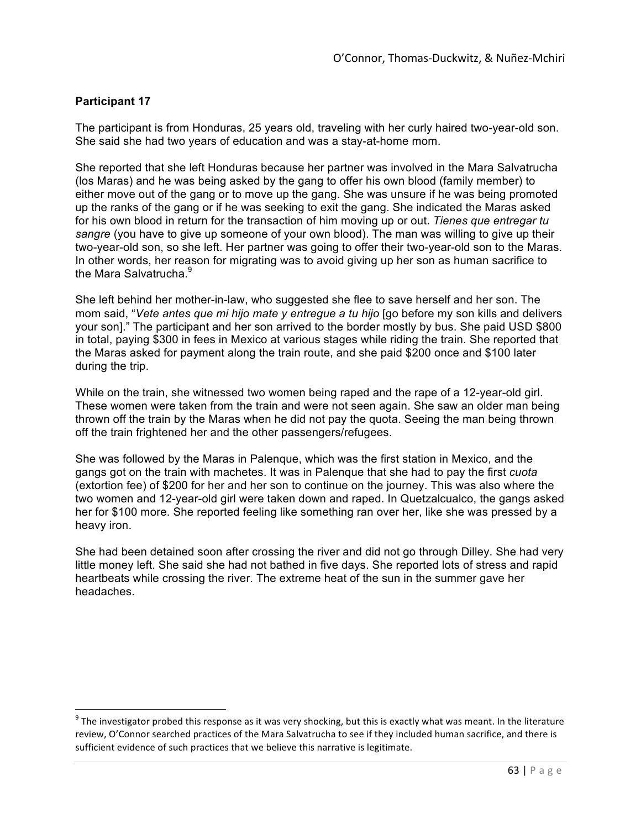# **Participant 17**

<u> 1989 - Johann Barn, mars ann an t-Amhain an t-Amhain an t-Amhain an t-Amhain an t-Amhain an t-Amhain an t-Amh</u>

The participant is from Honduras, 25 years old, traveling with her curly haired two-year-old son. She said she had two years of education and was a stay-at-home mom.

She reported that she left Honduras because her partner was involved in the Mara Salvatrucha (los Maras) and he was being asked by the gang to offer his own blood (family member) to either move out of the gang or to move up the gang. She was unsure if he was being promoted up the ranks of the gang or if he was seeking to exit the gang. She indicated the Maras asked for his own blood in return for the transaction of him moving up or out. *Tienes que entregar tu sangre* (you have to give up someone of your own blood). The man was willing to give up their two-year-old son, so she left. Her partner was going to offer their two-year-old son to the Maras. In other words, her reason for migrating was to avoid giving up her son as human sacrifice to the Mara Salvatrucha.<sup>9</sup>

She left behind her mother-in-law, who suggested she flee to save herself and her son. The mom said, "*Vete antes que mi hijo mate y entregue a tu hijo* [go before my son kills and delivers your son]." The participant and her son arrived to the border mostly by bus. She paid USD \$800 in total, paying \$300 in fees in Mexico at various stages while riding the train. She reported that the Maras asked for payment along the train route, and she paid \$200 once and \$100 later during the trip.

While on the train, she witnessed two women being raped and the rape of a 12-year-old girl. These women were taken from the train and were not seen again. She saw an older man being thrown off the train by the Maras when he did not pay the quota. Seeing the man being thrown off the train frightened her and the other passengers/refugees.

She was followed by the Maras in Palenque, which was the first station in Mexico, and the gangs got on the train with machetes. It was in Palenque that she had to pay the first *cuota*  (extortion fee) of \$200 for her and her son to continue on the journey. This was also where the two women and 12-year-old girl were taken down and raped. In Quetzalcualco, the gangs asked her for \$100 more. She reported feeling like something ran over her, like she was pressed by a heavy iron.

She had been detained soon after crossing the river and did not go through Dilley. She had very little money left. She said she had not bathed in five days. She reported lots of stress and rapid heartbeats while crossing the river. The extreme heat of the sun in the summer gave her headaches.

 $9$  The investigator probed this response as it was very shocking, but this is exactly what was meant. In the literature review, O'Connor searched practices of the Mara Salvatrucha to see if they included human sacrifice, and there is sufficient evidence of such practices that we believe this narrative is legitimate.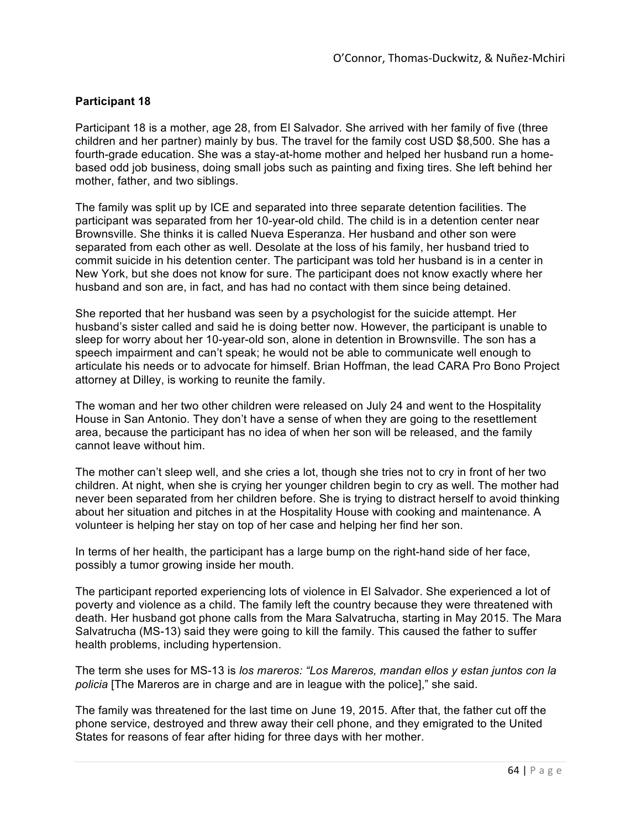## **Participant 18**

Participant 18 is a mother, age 28, from El Salvador. She arrived with her family of five (three children and her partner) mainly by bus. The travel for the family cost USD \$8,500. She has a fourth-grade education. She was a stay-at-home mother and helped her husband run a homebased odd job business, doing small jobs such as painting and fixing tires. She left behind her mother, father, and two siblings.

The family was split up by ICE and separated into three separate detention facilities. The participant was separated from her 10-year-old child. The child is in a detention center near Brownsville. She thinks it is called Nueva Esperanza. Her husband and other son were separated from each other as well. Desolate at the loss of his family, her husband tried to commit suicide in his detention center. The participant was told her husband is in a center in New York, but she does not know for sure. The participant does not know exactly where her husband and son are, in fact, and has had no contact with them since being detained.

She reported that her husband was seen by a psychologist for the suicide attempt. Her husband's sister called and said he is doing better now. However, the participant is unable to sleep for worry about her 10-year-old son, alone in detention in Brownsville. The son has a speech impairment and can't speak; he would not be able to communicate well enough to articulate his needs or to advocate for himself. Brian Hoffman, the lead CARA Pro Bono Project attorney at Dilley, is working to reunite the family.

The woman and her two other children were released on July 24 and went to the Hospitality House in San Antonio. They don't have a sense of when they are going to the resettlement area, because the participant has no idea of when her son will be released, and the family cannot leave without him.

The mother can't sleep well, and she cries a lot, though she tries not to cry in front of her two children. At night, when she is crying her younger children begin to cry as well. The mother had never been separated from her children before. She is trying to distract herself to avoid thinking about her situation and pitches in at the Hospitality House with cooking and maintenance. A volunteer is helping her stay on top of her case and helping her find her son.

In terms of her health, the participant has a large bump on the right-hand side of her face, possibly a tumor growing inside her mouth.

The participant reported experiencing lots of violence in El Salvador. She experienced a lot of poverty and violence as a child. The family left the country because they were threatened with death. Her husband got phone calls from the Mara Salvatrucha, starting in May 2015. The Mara Salvatrucha (MS-13) said they were going to kill the family. This caused the father to suffer health problems, including hypertension.

The term she uses for MS-13 is *los mareros: "Los Mareros, mandan ellos y estan juntos con la policia* [The Mareros are in charge and are in league with the police]," she said.

The family was threatened for the last time on June 19, 2015. After that, the father cut off the phone service, destroyed and threw away their cell phone, and they emigrated to the United States for reasons of fear after hiding for three days with her mother.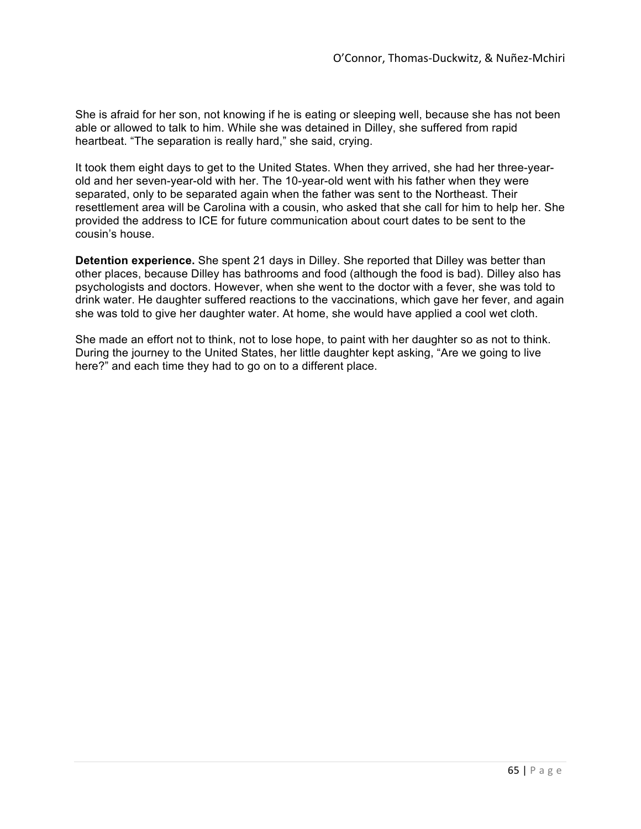She is afraid for her son, not knowing if he is eating or sleeping well, because she has not been able or allowed to talk to him. While she was detained in Dilley, she suffered from rapid heartbeat. "The separation is really hard," she said, crying.

It took them eight days to get to the United States. When they arrived, she had her three-yearold and her seven-year-old with her. The 10-year-old went with his father when they were separated, only to be separated again when the father was sent to the Northeast. Their resettlement area will be Carolina with a cousin, who asked that she call for him to help her. She provided the address to ICE for future communication about court dates to be sent to the cousin's house.

**Detention experience.** She spent 21 days in Dilley. She reported that Dilley was better than other places, because Dilley has bathrooms and food (although the food is bad). Dilley also has psychologists and doctors. However, when she went to the doctor with a fever, she was told to drink water. He daughter suffered reactions to the vaccinations, which gave her fever, and again she was told to give her daughter water. At home, she would have applied a cool wet cloth.

She made an effort not to think, not to lose hope, to paint with her daughter so as not to think. During the journey to the United States, her little daughter kept asking, "Are we going to live here?" and each time they had to go on to a different place.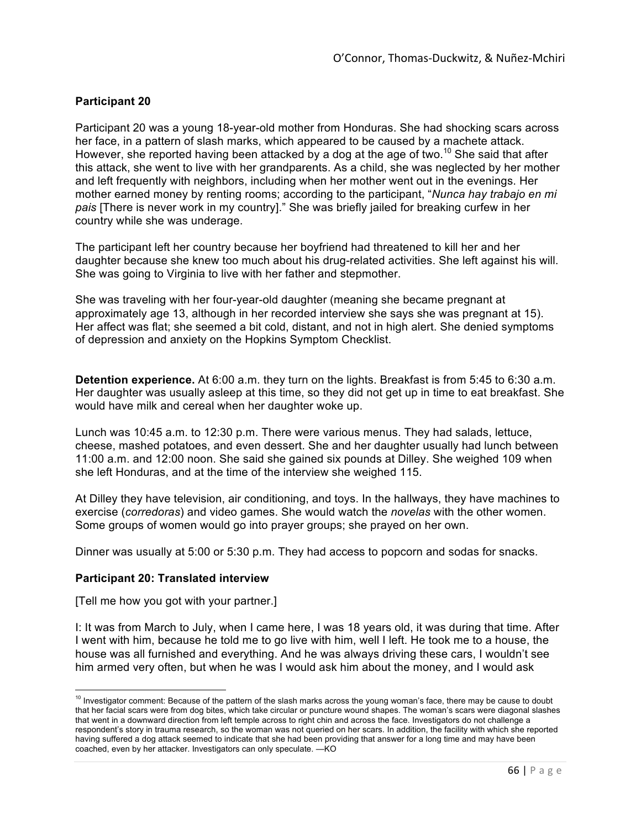# **Participant 20**

Participant 20 was a young 18-year-old mother from Honduras. She had shocking scars across her face, in a pattern of slash marks, which appeared to be caused by a machete attack. However, she reported having been attacked by a dog at the age of two.<sup>10</sup> She said that after this attack, she went to live with her grandparents. As a child, she was neglected by her mother and left frequently with neighbors, including when her mother went out in the evenings. Her mother earned money by renting rooms; according to the participant, "*Nunca hay trabajo en mi pais* [There is never work in my country]." She was briefly jailed for breaking curfew in her country while she was underage.

The participant left her country because her boyfriend had threatened to kill her and her daughter because she knew too much about his drug-related activities. She left against his will. She was going to Virginia to live with her father and stepmother.

She was traveling with her four-year-old daughter (meaning she became pregnant at approximately age 13, although in her recorded interview she says she was pregnant at 15). Her affect was flat; she seemed a bit cold, distant, and not in high alert. She denied symptoms of depression and anxiety on the Hopkins Symptom Checklist.

**Detention experience.** At 6:00 a.m. they turn on the lights. Breakfast is from 5:45 to 6:30 a.m. Her daughter was usually asleep at this time, so they did not get up in time to eat breakfast. She would have milk and cereal when her daughter woke up.

Lunch was 10:45 a.m. to 12:30 p.m. There were various menus. They had salads, lettuce, cheese, mashed potatoes, and even dessert. She and her daughter usually had lunch between 11:00 a.m. and 12:00 noon. She said she gained six pounds at Dilley. She weighed 109 when she left Honduras, and at the time of the interview she weighed 115.

At Dilley they have television, air conditioning, and toys. In the hallways, they have machines to exercise (*corredoras*) and video games. She would watch the *novelas* with the other women. Some groups of women would go into prayer groups; she prayed on her own.

Dinner was usually at 5:00 or 5:30 p.m. They had access to popcorn and sodas for snacks.

## **Participant 20: Translated interview**

 

[Tell me how you got with your partner.]

I: It was from March to July, when I came here, I was 18 years old, it was during that time. After I went with him, because he told me to go live with him, well I left. He took me to a house, the house was all furnished and everything. And he was always driving these cars, I wouldn't see him armed very often, but when he was I would ask him about the money, and I would ask

 $10$  Investigator comment: Because of the pattern of the slash marks across the young woman's face, there may be cause to doubt that her facial scars were from dog bites, which take circular or puncture wound shapes. The woman's scars were diagonal slashes that went in a downward direction from left temple across to right chin and across the face. Investigators do not challenge a respondent's story in trauma research, so the woman was not queried on her scars. In addition, the facility with which she reported having suffered a dog attack seemed to indicate that she had been providing that answer for a long time and may have been coached, even by her attacker. Investigators can only speculate. —KO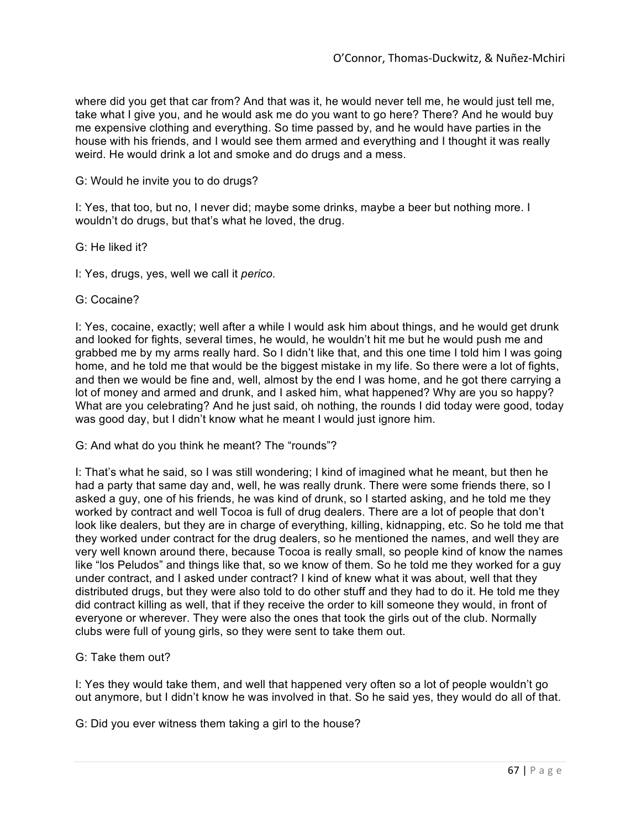where did you get that car from? And that was it, he would never tell me, he would just tell me, take what I give you, and he would ask me do you want to go here? There? And he would buy me expensive clothing and everything. So time passed by, and he would have parties in the house with his friends, and I would see them armed and everything and I thought it was really weird. He would drink a lot and smoke and do drugs and a mess.

## G: Would he invite you to do drugs?

I: Yes, that too, but no, I never did; maybe some drinks, maybe a beer but nothing more. I wouldn't do drugs, but that's what he loved, the drug.

## G: He liked it?

I: Yes, drugs, yes, well we call it *perico.*

## G: Cocaine?

I: Yes, cocaine, exactly; well after a while I would ask him about things, and he would get drunk and looked for fights, several times, he would, he wouldn't hit me but he would push me and grabbed me by my arms really hard. So I didn't like that, and this one time I told him I was going home, and he told me that would be the biggest mistake in my life. So there were a lot of fights, and then we would be fine and, well, almost by the end I was home, and he got there carrying a lot of money and armed and drunk, and I asked him, what happened? Why are you so happy? What are you celebrating? And he just said, oh nothing, the rounds I did today were good, today was good day, but I didn't know what he meant I would just ignore him.

## G: And what do you think he meant? The "rounds"?

I: That's what he said, so I was still wondering; I kind of imagined what he meant, but then he had a party that same day and, well, he was really drunk. There were some friends there, so I asked a guy, one of his friends, he was kind of drunk, so I started asking, and he told me they worked by contract and well Tocoa is full of drug dealers. There are a lot of people that don't look like dealers, but they are in charge of everything, killing, kidnapping, etc. So he told me that they worked under contract for the drug dealers, so he mentioned the names, and well they are very well known around there, because Tocoa is really small, so people kind of know the names like "los Peludos" and things like that, so we know of them. So he told me they worked for a guy under contract, and I asked under contract? I kind of knew what it was about, well that they distributed drugs, but they were also told to do other stuff and they had to do it. He told me they did contract killing as well, that if they receive the order to kill someone they would, in front of everyone or wherever. They were also the ones that took the girls out of the club. Normally clubs were full of young girls, so they were sent to take them out.

## G: Take them out?

I: Yes they would take them, and well that happened very often so a lot of people wouldn't go out anymore, but I didn't know he was involved in that. So he said yes, they would do all of that.

G: Did you ever witness them taking a girl to the house?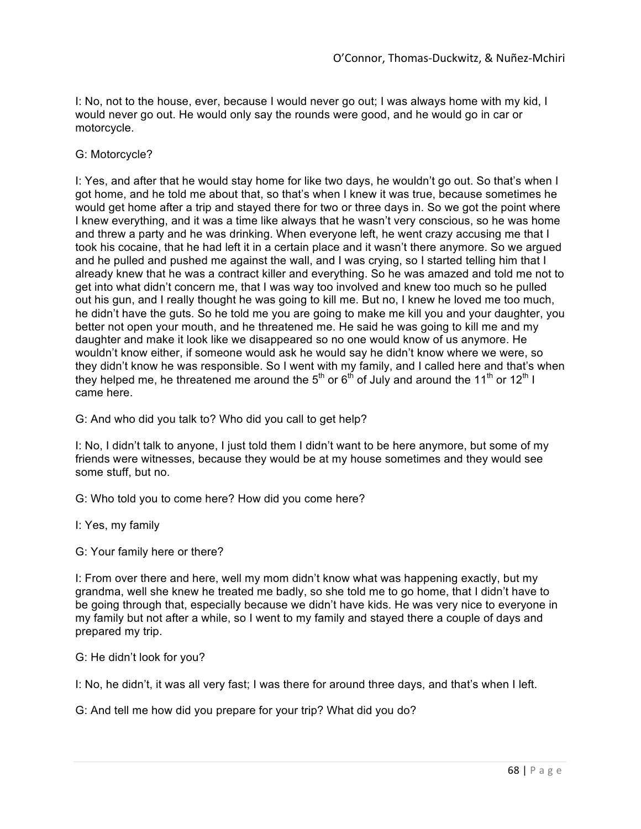I: No, not to the house, ever, because I would never go out; I was always home with my kid, I would never go out. He would only say the rounds were good, and he would go in car or motorcycle.

# G: Motorcycle?

I: Yes, and after that he would stay home for like two days, he wouldn't go out. So that's when I got home, and he told me about that, so that's when I knew it was true, because sometimes he would get home after a trip and stayed there for two or three days in. So we got the point where I knew everything, and it was a time like always that he wasn't very conscious, so he was home and threw a party and he was drinking. When everyone left, he went crazy accusing me that I took his cocaine, that he had left it in a certain place and it wasn't there anymore. So we argued and he pulled and pushed me against the wall, and I was crying, so I started telling him that I already knew that he was a contract killer and everything. So he was amazed and told me not to get into what didn't concern me, that I was way too involved and knew too much so he pulled out his gun, and I really thought he was going to kill me. But no, I knew he loved me too much, he didn't have the guts. So he told me you are going to make me kill you and your daughter, you better not open your mouth, and he threatened me. He said he was going to kill me and my daughter and make it look like we disappeared so no one would know of us anymore. He wouldn't know either, if someone would ask he would say he didn't know where we were, so they didn't know he was responsible. So I went with my family, and I called here and that's when they helped me, he threatened me around the  $5<sup>th</sup>$  or  $6<sup>th</sup>$  of July and around the 11<sup>th</sup> or 12<sup>th</sup> I came here.

G: And who did you talk to? Who did you call to get help?

I: No, I didn't talk to anyone, I just told them I didn't want to be here anymore, but some of my friends were witnesses, because they would be at my house sometimes and they would see some stuff, but no.

G: Who told you to come here? How did you come here?

I: Yes, my family

G: Your family here or there?

I: From over there and here, well my mom didn't know what was happening exactly, but my grandma, well she knew he treated me badly, so she told me to go home, that I didn't have to be going through that, especially because we didn't have kids. He was very nice to everyone in my family but not after a while, so I went to my family and stayed there a couple of days and prepared my trip.

## G: He didn't look for you?

I: No, he didn't, it was all very fast; I was there for around three days, and that's when I left.

G: And tell me how did you prepare for your trip? What did you do?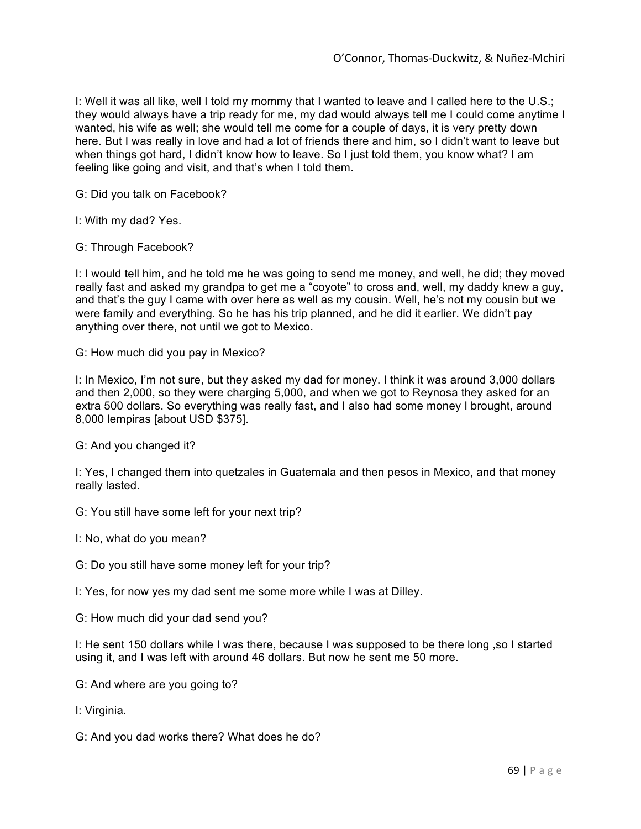I: Well it was all like, well I told my mommy that I wanted to leave and I called here to the U.S.; they would always have a trip ready for me, my dad would always tell me I could come anytime I wanted, his wife as well; she would tell me come for a couple of days, it is very pretty down here. But I was really in love and had a lot of friends there and him, so I didn't want to leave but when things got hard, I didn't know how to leave. So I just told them, you know what? I am feeling like going and visit, and that's when I told them.

## G: Did you talk on Facebook?

I: With my dad? Yes.

## G: Through Facebook?

I: I would tell him, and he told me he was going to send me money, and well, he did; they moved really fast and asked my grandpa to get me a "coyote" to cross and, well, my daddy knew a guy, and that's the guy I came with over here as well as my cousin. Well, he's not my cousin but we were family and everything. So he has his trip planned, and he did it earlier. We didn't pay anything over there, not until we got to Mexico.

G: How much did you pay in Mexico?

I: In Mexico, I'm not sure, but they asked my dad for money. I think it was around 3,000 dollars and then 2,000, so they were charging 5,000, and when we got to Reynosa they asked for an extra 500 dollars. So everything was really fast, and I also had some money I brought, around 8,000 lempiras [about USD \$375].

G: And you changed it?

I: Yes, I changed them into quetzales in Guatemala and then pesos in Mexico, and that money really lasted.

G: You still have some left for your next trip?

I: No, what do you mean?

G: Do you still have some money left for your trip?

I: Yes, for now yes my dad sent me some more while I was at Dilley.

G: How much did your dad send you?

I: He sent 150 dollars while I was there, because I was supposed to be there long ,so I started using it, and I was left with around 46 dollars. But now he sent me 50 more.

G: And where are you going to?

I: Virginia.

G: And you dad works there? What does he do?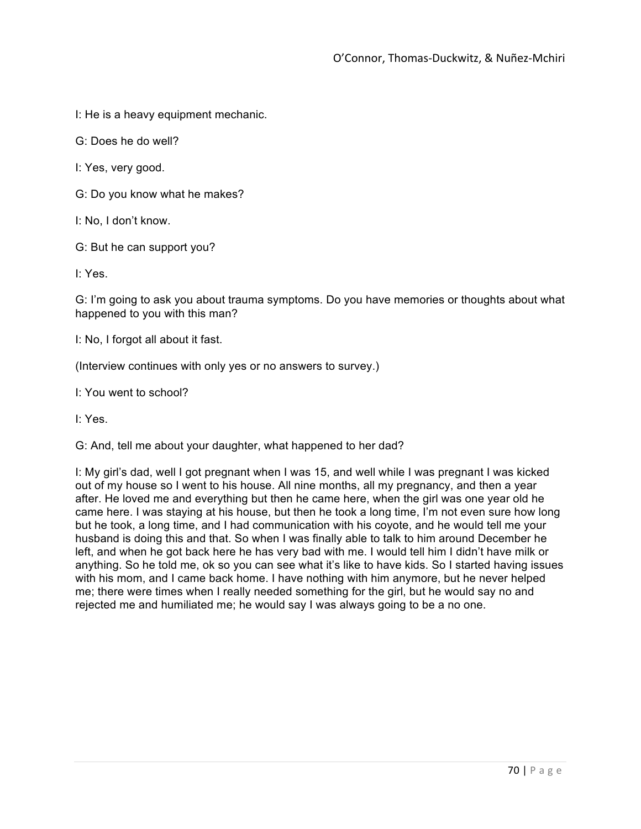I: He is a heavy equipment mechanic.

G: Does he do well?

I: Yes, very good.

G: Do you know what he makes?

I: No, I don't know.

G: But he can support you?

I: Yes.

G: I'm going to ask you about trauma symptoms. Do you have memories or thoughts about what happened to you with this man?

I: No, I forgot all about it fast.

(Interview continues with only yes or no answers to survey.)

I: You went to school?

I: Yes.

G: And, tell me about your daughter, what happened to her dad?

I: My girl's dad, well I got pregnant when I was 15, and well while I was pregnant I was kicked out of my house so I went to his house. All nine months, all my pregnancy, and then a year after. He loved me and everything but then he came here, when the girl was one year old he came here. I was staying at his house, but then he took a long time, I'm not even sure how long but he took, a long time, and I had communication with his coyote, and he would tell me your husband is doing this and that. So when I was finally able to talk to him around December he left, and when he got back here he has very bad with me. I would tell him I didn't have milk or anything. So he told me, ok so you can see what it's like to have kids. So I started having issues with his mom, and I came back home. I have nothing with him anymore, but he never helped me; there were times when I really needed something for the girl, but he would say no and rejected me and humiliated me; he would say I was always going to be a no one.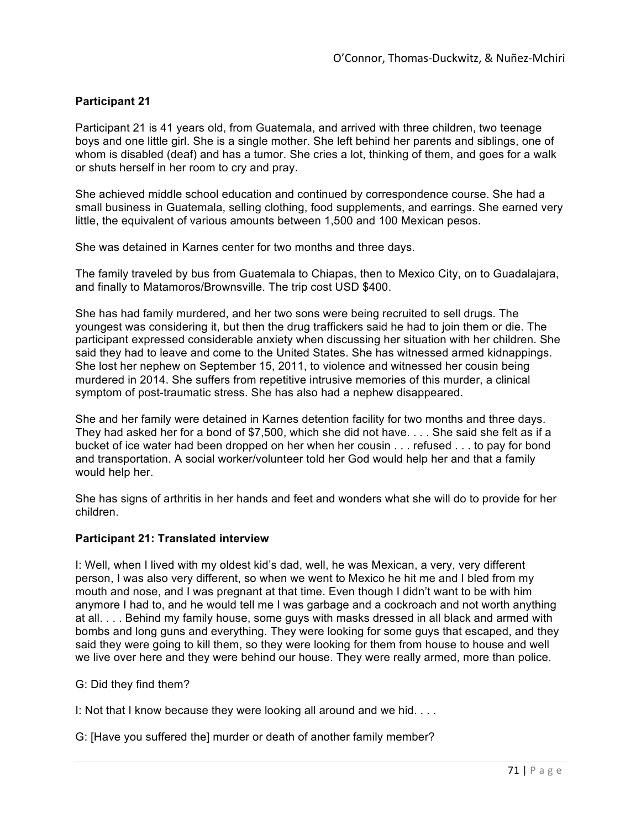# **Participant 21**

Participant 21 is 41 years old, from Guatemala, and arrived with three children, two teenage boys and one little girl. She is a single mother. She left behind her parents and siblings, one of whom is disabled (deaf) and has a tumor. She cries a lot, thinking of them, and goes for a walk or shuts herself in her room to cry and pray.

She achieved middle school education and continued by correspondence course. She had a small business in Guatemala, selling clothing, food supplements, and earrings. She earned very little, the equivalent of various amounts between 1,500 and 100 Mexican pesos.

She was detained in Karnes center for two months and three days.

The family traveled by bus from Guatemala to Chiapas, then to Mexico City, on to Guadalajara, and finally to Matamoros/Brownsville. The trip cost USD \$400.

She has had family murdered, and her two sons were being recruited to sell drugs. The youngest was considering it, but then the drug traffickers said he had to join them or die. The participant expressed considerable anxiety when discussing her situation with her children. She said they had to leave and come to the United States. She has witnessed armed kidnappings. She lost her nephew on September 15, 2011, to violence and witnessed her cousin being murdered in 2014. She suffers from repetitive intrusive memories of this murder, a clinical symptom of post-traumatic stress. She has also had a nephew disappeared.

She and her family were detained in Karnes detention facility for two months and three days. They had asked her for a bond of \$7,500, which she did not have. . . . She said she felt as if a bucket of ice water had been dropped on her when her cousin . . . refused . . . to pay for bond and transportation. A social worker/volunteer told her God would help her and that a family would help her.

She has signs of arthritis in her hands and feet and wonders what she will do to provide for her children.

## **Participant 21: Translated interview**

I: Well, when I lived with my oldest kid's dad, well, he was Mexican, a very, very different person, I was also very different, so when we went to Mexico he hit me and I bled from my mouth and nose, and I was pregnant at that time. Even though I didn't want to be with him anymore I had to, and he would tell me I was garbage and a cockroach and not worth anything at all. . . . Behind my family house, some guys with masks dressed in all black and armed with bombs and long guns and everything. They were looking for some guys that escaped, and they said they were going to kill them, so they were looking for them from house to house and well we live over here and they were behind our house. They were really armed, more than police.

G: Did they find them?

I: Not that I know because they were looking all around and we hid. . . .

G: [Have you suffered the] murder or death of another family member?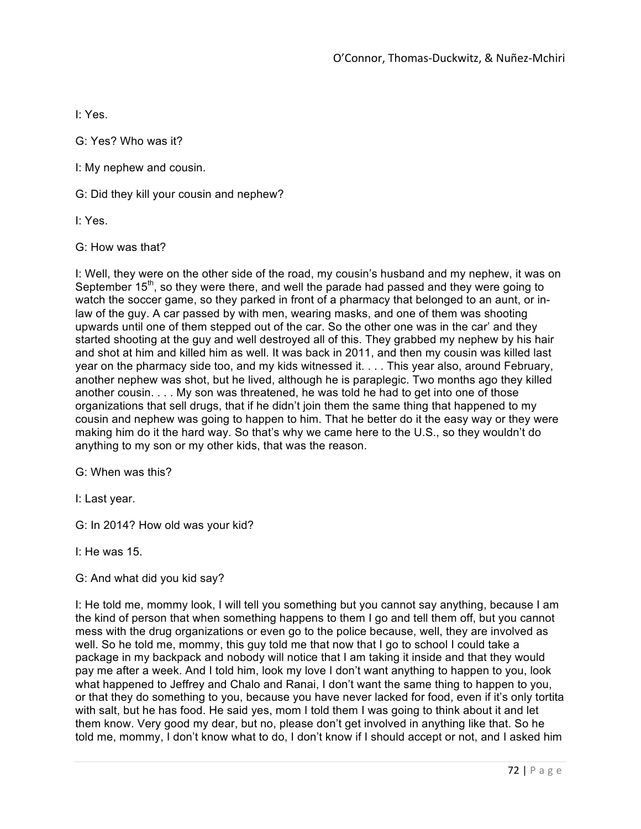I: Yes.

G: Yes? Who was it?

I: My nephew and cousin.

G: Did they kill your cousin and nephew?

I: Yes.

G: How was that?

I: Well, they were on the other side of the road, my cousin's husband and my nephew, it was on September  $15<sup>th</sup>$ , so they were there, and well the parade had passed and they were going to watch the soccer game, so they parked in front of a pharmacy that belonged to an aunt, or inlaw of the guy. A car passed by with men, wearing masks, and one of them was shooting upwards until one of them stepped out of the car. So the other one was in the car' and they started shooting at the guy and well destroyed all of this. They grabbed my nephew by his hair and shot at him and killed him as well. It was back in 2011, and then my cousin was killed last year on the pharmacy side too, and my kids witnessed it. . . . This year also, around February, another nephew was shot, but he lived, although he is paraplegic. Two months ago they killed another cousin. . . . My son was threatened, he was told he had to get into one of those organizations that sell drugs, that if he didn't join them the same thing that happened to my cousin and nephew was going to happen to him. That he better do it the easy way or they were making him do it the hard way. So that's why we came here to the U.S., so they wouldn't do anything to my son or my other kids, that was the reason.

G: When was this?

I: Last year.

G: In 2014? How old was your kid?

I: He was 15.

G: And what did you kid say?

I: He told me, mommy look, I will tell you something but you cannot say anything, because I am the kind of person that when something happens to them I go and tell them off, but you cannot mess with the drug organizations or even go to the police because, well, they are involved as well. So he told me, mommy, this guy told me that now that I go to school I could take a package in my backpack and nobody will notice that I am taking it inside and that they would pay me after a week. And I told him, look my love I don't want anything to happen to you, look what happened to Jeffrey and Chalo and Ranai, I don't want the same thing to happen to you, or that they do something to you, because you have never lacked for food, even if it's only tortita with salt, but he has food. He said yes, mom I told them I was going to think about it and let them know. Very good my dear, but no, please don't get involved in anything like that. So he told me, mommy, I don't know what to do, I don't know if I should accept or not, and I asked him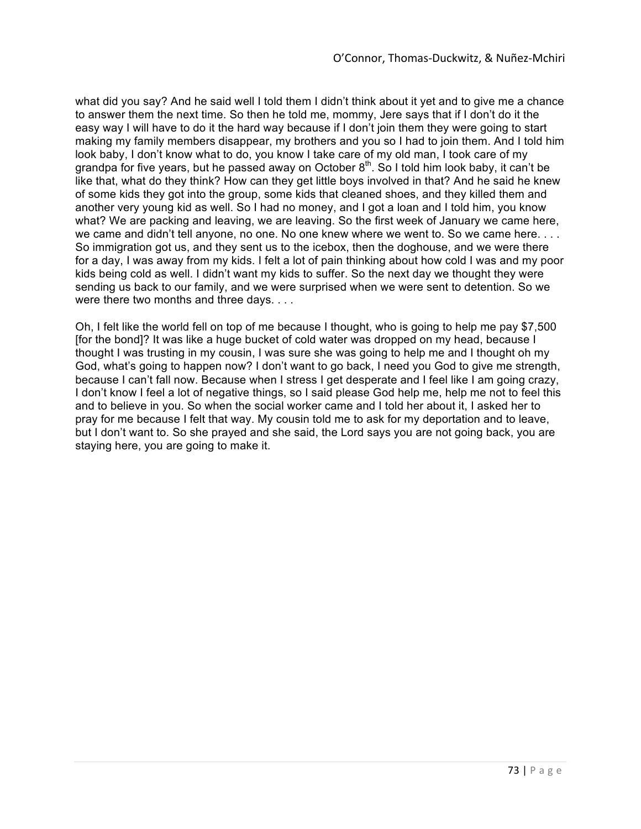what did you say? And he said well I told them I didn't think about it yet and to give me a chance to answer them the next time. So then he told me, mommy, Jere says that if I don't do it the easy way I will have to do it the hard way because if I don't join them they were going to start making my family members disappear, my brothers and you so I had to join them. And I told him look baby, I don't know what to do, you know I take care of my old man, I took care of my grandpa for five years, but he passed away on October  $8<sup>th</sup>$ . So I told him look baby, it can't be like that, what do they think? How can they get little boys involved in that? And he said he knew of some kids they got into the group, some kids that cleaned shoes, and they killed them and another very young kid as well. So I had no money, and I got a loan and I told him, you know what? We are packing and leaving, we are leaving. So the first week of January we came here, we came and didn't tell anyone, no one. No one knew where we went to. So we came here. . . . So immigration got us, and they sent us to the icebox, then the doghouse, and we were there for a day, I was away from my kids. I felt a lot of pain thinking about how cold I was and my poor kids being cold as well. I didn't want my kids to suffer. So the next day we thought they were sending us back to our family, and we were surprised when we were sent to detention. So we were there two months and three days. . . .

Oh, I felt like the world fell on top of me because I thought, who is going to help me pay \$7,500 [for the bond]? It was like a huge bucket of cold water was dropped on my head, because I thought I was trusting in my cousin, I was sure she was going to help me and I thought oh my God, what's going to happen now? I don't want to go back, I need you God to give me strength, because I can't fall now. Because when I stress I get desperate and I feel like I am going crazy, I don't know I feel a lot of negative things, so I said please God help me, help me not to feel this and to believe in you. So when the social worker came and I told her about it, I asked her to pray for me because I felt that way. My cousin told me to ask for my deportation and to leave, but I don't want to. So she prayed and she said, the Lord says you are not going back, you are staying here, you are going to make it.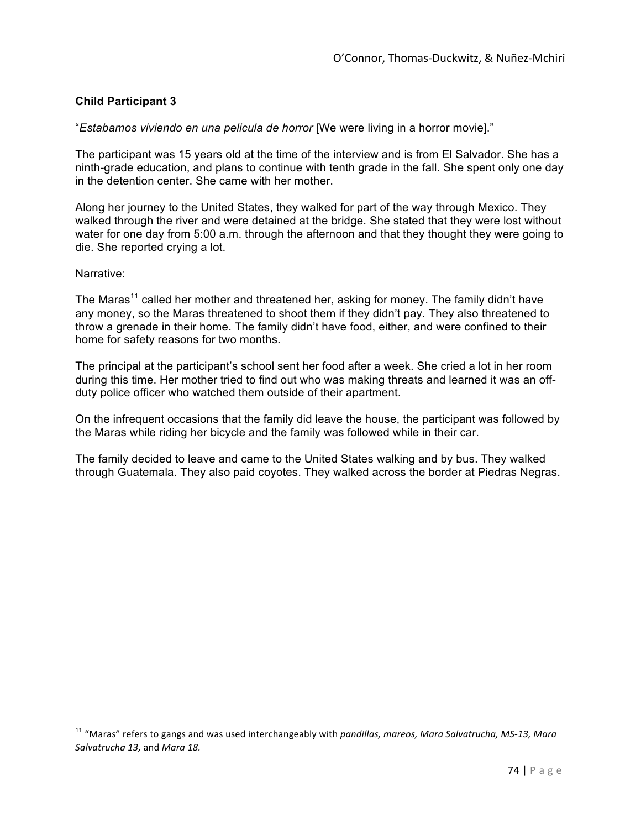## **Child Participant 3**

"*Estabamos viviendo en una pelicula de horror* [We were living in a horror movie]."

The participant was 15 years old at the time of the interview and is from El Salvador. She has a ninth-grade education, and plans to continue with tenth grade in the fall. She spent only one day in the detention center. She came with her mother.

Along her journey to the United States, they walked for part of the way through Mexico. They walked through the river and were detained at the bridge. She stated that they were lost without water for one day from 5:00 a.m. through the afternoon and that they thought they were going to die. She reported crying a lot.

Narrative:

 

The Maras<sup>11</sup> called her mother and threatened her, asking for money. The family didn't have any money, so the Maras threatened to shoot them if they didn't pay. They also threatened to throw a grenade in their home. The family didn't have food, either, and were confined to their home for safety reasons for two months.

The principal at the participant's school sent her food after a week. She cried a lot in her room during this time. Her mother tried to find out who was making threats and learned it was an offduty police officer who watched them outside of their apartment.

On the infrequent occasions that the family did leave the house, the participant was followed by the Maras while riding her bicycle and the family was followed while in their car.

The family decided to leave and came to the United States walking and by bus. They walked through Guatemala. They also paid coyotes. They walked across the border at Piedras Negras.

<sup>&</sup>lt;sup>11</sup> "Maras" refers to gangs and was used interchangeably with *pandillas, mareos, Mara Salvatrucha, MS-13, Mara Salvatrucha 13,* and *Mara 18.*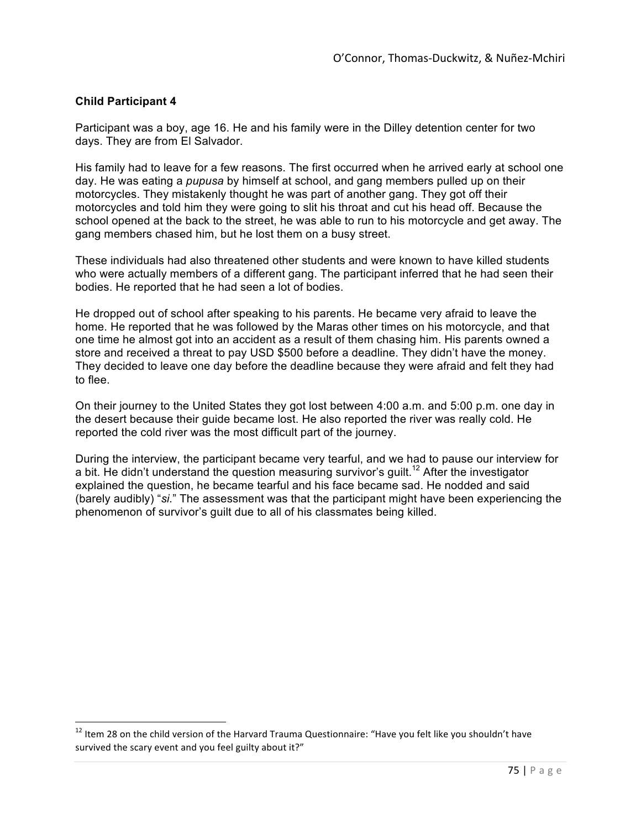## **Child Participant 4**

 

Participant was a boy, age 16. He and his family were in the Dilley detention center for two days. They are from El Salvador.

His family had to leave for a few reasons. The first occurred when he arrived early at school one day. He was eating a *pupusa* by himself at school, and gang members pulled up on their motorcycles. They mistakenly thought he was part of another gang. They got off their motorcycles and told him they were going to slit his throat and cut his head off. Because the school opened at the back to the street, he was able to run to his motorcycle and get away. The gang members chased him, but he lost them on a busy street.

These individuals had also threatened other students and were known to have killed students who were actually members of a different gang. The participant inferred that he had seen their bodies. He reported that he had seen a lot of bodies.

He dropped out of school after speaking to his parents. He became very afraid to leave the home. He reported that he was followed by the Maras other times on his motorcycle, and that one time he almost got into an accident as a result of them chasing him. His parents owned a store and received a threat to pay USD \$500 before a deadline. They didn't have the money. They decided to leave one day before the deadline because they were afraid and felt they had to flee.

On their journey to the United States they got lost between 4:00 a.m. and 5:00 p.m. one day in the desert because their guide became lost. He also reported the river was really cold. He reported the cold river was the most difficult part of the journey.

During the interview, the participant became very tearful, and we had to pause our interview for a bit. He didn't understand the question measuring survivor's quilt.<sup>12</sup> After the investigator explained the question, he became tearful and his face became sad. He nodded and said (barely audibly) "*si.*" The assessment was that the participant might have been experiencing the phenomenon of survivor's guilt due to all of his classmates being killed.

 $12$  Item 28 on the child version of the Harvard Trauma Questionnaire: "Have you felt like you shouldn't have survived the scary event and you feel guilty about it?"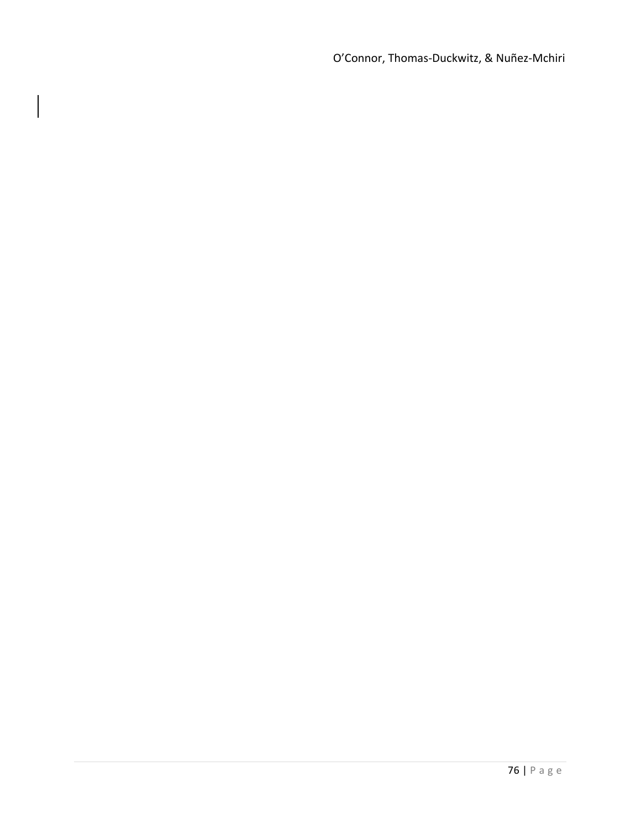O'Connor, Thomas-Duckwitz, & Nuñez-Mchiri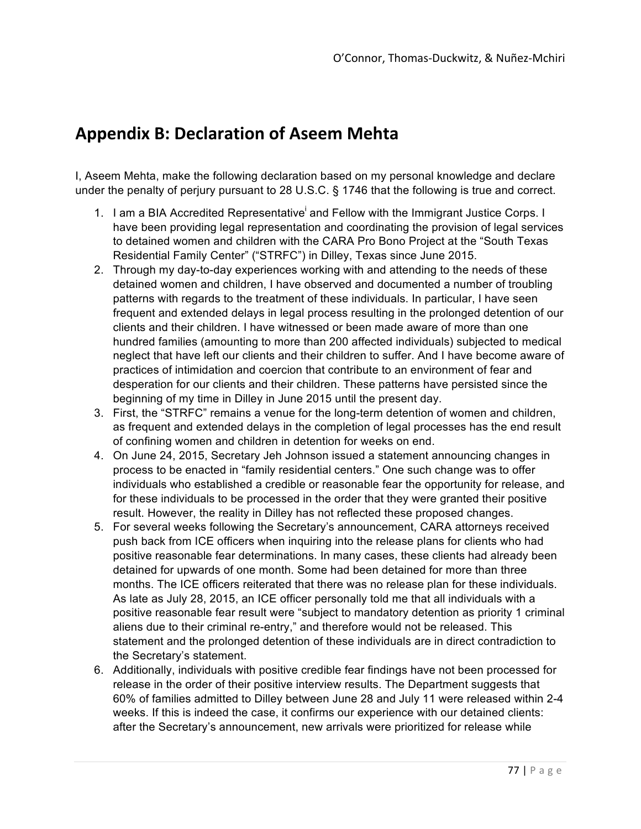## **Appendix B: Declaration of Aseem Mehta**

I, Aseem Mehta, make the following declaration based on my personal knowledge and declare under the penalty of perjury pursuant to 28 U.S.C. § 1746 that the following is true and correct.

- 1. I am a BIA Accredited Representative and Fellow with the Immigrant Justice Corps. I have been providing legal representation and coordinating the provision of legal services to detained women and children with the CARA Pro Bono Project at the "South Texas Residential Family Center" ("STRFC") in Dilley, Texas since June 2015.
- 2. Through my day-to-day experiences working with and attending to the needs of these detained women and children, I have observed and documented a number of troubling patterns with regards to the treatment of these individuals. In particular, I have seen frequent and extended delays in legal process resulting in the prolonged detention of our clients and their children. I have witnessed or been made aware of more than one hundred families (amounting to more than 200 affected individuals) subjected to medical neglect that have left our clients and their children to suffer. And I have become aware of practices of intimidation and coercion that contribute to an environment of fear and desperation for our clients and their children. These patterns have persisted since the beginning of my time in Dilley in June 2015 until the present day.
- 3. First, the "STRFC" remains a venue for the long-term detention of women and children, as frequent and extended delays in the completion of legal processes has the end result of confining women and children in detention for weeks on end.
- 4. On June 24, 2015, Secretary Jeh Johnson issued a statement announcing changes in process to be enacted in "family residential centers." One such change was to offer individuals who established a credible or reasonable fear the opportunity for release, and for these individuals to be processed in the order that they were granted their positive result. However, the reality in Dilley has not reflected these proposed changes.
- 5. For several weeks following the Secretary's announcement, CARA attorneys received push back from ICE officers when inquiring into the release plans for clients who had positive reasonable fear determinations. In many cases, these clients had already been detained for upwards of one month. Some had been detained for more than three months. The ICE officers reiterated that there was no release plan for these individuals. As late as July 28, 2015, an ICE officer personally told me that all individuals with a positive reasonable fear result were "subject to mandatory detention as priority 1 criminal aliens due to their criminal re-entry," and therefore would not be released. This statement and the prolonged detention of these individuals are in direct contradiction to the Secretary's statement.
- 6. Additionally, individuals with positive credible fear findings have not been processed for release in the order of their positive interview results. The Department suggests that 60% of families admitted to Dilley between June 28 and July 11 were released within 2-4 weeks. If this is indeed the case, it confirms our experience with our detained clients: after the Secretary's announcement, new arrivals were prioritized for release while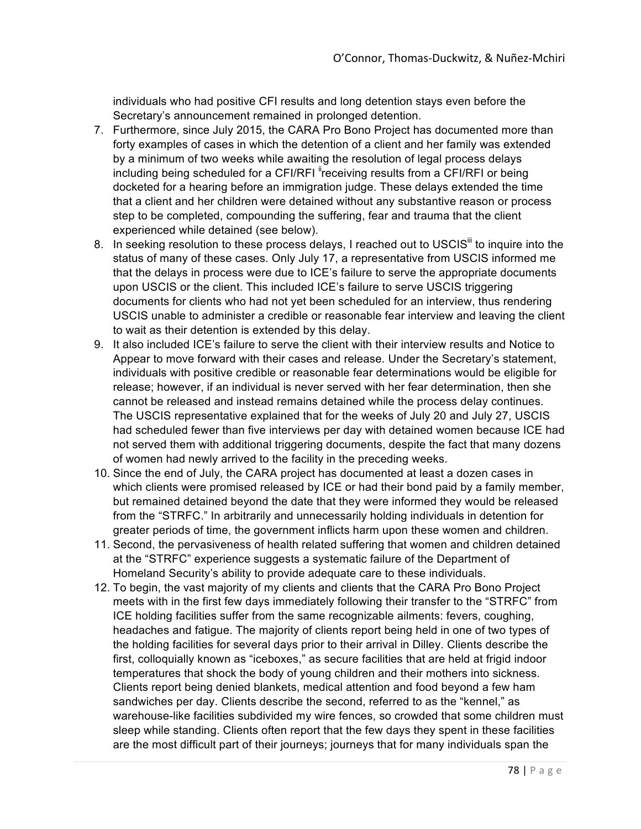individuals who had positive CFI results and long detention stays even before the Secretary's announcement remained in prolonged detention.

- 7. Furthermore, since July 2015, the CARA Pro Bono Project has documented more than forty examples of cases in which the detention of a client and her family was extended by a minimum of two weeks while awaiting the resolution of legal process delays including being scheduled for a CFI/RFI "receiving results from a CFI/RFI or being docketed for a hearing before an immigration judge. These delays extended the time that a client and her children were detained without any substantive reason or process step to be completed, compounding the suffering, fear and trauma that the client experienced while detained (see below).
- 8. In seeking resolution to these process delays, I reached out to USCIS<sup>III</sup> to inquire into the status of many of these cases. Only July 17, a representative from USCIS informed me that the delays in process were due to ICE's failure to serve the appropriate documents upon USCIS or the client. This included ICE's failure to serve USCIS triggering documents for clients who had not yet been scheduled for an interview, thus rendering USCIS unable to administer a credible or reasonable fear interview and leaving the client to wait as their detention is extended by this delay.
- 9. It also included ICE's failure to serve the client with their interview results and Notice to Appear to move forward with their cases and release. Under the Secretary's statement, individuals with positive credible or reasonable fear determinations would be eligible for release; however, if an individual is never served with her fear determination, then she cannot be released and instead remains detained while the process delay continues. The USCIS representative explained that for the weeks of July 20 and July 27, USCIS had scheduled fewer than five interviews per day with detained women because ICE had not served them with additional triggering documents, despite the fact that many dozens of women had newly arrived to the facility in the preceding weeks.
- 10. Since the end of July, the CARA project has documented at least a dozen cases in which clients were promised released by ICE or had their bond paid by a family member, but remained detained beyond the date that they were informed they would be released from the "STRFC." In arbitrarily and unnecessarily holding individuals in detention for greater periods of time, the government inflicts harm upon these women and children.
- 11. Second, the pervasiveness of health related suffering that women and children detained at the "STRFC" experience suggests a systematic failure of the Department of Homeland Security's ability to provide adequate care to these individuals.
- 12. To begin, the vast majority of my clients and clients that the CARA Pro Bono Project meets with in the first few days immediately following their transfer to the "STRFC" from ICE holding facilities suffer from the same recognizable ailments: fevers, coughing, headaches and fatigue. The majority of clients report being held in one of two types of the holding facilities for several days prior to their arrival in Dilley. Clients describe the first, colloquially known as "iceboxes," as secure facilities that are held at frigid indoor temperatures that shock the body of young children and their mothers into sickness. Clients report being denied blankets, medical attention and food beyond a few ham sandwiches per day. Clients describe the second, referred to as the "kennel," as warehouse-like facilities subdivided my wire fences, so crowded that some children must sleep while standing. Clients often report that the few days they spent in these facilities are the most difficult part of their journeys; journeys that for many individuals span the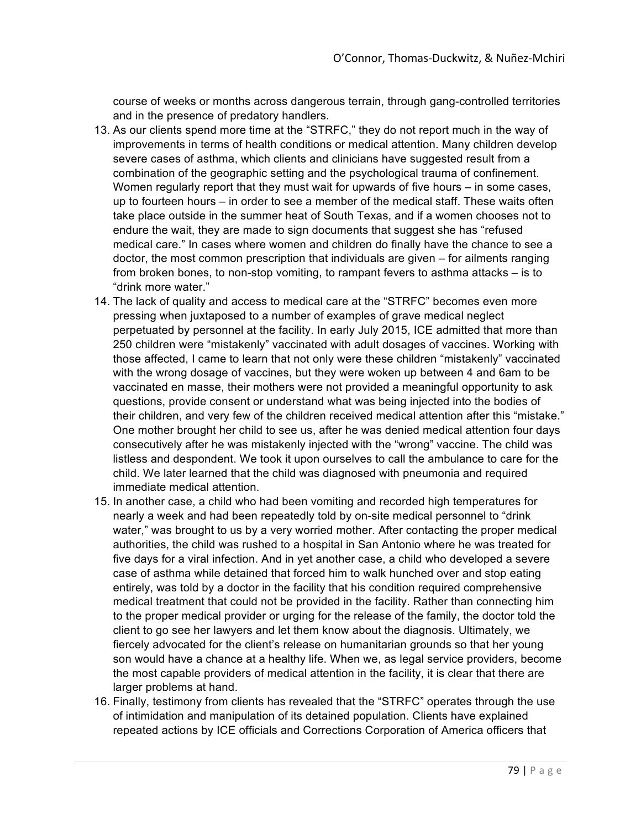course of weeks or months across dangerous terrain, through gang-controlled territories and in the presence of predatory handlers.

- 13. As our clients spend more time at the "STRFC," they do not report much in the way of improvements in terms of health conditions or medical attention. Many children develop severe cases of asthma, which clients and clinicians have suggested result from a combination of the geographic setting and the psychological trauma of confinement. Women regularly report that they must wait for upwards of five hours – in some cases, up to fourteen hours – in order to see a member of the medical staff. These waits often take place outside in the summer heat of South Texas, and if a women chooses not to endure the wait, they are made to sign documents that suggest she has "refused medical care." In cases where women and children do finally have the chance to see a doctor, the most common prescription that individuals are given – for ailments ranging from broken bones, to non-stop vomiting, to rampant fevers to asthma attacks – is to "drink more water."
- 14. The lack of quality and access to medical care at the "STRFC" becomes even more pressing when juxtaposed to a number of examples of grave medical neglect perpetuated by personnel at the facility. In early July 2015, ICE admitted that more than 250 children were "mistakenly" vaccinated with adult dosages of vaccines. Working with those affected, I came to learn that not only were these children "mistakenly" vaccinated with the wrong dosage of vaccines, but they were woken up between 4 and 6am to be vaccinated en masse, their mothers were not provided a meaningful opportunity to ask questions, provide consent or understand what was being injected into the bodies of their children, and very few of the children received medical attention after this "mistake." One mother brought her child to see us, after he was denied medical attention four days consecutively after he was mistakenly injected with the "wrong" vaccine. The child was listless and despondent. We took it upon ourselves to call the ambulance to care for the child. We later learned that the child was diagnosed with pneumonia and required immediate medical attention.
- 15. In another case, a child who had been vomiting and recorded high temperatures for nearly a week and had been repeatedly told by on-site medical personnel to "drink water," was brought to us by a very worried mother. After contacting the proper medical authorities, the child was rushed to a hospital in San Antonio where he was treated for five days for a viral infection. And in yet another case, a child who developed a severe case of asthma while detained that forced him to walk hunched over and stop eating entirely, was told by a doctor in the facility that his condition required comprehensive medical treatment that could not be provided in the facility. Rather than connecting him to the proper medical provider or urging for the release of the family, the doctor told the client to go see her lawyers and let them know about the diagnosis. Ultimately, we fiercely advocated for the client's release on humanitarian grounds so that her young son would have a chance at a healthy life. When we, as legal service providers, become the most capable providers of medical attention in the facility, it is clear that there are larger problems at hand.
- 16. Finally, testimony from clients has revealed that the "STRFC" operates through the use of intimidation and manipulation of its detained population. Clients have explained repeated actions by ICE officials and Corrections Corporation of America officers that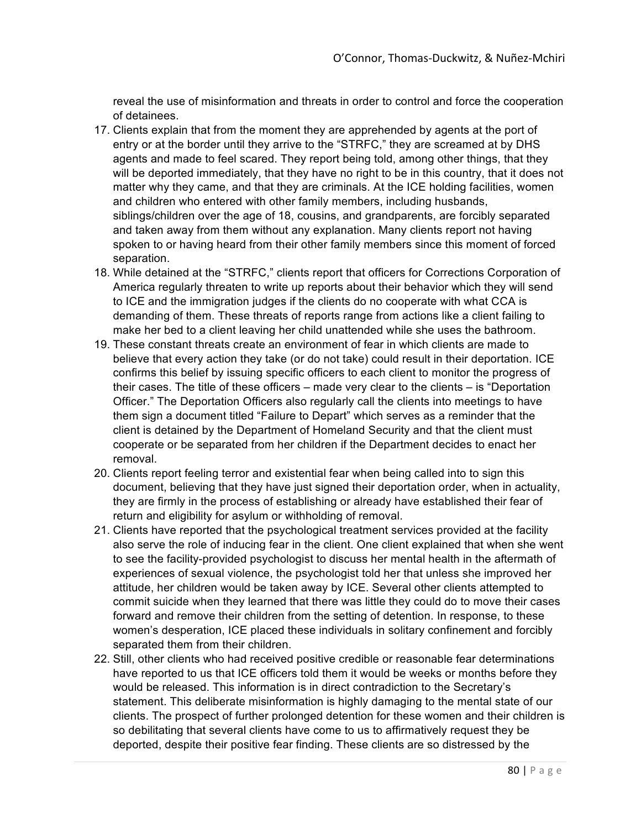reveal the use of misinformation and threats in order to control and force the cooperation of detainees.

- 17. Clients explain that from the moment they are apprehended by agents at the port of entry or at the border until they arrive to the "STRFC," they are screamed at by DHS agents and made to feel scared. They report being told, among other things, that they will be deported immediately, that they have no right to be in this country, that it does not matter why they came, and that they are criminals. At the ICE holding facilities, women and children who entered with other family members, including husbands, siblings/children over the age of 18, cousins, and grandparents, are forcibly separated and taken away from them without any explanation. Many clients report not having spoken to or having heard from their other family members since this moment of forced separation.
- 18. While detained at the "STRFC," clients report that officers for Corrections Corporation of America regularly threaten to write up reports about their behavior which they will send to ICE and the immigration judges if the clients do no cooperate with what CCA is demanding of them. These threats of reports range from actions like a client failing to make her bed to a client leaving her child unattended while she uses the bathroom.
- 19. These constant threats create an environment of fear in which clients are made to believe that every action they take (or do not take) could result in their deportation. ICE confirms this belief by issuing specific officers to each client to monitor the progress of their cases. The title of these officers – made very clear to the clients – is "Deportation Officer." The Deportation Officers also regularly call the clients into meetings to have them sign a document titled "Failure to Depart" which serves as a reminder that the client is detained by the Department of Homeland Security and that the client must cooperate or be separated from her children if the Department decides to enact her removal.
- 20. Clients report feeling terror and existential fear when being called into to sign this document, believing that they have just signed their deportation order, when in actuality, they are firmly in the process of establishing or already have established their fear of return and eligibility for asylum or withholding of removal.
- 21. Clients have reported that the psychological treatment services provided at the facility also serve the role of inducing fear in the client. One client explained that when she went to see the facility-provided psychologist to discuss her mental health in the aftermath of experiences of sexual violence, the psychologist told her that unless she improved her attitude, her children would be taken away by ICE. Several other clients attempted to commit suicide when they learned that there was little they could do to move their cases forward and remove their children from the setting of detention. In response, to these women's desperation, ICE placed these individuals in solitary confinement and forcibly separated them from their children.
- 22. Still, other clients who had received positive credible or reasonable fear determinations have reported to us that ICE officers told them it would be weeks or months before they would be released. This information is in direct contradiction to the Secretary's statement. This deliberate misinformation is highly damaging to the mental state of our clients. The prospect of further prolonged detention for these women and their children is so debilitating that several clients have come to us to affirmatively request they be deported, despite their positive fear finding. These clients are so distressed by the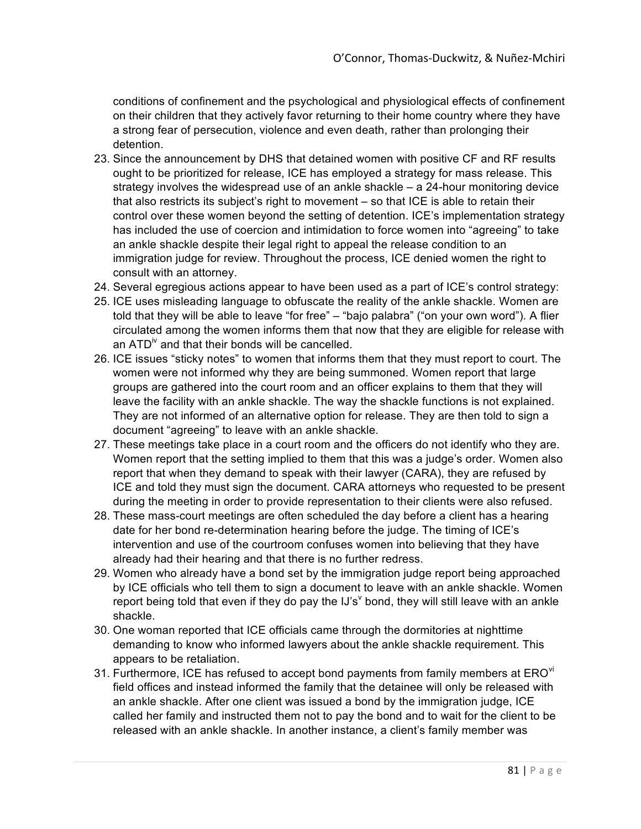conditions of confinement and the psychological and physiological effects of confinement on their children that they actively favor returning to their home country where they have a strong fear of persecution, violence and even death, rather than prolonging their detention.

- 23. Since the announcement by DHS that detained women with positive CF and RF results ought to be prioritized for release, ICE has employed a strategy for mass release. This strategy involves the widespread use of an ankle shackle – a 24-hour monitoring device that also restricts its subject's right to movement – so that ICE is able to retain their control over these women beyond the setting of detention. ICE's implementation strategy has included the use of coercion and intimidation to force women into "agreeing" to take an ankle shackle despite their legal right to appeal the release condition to an immigration judge for review. Throughout the process, ICE denied women the right to consult with an attorney.
- 24. Several egregious actions appear to have been used as a part of ICE's control strategy:
- 25. ICE uses misleading language to obfuscate the reality of the ankle shackle. Women are told that they will be able to leave "for free" – "bajo palabra" ("on your own word"). A flier circulated among the women informs them that now that they are eligible for release with an  $ATD<sup>iv</sup>$  and that their bonds will be cancelled.
- 26. ICE issues "sticky notes" to women that informs them that they must report to court. The women were not informed why they are being summoned. Women report that large groups are gathered into the court room and an officer explains to them that they will leave the facility with an ankle shackle. The way the shackle functions is not explained. They are not informed of an alternative option for release. They are then told to sign a document "agreeing" to leave with an ankle shackle.
- 27. These meetings take place in a court room and the officers do not identify who they are. Women report that the setting implied to them that this was a judge's order. Women also report that when they demand to speak with their lawyer (CARA), they are refused by ICE and told they must sign the document. CARA attorneys who requested to be present during the meeting in order to provide representation to their clients were also refused.
- 28. These mass-court meetings are often scheduled the day before a client has a hearing date for her bond re-determination hearing before the judge. The timing of ICE's intervention and use of the courtroom confuses women into believing that they have already had their hearing and that there is no further redress.
- 29. Women who already have a bond set by the immigration judge report being approached by ICE officials who tell them to sign a document to leave with an ankle shackle. Women report being told that even if they do pay the  $U's<sup>v</sup>$  bond, they will still leave with an ankle shackle.
- 30. One woman reported that ICE officials came through the dormitories at nighttime demanding to know who informed lawyers about the ankle shackle requirement. This appears to be retaliation.
- 31. Furthermore, ICE has refused to accept bond payments from family members at  $ERO<sup>vi</sup>$ field offices and instead informed the family that the detainee will only be released with an ankle shackle. After one client was issued a bond by the immigration judge, ICE called her family and instructed them not to pay the bond and to wait for the client to be released with an ankle shackle. In another instance, a client's family member was